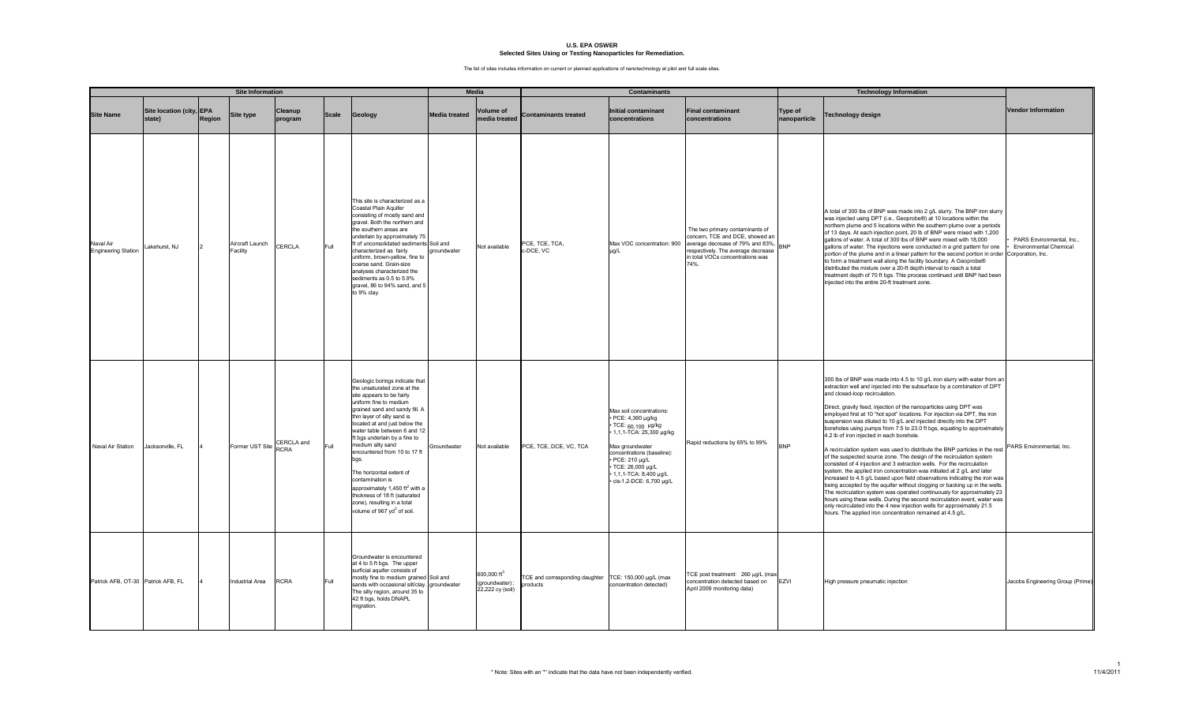|                                         |                                    |        | <b>Site Information</b>     |                    |              |                                                                                                                                                                                                                                                                                                                                                                                                                                                                                                                                                             |                      | <b>Media</b>                                                  |                                            | <b>Contaminants</b>                                                                                                                                                                                                                          |                                                                                                                                                                                          |                                | <b>Technology Information</b>                                                                                                                                                                                                                                                                                                                                                                                                                                                                                                                                                                                                                                                                                                                                                                                                                                                                                                                                                                                                                                                                                                                                                                                                                                                                                        |                                                            |
|-----------------------------------------|------------------------------------|--------|-----------------------------|--------------------|--------------|-------------------------------------------------------------------------------------------------------------------------------------------------------------------------------------------------------------------------------------------------------------------------------------------------------------------------------------------------------------------------------------------------------------------------------------------------------------------------------------------------------------------------------------------------------------|----------------------|---------------------------------------------------------------|--------------------------------------------|----------------------------------------------------------------------------------------------------------------------------------------------------------------------------------------------------------------------------------------------|------------------------------------------------------------------------------------------------------------------------------------------------------------------------------------------|--------------------------------|----------------------------------------------------------------------------------------------------------------------------------------------------------------------------------------------------------------------------------------------------------------------------------------------------------------------------------------------------------------------------------------------------------------------------------------------------------------------------------------------------------------------------------------------------------------------------------------------------------------------------------------------------------------------------------------------------------------------------------------------------------------------------------------------------------------------------------------------------------------------------------------------------------------------------------------------------------------------------------------------------------------------------------------------------------------------------------------------------------------------------------------------------------------------------------------------------------------------------------------------------------------------------------------------------------------------|------------------------------------------------------------|
| <b>Site Name</b>                        | Site location (city, EPA<br>state) | Region | Site type                   | Cleanup<br>program | <b>Scale</b> | Geology                                                                                                                                                                                                                                                                                                                                                                                                                                                                                                                                                     | <b>Media treated</b> | <b>Volume of</b><br>nedia treated                             | <b>Contaminants treated</b>                | <b>Initial contaminant</b><br>concentrations                                                                                                                                                                                                 | <b>Final contaminant</b><br>concentrations                                                                                                                                               | <b>Type of</b><br>nanoparticle | <b>Technology design</b>                                                                                                                                                                                                                                                                                                                                                                                                                                                                                                                                                                                                                                                                                                                                                                                                                                                                                                                                                                                                                                                                                                                                                                                                                                                                                             | <b>Vendor Information</b>                                  |
| Naval Air<br><b>Engineering Station</b> | akehurst, NJ                       |        | Aircraft Launch<br>Facility | CERCLA             | Full         | This site is characterized as a<br>Coastal Plain Aquifer<br>consisting of mostly sand and<br>gravel. Both the northern and<br>the southern areas are<br>underlain by approximately 75<br>ft of unconsolidated sediments Soil and<br>characterized as fairly<br>uniform, brown-yellow, fine to<br>coarse sand. Grain-size<br>analyses characterized the<br>sediments as 0.5 to 5.9%<br>gravel, 86 to 94% sand, and 5<br>to 9% clay.                                                                                                                          | groundwater          | Not available                                                 | PCE, TCE, TCA,<br>-DCE, VC                 | Max VOC concentration: 900<br>ua/L                                                                                                                                                                                                           | The two primary contaminants of<br>concern, TCE and DCE, showed an<br>average decrease of 79% and 83%,<br>respectively. The average decrease<br>in total VOCs concentrations was<br>74%. | <b>BNP</b>                     | A total of 300 lbs of BNP was made into 2 g/L slurry. The BNP iron slurry<br>was injected using DPT (i.e., Geoprobe®) at 10 locations within the<br>northern plume and 5 locations within the southern plume over a periods<br>of 13 days. At each injection point, 20 lb of BNP were mixed with 1,200<br>gallons of water. A total of 300 lbs of BNP were mixed with 18,000<br>gallons of water. The injections were conducted in a grid pattern for one<br>portion of the plume and in a linear pattern for the second portion in order Corporation, Inc.<br>to form a treatment wall along the facility boundary. A Geoprobe®<br>distributed the mixture over a 20-ft depth interval to reach a total<br>treatment depth of 70 ft bgs. This process continued until BNP had been<br>injected into the entire 20-ft treatment zone.                                                                                                                                                                                                                                                                                                                                                                                                                                                                                | PARS Environmental, Inc.,<br><b>Environmental Chemical</b> |
| Naval Air Station                       | Jacksonville, FL                   |        | Former UST Site CERCLA and  |                    | Full         | Geologic borings indicate that<br>the unsaturated zone at the<br>site appears to be fairly<br>uniform fine to medium<br>grained sand and sandy fill. A<br>thin layer of silty sand is<br>located at and just below the<br>water table between 6 and 12<br>ft bgs underlain by a fine to<br>medium silty sand<br>encountered from 10 to 17 ft<br>bas<br>The horizontal extent of<br>contamination is<br>approximately 1,450 ft <sup>2</sup> with a<br>thickness of 18 ft (saturated<br>zone), resulting in a total<br>volume of 967 yd <sup>3</sup> of soil. | Groundwater          | Not available                                                 | PCE, TCE, DCE, VC, TCA                     | Max soil concentrations:<br>· PCE: 4,360 µg/kg<br>• TCE: 60,100 µg/kg<br>• 1,1,1-TCA: 25,300 µg/kg<br>Max groundwater<br>concentrations (baseline):<br>PCE: 210 µg/L<br>TCE: 26,000 µg/L<br>1,1,1-TCA: 8,400 µg/L<br>cis-1,2-DCE: 6,700 µg/L | Rapid reductions by 65% to 99%                                                                                                                                                           | <b>BNP</b>                     | 300 lbs of BNP was made into 4.5 to 10 g/L iron slurry with water from ar<br>extraction well and injected into the subsurface by a combination of DPT<br>and closed-loop recirculation.<br>Direct, gravity feed, injection of the nanoparticles using DPT was<br>employed first at 10 "hot spot" locations. For injection via DPT, the iron<br>suspension was diluted to 10 g/L and injected directly into the DPT<br>boreholes using pumps from 7.5 to 23.0 ft bgs, equating to approximately<br>4.2 lb of iron injected in each borehole.<br>A recirculation system was used to distribute the BNP particles in the rest<br>of the suspected source zone. The design of the recirculation system<br>consisted of 4 injection and 3 extraction wells. For the recirculation<br>system, the applied iron concentration was initiated at 2 g/L and later<br>increased to 4.5 g/L based upon field observations indicating the iron was<br>being accepted by the aquifer without clogging or backing up in the wells.<br>The recirculation system was operated continuously for approximately 23<br>hours using these wells. During the second recirculation event, water was<br>only recirculated into the 4 new injection wells for approximately 21.5<br>hours. The applied iron concentration remained at 4.5 g/L. | PARS Environmental, Inc.                                   |
| Patrick AFB, OT-30 Patrick AFB, FL      |                                    |        | <b>Industrial Area</b>      | <b>RCRA</b>        | Full         | Groundwater is encountered<br>at 4 to 5 ft bgs. The upper<br>surficial aquifer consists of<br>mostly fine to medium grained Soil and<br>sands with occasional silt/clay. groundwater<br>The silty region, around 35 to<br>42 ft bgs, holds DNAPL<br>migration.                                                                                                                                                                                                                                                                                              |                      | 600,000 ft <sup>3</sup><br>(groundwater);<br>22,222 cy (soil) | TCE and corresponding daughter<br>products | TCE: 150,000 µg/L (max<br>concentration detected)                                                                                                                                                                                            | TCE post treatment: 260 µg/L (max<br>concentration detected based on<br>April 2009 monitoring data)                                                                                      | <b>EZVI</b>                    | High pressure pneumatic injection                                                                                                                                                                                                                                                                                                                                                                                                                                                                                                                                                                                                                                                                                                                                                                                                                                                                                                                                                                                                                                                                                                                                                                                                                                                                                    | Jacobs Engineering Group (Prime)                           |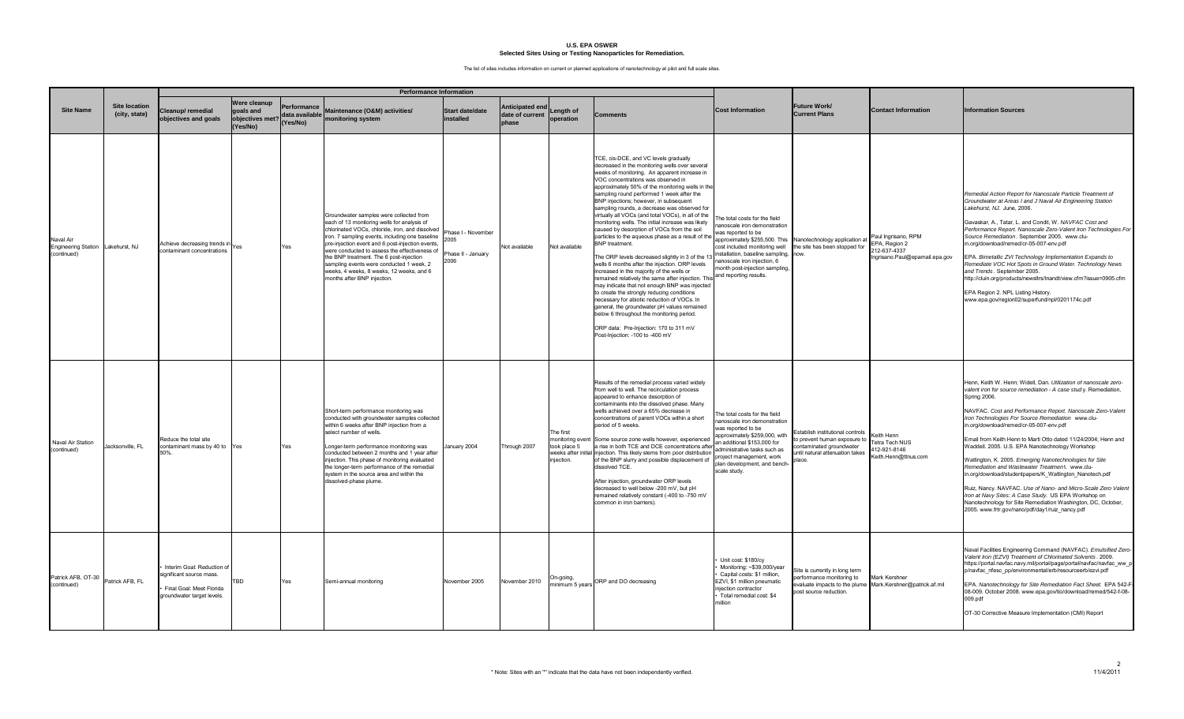|                                                               |                                       |                                                                                                                  |                                                          |                                            | <b>Performance Information</b>                                                                                                                                                                                                                                                                                                                                                                                                                                      |                                                          |                                             |                                         |                                                                                                                                                                                                                                                                                                                                                                                                                                                                                                                                                                                                                                                                                                                                                                                                                                                                                                                                                                                                                                                                                                                                       |                                                                                                                                                                                                                                                             |                                                                                                                                     |                                                                                    |                                                                                                                                                                                                                                                                                                                                                                                                                                                                                                                                                                                                                                                                                                                                                                                                                                                                  |
|---------------------------------------------------------------|---------------------------------------|------------------------------------------------------------------------------------------------------------------|----------------------------------------------------------|--------------------------------------------|---------------------------------------------------------------------------------------------------------------------------------------------------------------------------------------------------------------------------------------------------------------------------------------------------------------------------------------------------------------------------------------------------------------------------------------------------------------------|----------------------------------------------------------|---------------------------------------------|-----------------------------------------|---------------------------------------------------------------------------------------------------------------------------------------------------------------------------------------------------------------------------------------------------------------------------------------------------------------------------------------------------------------------------------------------------------------------------------------------------------------------------------------------------------------------------------------------------------------------------------------------------------------------------------------------------------------------------------------------------------------------------------------------------------------------------------------------------------------------------------------------------------------------------------------------------------------------------------------------------------------------------------------------------------------------------------------------------------------------------------------------------------------------------------------|-------------------------------------------------------------------------------------------------------------------------------------------------------------------------------------------------------------------------------------------------------------|-------------------------------------------------------------------------------------------------------------------------------------|------------------------------------------------------------------------------------|------------------------------------------------------------------------------------------------------------------------------------------------------------------------------------------------------------------------------------------------------------------------------------------------------------------------------------------------------------------------------------------------------------------------------------------------------------------------------------------------------------------------------------------------------------------------------------------------------------------------------------------------------------------------------------------------------------------------------------------------------------------------------------------------------------------------------------------------------------------|
| <b>Site Name</b>                                              | <b>Site location</b><br>(city, state) | Cleanup/remedial<br>objectives and goals                                                                         | Were cleanup<br>goals and<br>objectives met?<br>(Yes/No) | Performance<br>data available I<br>Yes/No) | Maintenance (O&M) activities/<br>monitoring system                                                                                                                                                                                                                                                                                                                                                                                                                  | <b>Start date/date</b><br>installed                      | Anticipated end<br>date of current<br>phase | Length of<br>operation                  | Comments                                                                                                                                                                                                                                                                                                                                                                                                                                                                                                                                                                                                                                                                                                                                                                                                                                                                                                                                                                                                                                                                                                                              | <b>Cost Information</b>                                                                                                                                                                                                                                     | <b>Future Work/</b><br><b>Current Plans</b>                                                                                         | <b>Contact Information</b>                                                         | <b>Information Sources</b>                                                                                                                                                                                                                                                                                                                                                                                                                                                                                                                                                                                                                                                                                                                                                                                                                                       |
| Naval Air<br>Engineering Station Lakehurst, NJ<br>(continued) |                                       | Achieve decreasing trends in Yes<br>contaminant concentrations                                                   |                                                          | Yes                                        | Groundwater samples were collected from<br>each of 13 monitoring wells for analysis of<br>chlorinated VOCs, chloride, iron, and dissolved<br>iron. 7 sampling events, including one baseline<br>pre-injection event and 6 post-injection events,<br>were conducted to assess the effectiveness of<br>the BNP treatment. The 6 post-injection<br>sampling events were conducted 1 week, 2<br>weeks, 4 weeks, 8 weeks, 12 weeks, and 6<br>months after BNP injection. | Phase I - November<br>2005<br>Phase II - January<br>2006 | Not available                               | Not available                           | TCE, cis-DCE, and VC levels gradually<br>decreased in the monitoring wells over several<br>weeks of monitoring. An apparent increase in<br>VOC concentrations was observed in<br>approximately 50% of the monitoring wells in the<br>sampling round performed 1 week after the<br>BNP injections; however, in subsequent<br>sampling rounds, a decrease was observed for<br>virtually all VOCs (and total VOCs), in all of the<br>monitoring wells. The initial increase was likely<br>caused by desorption of VOCs from the soil<br>particles to the aqueous phase as a result of the<br>BNP treatment.<br>The ORP levels decreased slightly in 3 of the 13<br>wells 6 months after the injection. ORP levels<br>increased in the majority of the wells or<br>emained relatively the same after injection. This<br>nay indicate that not enough BNP was injected<br>o create the strongly reducing conditions<br>necessary for abiotic reduction of VOCs. In<br>general, the groundwater pH values remained<br>below 6 throughout the monitoring period.<br>ORP data: Pre-Injection: 170 to 311 mV<br>ost-Injection: -100 to -400 mV | he total costs for the field<br>anoscale iron demonstration<br>vas reported to be<br>installation, baseline sampling, now.<br>anoscale iron injection, 6<br>month post-injection sampling,<br>and reporting results.                                        | pproximately \$255,500. This Nanotechnology application at<br>cost included monitoring well the site has been stopped for           | aul Ingrisano, RPM<br>PA, Region 2<br>12-637-4337<br>ngrisano.Paul@epamail.epa.gov | Remedial Action Report for Nanoscale Particle Treatment of<br>Groundwater at Areas I and J Naval Air Engineering Station<br>Lakehurst, NJ. June, 2006.<br>Gavaskar, A., Tatar, L. and Condit, W. NAVFAC Cost and<br>Performance Report. Nanoscale Zero-Valent Iron Technologies For<br>Source Remediation. September 2005. www.clu-<br>in.org/download/remed/cr-05-007-env.pdf<br>EPA. Bimetallic ZVI Technology Implementation Expands to<br>Remediate VOC Hot Spots in Ground Water. Technology News<br>and Trends. September 2005.<br>http://cluin.org/products/newsltrs/tnandt/view.cfm?issue=0905.cfm<br>EPA Region 2. NPL Listing History.<br>www.epa.gov/region02/superfund/npl/0201174c.pdf                                                                                                                                                              |
| Naval Air Station<br>(continued)                              | Jacksonville, FL                      | Reduce the total site<br>contaminant mass by 40 to Yes<br>50%.                                                   |                                                          | Yes                                        | Short-term performance monitoring was<br>conducted with groundwater samples collected<br>within 6 weeks after BNP injection from a<br>select number of wells.<br>Longer-term performance monitoring was<br>conducted between 2 months and 1 year after<br>injection. This phase of monitoring evaluated<br>the longer-term performance of the remedial<br>system in the source area and within the<br>dissolved-phase plume.                                        | anuary 2004                                              | Through 2007                                | The first<br>took place 5<br>injection. | Results of the remedial process varied widely<br>from well to well. The recirculation process<br>appeared to enhance desorption of<br>contaminants into the dissolved phase. Many<br>wells achieved over a 65% decrease in<br>concentrations of parent VOCs within a short<br>period of 5 weeks.<br>monitoring event Some source zone wells however, experienced<br>a rise in both TCE and DCE concentrations after<br>weeks after initial injection. This likely stems from poor distribution<br>of the BNP slurry and possible displacement of<br>dissolved TCE.<br>After injection, groundwater ORP levels<br>decreased to well below -200 mV, but pH<br>emained relatively constant (-400 to -750 mV<br>ommon in iron barriers).                                                                                                                                                                                                                                                                                                                                                                                                  | he total costs for the field<br>anoscale iron demonstration<br>was reported to be<br>approximately \$259,000, with<br>an additional \$153,000 for<br>administrative tasks such as<br>project management, work<br>lan development, and bench<br>scale study. | Establish institutional controls<br>prevent human exposure to<br>ontaminated groundwater<br>ntil natural attenuation takes<br>lace. | eith Henn<br>Tetra Tech NUS<br>12-921-8146<br>ceith.Henn@ttnus.com                 | Henn, Keith W. Henn; Widell, Dan. Utilization of nanoscale zero-<br>valent iron for source remediation - A case study. Remediation,<br><b>Spring 2006.</b><br>NAVFAC. Cost and Performance Report. Nanoscale Zero-Valent<br>Iron Technologies For Source Remediation www.clu-<br>in.org/download/remed/cr-05-007-env.pdf<br>Email from Keith Henn to Marti Otto dated 11/24/2004; Henn and<br>Waddell. 2005. U.S. EPA Nanotechnology Workshop<br>Natlington, K. 2005. Emerging Nanotechnologies for Site<br>Remediation and Wastewater Treatment. www.clu-<br>n.org/download/studentpapers/K_Watlington_Nanotech.pdf<br>Ruiz, Nancy. NAVFAC. Use of Nano- and Micro-Scale Zero Valent<br>Iron at Navy Sites: A Case Study. US EPA Workshop on<br>Nanotechnology for Site Remediation Washington, DC, October,<br>2005. www.frtr.gov/nano/pdf/day1/ruiz_nancy.pdf |
| Patrick AFB, OT-30<br>(continued)                             | Patrick AFB, FL                       | Interim Goal: Reduction of<br>significant source mass.<br>Final Goal: Meet Florida<br>groundwater target levels. | TBD                                                      | Yes                                        | Semi-annual monitoring                                                                                                                                                                                                                                                                                                                                                                                                                                              | November 2005                                            | November 2010                               | On-going,<br>minimum 5 years            | ORP and DO decreasing                                                                                                                                                                                                                                                                                                                                                                                                                                                                                                                                                                                                                                                                                                                                                                                                                                                                                                                                                                                                                                                                                                                 | Unit cost: \$180/cy<br>Monitoring: ~\$39,000/year<br>Capital costs: \$1 million,<br>EZVI, \$1 million pneumatic<br>injection contractor<br>Total remedial cost: \$4<br>million                                                                              | Site is currently in long term<br>berformance monitoring to<br>valuate impacts to the plume<br>bost source reduction.               | <b>Jark Kershner</b><br>Mark.Kershner@patrick.af.mil                               | Naval Facilities Engineering Command (NAVFAC). Emulsified Zero-<br>Valent Iron (EZVI) Treatment of Chlorinated Solvents. 2009.<br>https://portal.navfac.navy.mil/portal/page/portal/navfac/navfac_ww_p<br>p/navfac_nfesc_pp/environmental/erb/resourceerb/ezvi.pdf<br>EPA. Nanotechnology for Site Remediation Fact Sheet. EPA 542-F-<br>08-009. October 2008. www.epa.gov/tio/download/remed/542-f-08-<br>009.pdf<br>OT-30 Corrective Measure Implementation (CMI) Report                                                                                                                                                                                                                                                                                                                                                                                       |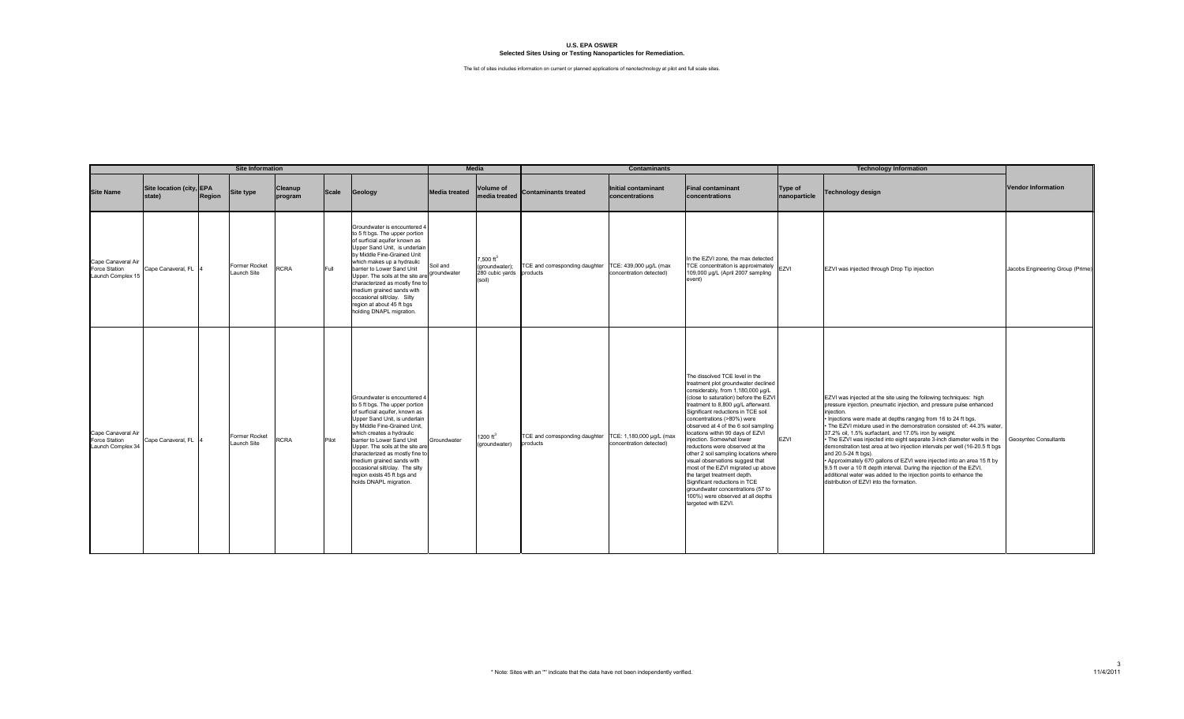|                                                          |                                    |        | <b>Site Information</b>      |                    |       |                                                                                                                                                                                                                                                                                                                                                                                                                              |                         | <b>Media</b>                                                                 |                                            | <b>Contaminants</b>                                 |                                                                                                                                                                                                                                                                                                                                                                                                                                                                                                                                                                                                                                                                                              |                         | <b>Technology Information</b>                                                                                                                                                                                                                                                                                                                                                                                                                                                                                                                                                                                                                                                                                                                                                                                          |                                  |
|----------------------------------------------------------|------------------------------------|--------|------------------------------|--------------------|-------|------------------------------------------------------------------------------------------------------------------------------------------------------------------------------------------------------------------------------------------------------------------------------------------------------------------------------------------------------------------------------------------------------------------------------|-------------------------|------------------------------------------------------------------------------|--------------------------------------------|-----------------------------------------------------|----------------------------------------------------------------------------------------------------------------------------------------------------------------------------------------------------------------------------------------------------------------------------------------------------------------------------------------------------------------------------------------------------------------------------------------------------------------------------------------------------------------------------------------------------------------------------------------------------------------------------------------------------------------------------------------------|-------------------------|------------------------------------------------------------------------------------------------------------------------------------------------------------------------------------------------------------------------------------------------------------------------------------------------------------------------------------------------------------------------------------------------------------------------------------------------------------------------------------------------------------------------------------------------------------------------------------------------------------------------------------------------------------------------------------------------------------------------------------------------------------------------------------------------------------------------|----------------------------------|
| <b>Site Name</b>                                         | Site location (city, EPA<br>state) | Region | Site type                    | Cleanup<br>program | Scale | Geology                                                                                                                                                                                                                                                                                                                                                                                                                      | <b>Media treated</b>    | <b>Volume of</b><br>media treated                                            | <b>Contaminants treated</b>                | <b>Initial contaminant</b><br>concentrations        | <b>Final contaminant</b><br>concentrations                                                                                                                                                                                                                                                                                                                                                                                                                                                                                                                                                                                                                                                   | Type of<br>nanoparticle | Technology design                                                                                                                                                                                                                                                                                                                                                                                                                                                                                                                                                                                                                                                                                                                                                                                                      | <b>Vendor Information</b>        |
| Cape Canaveral Air<br>Force Station<br>Launch Complex 15 | Cape Canaveral, FL 4               |        | Former Rocket<br>Launch Site | <b>RCRA</b>        | Full  | Groundwater is encountered 4<br>to 5 ft bgs. The upper portion<br>of surficial aquifer known as<br>Upper Sand Unit, is underlain<br>by Middle Fine-Grained Unit<br>which makes up a hydraulic<br>barrier to Lower Sand Unit<br>Upper. The soils at the site are<br>characterized as mostly fine to<br>medium grained sands with<br>occasional silt/clay. Silty<br>region at about 45 ft bgs<br>holding DNAPL migration.      | Soil and<br>groundwater | $7,500 \text{ ft}^3$<br>(groundwater);<br>280 cubic yards products<br>(soil) | TCE and corresponding daughter             | TCE: 439,000 µg/L (max<br>concentration detected)   | In the EZVI zone, the max detected<br>TCE concentration is approximately<br>109,000 µg/L (April 2007 sampling<br>event)                                                                                                                                                                                                                                                                                                                                                                                                                                                                                                                                                                      | EZVI                    | EZVI was injected through Drop Tip injection                                                                                                                                                                                                                                                                                                                                                                                                                                                                                                                                                                                                                                                                                                                                                                           | Jacobs Engineering Group (Prime) |
| Cape Canaveral Air<br>Force Station<br>Launch Complex 34 | Cape Canaveral, FL 4               |        | Former Rocket<br>Launch Site | <b>RCRA</b>        | Pilot | Groundwater is encountered 4<br>to 5 ft bgs. The upper portion<br>of surficial aquifer, known as<br>Upper Sand Unit, is underlain<br>by Middle Fine-Grained Unit,<br>which creates a hydraulic<br>barrier to Lower Sand Unit<br>Upper. The soils at the site are<br>characterized as mostly fine to<br>medium grained sands with<br>occasional silt/clay. The silty<br>region exists 45 ft bgs and<br>holds DNAPL migration. | Groundwater             | 1200 $ft^3$<br>(groundwater)                                                 | TCE and corresponding daughter<br>products | TCE: 1,180,000 µg/L (max<br>concentration detected) | The dissolved TCE level in the<br>treatment plot groundwater declined<br>considerably, from 1,180,000 µg/L<br>(close to saturation) before the EZV<br>treatment to 8,800 µg/L afterward.<br>Significant reductions in TCE soil<br>concentrations (>80%) were<br>observed at 4 of the 6 soil sampling<br>locations within 90 days of EZVI<br>injection. Somewhat lower<br>reductions were observed at the<br>other 2 soil sampling locations where<br>visual observations suggest that<br>most of the EZVI migrated up above<br>the target treatment depth.<br>Significant reductions in TCE<br>groundwater concentrations (57 to<br>100%) were observed at all depths<br>targeted with EZVI. | <b>EZVI</b>             | EZVI was injected at the site using the following techniques: high<br>pressure injection, pneumatic injection, and pressure pulse enhanced<br>injection.<br>. Injections were made at depths ranging from 16 to 24 ft bgs.<br>. The EZVI mixture used in the demonstration consisted of: 44.3% water,<br>37.2% oil, 1.5% surfactant, and 17.0% iron by weight.<br>. The EZVI was injected into eight separate 3-inch diameter wells in the<br>demonstration test area at two injection intervals per well (16-20.5 ft bgs<br>and 20.5-24 ft bas).<br>. Approximately 670 gallons of EZVI were injected into an area 15 ft by<br>9.5 ft over a 10 ft depth interval. During the injection of the EZVI,<br>additional water was added to the injection points to enhance the<br>distribution of EZVI into the formation. | Geosyntec Consultants            |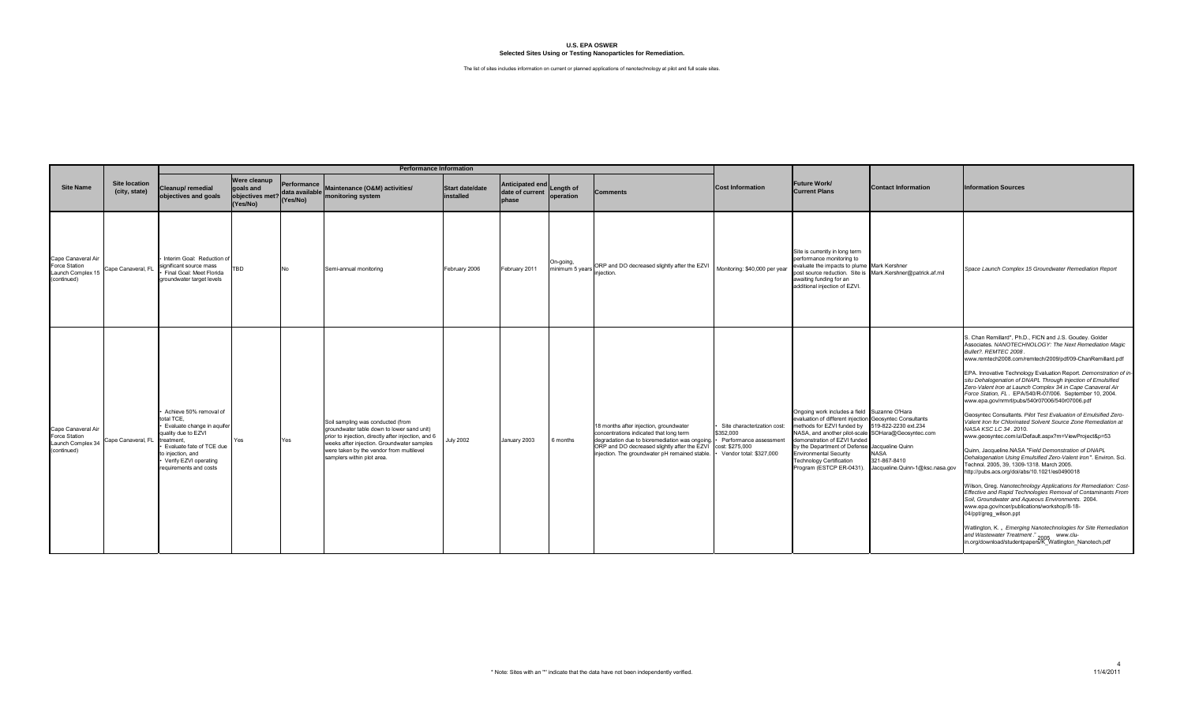|                                                                         |                                       |                                                                                                                                                                                                                   |                                                                          |     | <b>Performance Information</b>                                                                                                                                                                                                                                 |                                     |                                                       |                                        |                                                                                                                                                                                                                                                         |                                                                                               |                                                                                                                                                                                                                                                                                                                                                                |                                                                                        |                                                                                                                                                                                                                                                                                                                                                                                                                                                                                                                                                                                                                                                                                                                                                                                                                                                                                                                                                                                                                                                                                                                                                                                                                                                                                                                                                                                                                          |
|-------------------------------------------------------------------------|---------------------------------------|-------------------------------------------------------------------------------------------------------------------------------------------------------------------------------------------------------------------|--------------------------------------------------------------------------|-----|----------------------------------------------------------------------------------------------------------------------------------------------------------------------------------------------------------------------------------------------------------------|-------------------------------------|-------------------------------------------------------|----------------------------------------|---------------------------------------------------------------------------------------------------------------------------------------------------------------------------------------------------------------------------------------------------------|-----------------------------------------------------------------------------------------------|----------------------------------------------------------------------------------------------------------------------------------------------------------------------------------------------------------------------------------------------------------------------------------------------------------------------------------------------------------------|----------------------------------------------------------------------------------------|--------------------------------------------------------------------------------------------------------------------------------------------------------------------------------------------------------------------------------------------------------------------------------------------------------------------------------------------------------------------------------------------------------------------------------------------------------------------------------------------------------------------------------------------------------------------------------------------------------------------------------------------------------------------------------------------------------------------------------------------------------------------------------------------------------------------------------------------------------------------------------------------------------------------------------------------------------------------------------------------------------------------------------------------------------------------------------------------------------------------------------------------------------------------------------------------------------------------------------------------------------------------------------------------------------------------------------------------------------------------------------------------------------------------------|
| <b>Site Name</b>                                                        | <b>Site location</b><br>(city, state) | Cleanup/ remedial<br>objectives and goals                                                                                                                                                                         | <b>Were cleanup</b><br>goals and<br>objectives met? (Yes/No)<br>(Yes/No) |     | Performance<br>data available<br>starting manifesting content<br>monitoring system                                                                                                                                                                             | <b>Start date/date</b><br>installed | Anticipated end Length of<br>date of current<br>phase | operation                              | <b>Comments</b>                                                                                                                                                                                                                                         | <b>Cost Information</b>                                                                       | <b>Future Work/</b><br><b>Current Plans</b>                                                                                                                                                                                                                                                                                                                    | <b>Contact Information</b>                                                             | <b>Information Sources</b>                                                                                                                                                                                                                                                                                                                                                                                                                                                                                                                                                                                                                                                                                                                                                                                                                                                                                                                                                                                                                                                                                                                                                                                                                                                                                                                                                                                               |
| Cape Canaveral Air<br>Force Station<br>Launch Complex 15<br>(continued) | Cape Canaveral, FL                    | Interim Goal: Reduction of<br>significant source mass<br>Final Goal: Meet Florida<br>groundwater target levels                                                                                                    | TBD                                                                      | No  | Semi-annual monitoring                                                                                                                                                                                                                                         | February 2006                       | February 2011                                         | On-going,<br>minimum 5 years injection | ORP and DO decreased slightly after the EZVI Monitoring: \$40,000 per year                                                                                                                                                                              |                                                                                               | Site is currently in long term<br>performance monitoring to<br>evaluate the impacts to plume Mark Kershner<br>awaiting funding for an<br>additional injection of EZVI.                                                                                                                                                                                         | post source reduction. Site is Mark.Kershner@patrick.af.mil                            | Space Launch Complex 15 Groundwater Remediation Report                                                                                                                                                                                                                                                                                                                                                                                                                                                                                                                                                                                                                                                                                                                                                                                                                                                                                                                                                                                                                                                                                                                                                                                                                                                                                                                                                                   |
| Cape Canaveral Air<br>Force Station<br>Launch Complex 34<br>(continued) | Cape Canaveral, FL                    | Achieve 50% removal of<br>total TCE.<br>· Evaluate change in aquifer<br>quality due to EZVI<br>treatment.<br>• Evaluate fate of TCE due<br>to injection, and<br>• Verify EZVI operating<br>requirements and costs | Yes                                                                      | Yes | Soil sampling was conducted (from<br>groundwater table down to lower sand unit)<br>prior to injection, directly after injection, and 6<br>weeks after injection. Groundwater samples<br>were taken by the vendor from multilevel<br>samplers within plot area. | <b>July 2002</b>                    | January 2003                                          | 6 months                               | 18 months after injection, groundwater<br>concentrations indicated that long term<br>degradation due to bioremediation was ongoing. •<br>ORP and DO decreased slightly after the EZVI cost: \$275,000<br>injection. The groundwater pH remained stable. | Site characterization cost:<br>\$352,000<br>Performance assessment<br>Vendor total: \$327,000 | Ongoing work includes a field Suzanne O'Hara<br>evaluation of different injection Geosyntec Consultants<br>methods for EZVI funded by<br>NASA, and another pilot-scale SOHara@Geosyntec.com<br>demonstration of EZVI funded<br>by the Department of Defense Jacqueline Quinn<br>Environmental Security<br>Technology Certification<br>Program (ESTCP ER-0431). | 519-822-2230 ext.234<br><b>NASA</b><br>321-867-8410<br>Jacqueline.Quinn-1@ksc.nasa.gov | S. Chan Remillard*, Ph.D., FICN and J.S. Goudey. Golder<br>Associates. NANOTECHNOLOGY: The Next Remediation Magic<br>Bullet?, REMTEC 2008.<br>www.remtech2008.com/remtech/2009/pdf/09-ChanRemillard.pdf<br>EPA. Innovative Technology Evaluation Report. Demonstration of in<br>situ Dehalogenation of DNAPL Through Injection of Emulsified<br>Zero-Valent Iron at Launch Complex 34 in Cape Canaveral Air<br>Force Station, FL. EPA/540/R-07/006. September 10, 2004.<br>www.epa.gov/nrmrl/pubs/540r07006/540r07006.pdf<br>Geosyntec Consultants. Pilot Test Evaluation of Emulsified Zero-<br>Valent Iron for Chlorinated Solvent Source Zone Remediation at<br>NASA KSC LC 34. 2010.<br>www.geosyntec.com/ui/Default.aspx?m=ViewProject&p=53<br>Quinn, Jacqueline.NASA "Field Demonstration of DNAPL<br>Dehalogenation Using Emulsified Zero-Valent Iron". Environ. Sci.<br>Technol. 2005, 39, 1309-1318. March 2005.<br>http://pubs.acs.org/doi/abs/10.1021/es0490018<br>Wilson, Greg. Nanotechnology Applications for Remediation: Cost-<br>Effective and Rapid Technologies Removal of Contaminants From<br>Soil, Groundwater and Aqueous Environments. 2004.<br>www.epa.gov/ncer/publications/workshop/8-18-<br>04/ppt/greg_wilson.ppt<br>Watlington, K. « Emerging Nanotechnologies for Site Remediation<br>and Wastewater Treatment." 2005 www.clu-<br>in.org/download/studentpapers/K_Watlington_Nanotech.pdf |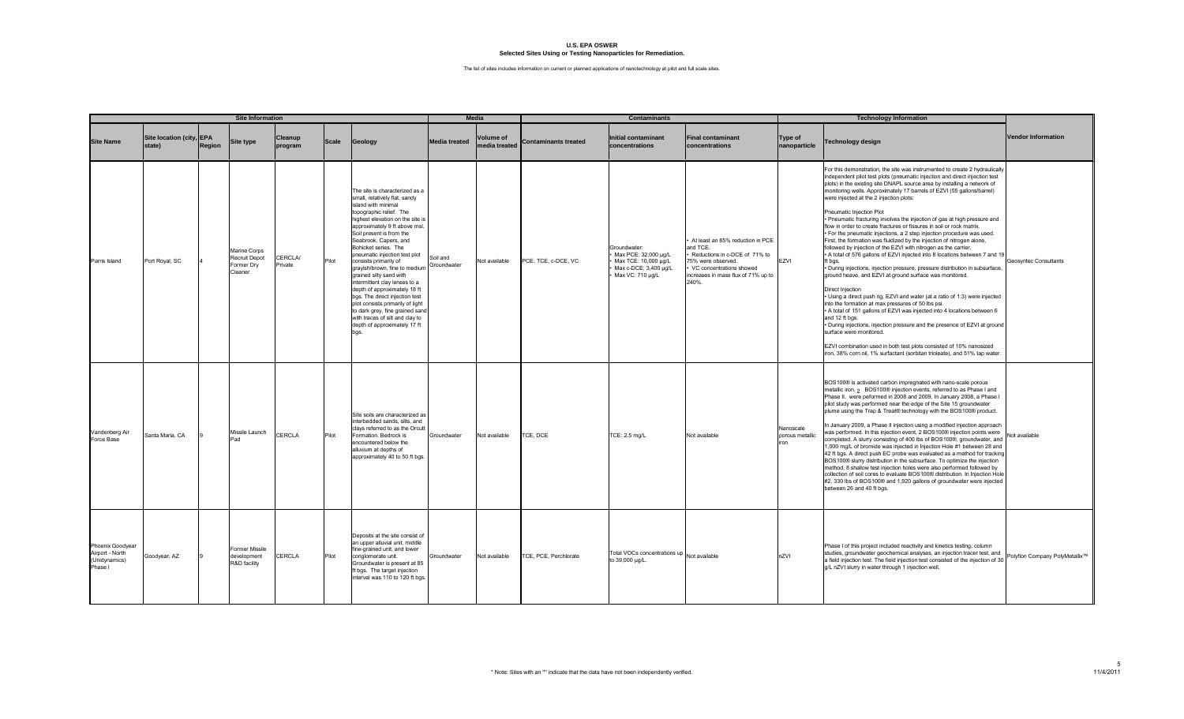|                                                                 |                                    |        | <b>Site Information</b>                                |                           |              |                                                                                                                                                                                                                                                                                                                                                                                                                                                                                                                                                                                                                                                |                         | Media                             |                             | <b>Contaminants</b>                                                                                       |                                                                                                                                                                                 |                                      | <b>Technology Information</b>                                                                                                                                                                                                                                                                                                                                                                                                                                                                                                                                                                                                                                                                                                                                                                                                                                                                                                                                                                                                                                                                                                                                                                                                                                                                                                                                                                                                                                                                                                 |                                |
|-----------------------------------------------------------------|------------------------------------|--------|--------------------------------------------------------|---------------------------|--------------|------------------------------------------------------------------------------------------------------------------------------------------------------------------------------------------------------------------------------------------------------------------------------------------------------------------------------------------------------------------------------------------------------------------------------------------------------------------------------------------------------------------------------------------------------------------------------------------------------------------------------------------------|-------------------------|-----------------------------------|-----------------------------|-----------------------------------------------------------------------------------------------------------|---------------------------------------------------------------------------------------------------------------------------------------------------------------------------------|--------------------------------------|-------------------------------------------------------------------------------------------------------------------------------------------------------------------------------------------------------------------------------------------------------------------------------------------------------------------------------------------------------------------------------------------------------------------------------------------------------------------------------------------------------------------------------------------------------------------------------------------------------------------------------------------------------------------------------------------------------------------------------------------------------------------------------------------------------------------------------------------------------------------------------------------------------------------------------------------------------------------------------------------------------------------------------------------------------------------------------------------------------------------------------------------------------------------------------------------------------------------------------------------------------------------------------------------------------------------------------------------------------------------------------------------------------------------------------------------------------------------------------------------------------------------------------|--------------------------------|
| <b>Site Name</b>                                                | Site location (city, EPA<br>state) | Region | <b>Site type</b>                                       | <b>Cleanup</b><br>program | <b>Scale</b> | Geology                                                                                                                                                                                                                                                                                                                                                                                                                                                                                                                                                                                                                                        | <b>Media treated</b>    | <b>Volume of</b><br>media treated | <b>Contaminants treated</b> | <b>Initial contaminant</b><br>concentrations                                                              | <b>Final contaminant</b><br>concentrations                                                                                                                                      | Type of<br>nanoparticle              | <b>Technology design</b>                                                                                                                                                                                                                                                                                                                                                                                                                                                                                                                                                                                                                                                                                                                                                                                                                                                                                                                                                                                                                                                                                                                                                                                                                                                                                                                                                                                                                                                                                                      | <b>Vendor Information</b>      |
| Parris Island                                                   | Port Royal, SC                     |        | Marine Corps<br>Recruit Depot<br>Former Dry<br>Cleaner | <b>CERCLA/</b><br>Private | Pilot        | The site is characterized as a<br>small, relatively flat, sandy<br>island with minimal<br>topographic relief. The<br>highest elevation on the site is<br>approximately 9 ft above msl.<br>Soil present is from the<br>Seabrook, Capers, and<br>Bohicket series. The<br>pneumatic injection test plot<br>consists primarily of<br>grayish/brown, fine to medium<br>grained silty sand with<br>intermittent clay lenses to a<br>depth of approximately 18 ft<br>bgs. The direct injection test<br>plot consists primarily of light<br>to dark grey, fine grained sand<br>with traces of silt and clay to<br>depth of approximately 17 ft<br>bgs. | Soil and<br>Groundwater | Not available                     | PCE, TCE, c-DCE, VC         | Groundwater:<br>Max PCE: 32,000 µg/L<br>Max TCE: 10,000 µg/L<br>Max c-DCE: 3,400 µg/L<br>Max VC: 710 µg/L | At least an 85% reduction in PCE<br>and TCE.<br>Reductions in c-DCE of 71% to<br>75% were observed.<br>VC concentrations showed<br>increases in mass flux of 71% up to<br>240%. | EZVI                                 | For this demonstration, the site was instrumented to create 2 hydraulically<br>independent pilot test plots (pneumatic injection and direct injection test<br>plots) in the existing site DNAPL source area by installing a network of<br>monitoring wells. Approximately 17 barrels of EZVI (55 gallons/barrel)<br>were injected at the 2 injection plots:<br>Pneumatic Injection Plot<br>. Pneumatic fracturing involves the injection of gas at high pressure and<br>flow in order to create fractures or fissures in soil or rock matrix.<br>· For the pneumatic injections, a 2 step injection procedure was used.<br>First, the formation was fluidized by the injection of nitrogen alone,<br>followed by injection of the EZVI with nitrogen as the carrier.<br>• A total of 576 gallons of EZVI injected into 8 locations between 7 and 1<br>ft bgs.<br>· During injections, injection pressure, pressure distribution in subsurface<br>ground heave, and EZVI at ground surface was monitored.<br>Direct Injection<br>· Using a direct push rig, EZVI and water (at a ratio of 1:3) were injected<br>into the formation at max pressures of 50 lbs psi.<br>• A total of 151 gallons of EZVI was injected into 4 locations between 6<br>and 12 ft bgs.<br>· During injections, injection pressure and the presence of EZVI at ground<br>surface were monitored.<br>EZVI combination used in both test plots consisted of 10% nanosized<br>iron, 38% corn oil, 1% surfactant (sorbitan trioleate), and 51% tap water. | Geosyntec Consultants          |
| Vandenberg Air<br>Force Base                                    | Santa Maria, CA                    |        | Missile Launch<br>Pad                                  | <b>CERCLA</b>             | Pilot        | Site soils are characterized as<br>interbedded sands, silts, and<br>clays referred to as the Orcutt<br>Formation. Bedrock is<br>encountered below the<br>alluvium at depths of<br>approximately 40 to 50 ft bgs                                                                                                                                                                                                                                                                                                                                                                                                                                | Groundwater             | Not available                     | TCE, DCE                    | TCE: 2.5 mg/L                                                                                             | Not available                                                                                                                                                                   | Nanoscale<br>porous metallic<br>iron | BOS100® is activated carbon impregnated with nano-scale porous<br>metallic iron. <sub>2</sub> BOS100® injection events, referred to as Phase I and<br>Phase II, were peformed in 2008 and 2009. In January 2008, a Phase I<br>pilot study was performed near the edge of the Site 15 groundwater<br>plume using the Trap & Treat® technology with the BOS100® product.<br>In January 2009, a Phase II injection using a modified injection approach<br>was performed. In this injection event, 2 BOS100® injection points were<br>completed. A slurry consisting of 400 lbs of BOS100®, groundwater, and<br>1,000 mg/L of bromide was injected in Injection Hole #1 between 28 and<br>42 ft bgs. A direct push EC probe was evaluated as a method for tracking<br>BOS100® slurry distribution in the subsurface. To optimize the injection<br>method, 8 shallow test injection holes were also performed followed by<br>collection of soil cores to evaluate BOS100® distribution. In Injection Hole<br>#2, 330 lbs of BOS100® and 1,920 gallons of groundwater were injected<br>between 26 and 40 ft bgs.                                                                                                                                                                                                                                                                                                                                                                                                                    | Not available                  |
| Phoenix Goodyear<br>Airport - North<br>(Unidynamics)<br>Phase I | Goodyear, AZ                       |        | <b>Former Missile</b><br>development<br>R&D facility   | CERCLA                    | Pilot        | Deposits at the site consist of<br>an upper alluvial unit, middle<br>fine-grained unit, and lower<br>conglomerate unit.<br>Groundwater is present at 85<br>ft bgs. The target injection<br>interval was 110 to 120 ft bgs                                                                                                                                                                                                                                                                                                                                                                                                                      | Groundwater             | Not available                     | TCE, PCE, Perchlorate       | Total VOCs concentrations up Not available<br>to 39,000 µg/L.                                             |                                                                                                                                                                                 | nZVI                                 | Phase I of this project included reactivity and kinetics testing, column<br>studies, groundwater geochemical analyses, an injection tracer test, and<br>a field injection test. The field injection test consisted of the injection of 30<br>g/L nZVI slurry in water through 1 injection well.                                                                                                                                                                                                                                                                                                                                                                                                                                                                                                                                                                                                                                                                                                                                                                                                                                                                                                                                                                                                                                                                                                                                                                                                                               | Polyflon Company PolyMetallix™ |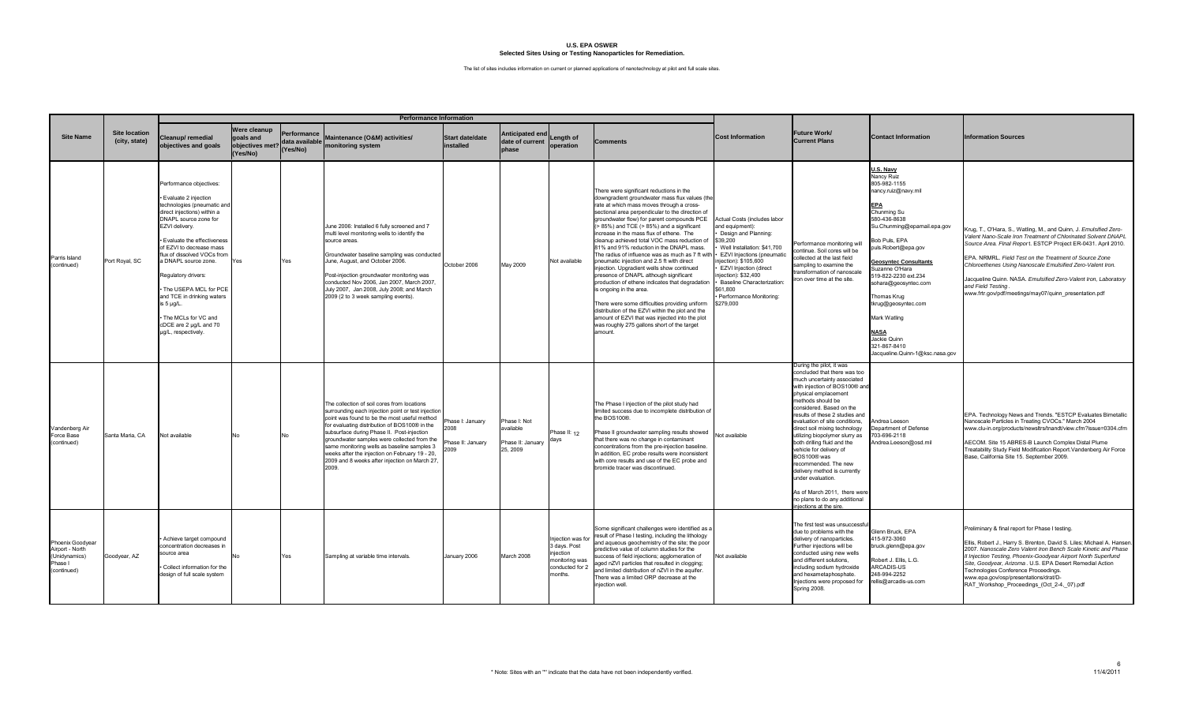|                                                                                |                                       |                                                                                                                                                                                                                                                                                                                                                                                                                                               |                                                          |                                              | <b>Performance Information</b>                                                                                                                                                                                                                                                                                                                                                                                                                             |                                                     |                                                           |                                                                                                |                                                                                                                                                                                                                                                                                                                                                                                                                                                                                                                                                                                                                                                                                                                                                                                                                                                                                                                                                                   |                                                                                                                                                                                                                                                                                     |                                                                                                                                                                                                                                                                                                                                                                                                                                                                                                                                                                                           |                                                                                                                                                                                                                                                                                                                                                                                                                |                                                                                                                                                                                                                                                                                                                                                                                                                                                                                |
|--------------------------------------------------------------------------------|---------------------------------------|-----------------------------------------------------------------------------------------------------------------------------------------------------------------------------------------------------------------------------------------------------------------------------------------------------------------------------------------------------------------------------------------------------------------------------------------------|----------------------------------------------------------|----------------------------------------------|------------------------------------------------------------------------------------------------------------------------------------------------------------------------------------------------------------------------------------------------------------------------------------------------------------------------------------------------------------------------------------------------------------------------------------------------------------|-----------------------------------------------------|-----------------------------------------------------------|------------------------------------------------------------------------------------------------|-------------------------------------------------------------------------------------------------------------------------------------------------------------------------------------------------------------------------------------------------------------------------------------------------------------------------------------------------------------------------------------------------------------------------------------------------------------------------------------------------------------------------------------------------------------------------------------------------------------------------------------------------------------------------------------------------------------------------------------------------------------------------------------------------------------------------------------------------------------------------------------------------------------------------------------------------------------------|-------------------------------------------------------------------------------------------------------------------------------------------------------------------------------------------------------------------------------------------------------------------------------------|-------------------------------------------------------------------------------------------------------------------------------------------------------------------------------------------------------------------------------------------------------------------------------------------------------------------------------------------------------------------------------------------------------------------------------------------------------------------------------------------------------------------------------------------------------------------------------------------|----------------------------------------------------------------------------------------------------------------------------------------------------------------------------------------------------------------------------------------------------------------------------------------------------------------------------------------------------------------------------------------------------------------|--------------------------------------------------------------------------------------------------------------------------------------------------------------------------------------------------------------------------------------------------------------------------------------------------------------------------------------------------------------------------------------------------------------------------------------------------------------------------------|
| <b>Site Name</b>                                                               | <b>Site location</b><br>(city, state) | leanup/remedial<br>objectives and goals                                                                                                                                                                                                                                                                                                                                                                                                       | Were cleanup<br>goals and<br>objectives met?<br>(Yes/No) | Performance<br>data available l'<br>(Yes/No) | Maintenance (O&M) activities/<br>monitoring system                                                                                                                                                                                                                                                                                                                                                                                                         | Start date/date<br>installed                        | Anticipated end<br>date of current<br>phase               | Length of<br>operation                                                                         | <b>Comments</b>                                                                                                                                                                                                                                                                                                                                                                                                                                                                                                                                                                                                                                                                                                                                                                                                                                                                                                                                                   | <b>Cost Information</b>                                                                                                                                                                                                                                                             | Future Work/<br><b>Current Plans</b>                                                                                                                                                                                                                                                                                                                                                                                                                                                                                                                                                      | <b>Contact Information</b>                                                                                                                                                                                                                                                                                                                                                                                     | <b>Information Sources</b>                                                                                                                                                                                                                                                                                                                                                                                                                                                     |
| Parris Island<br>(continued)                                                   | Port Royal, SC                        | Performance objectives:<br>Evaluate 2 injection<br>technologies (pneumatic and<br>direct injections) within a<br>DNAPL source zone for<br>EZVI delivery.<br>Evaluate the effectiveness<br>of EZVI to decrease mass<br>flux of dissolved VOCs from<br>a DNAPL source zone.<br>Regulatory drivers:<br>The USEPA MCL for PCE<br>and TCE in drinking waters<br>is 5 µg/L.<br>The MCLs for VC and<br>cDCE are 2 µg/L and 70<br>µg/L, respectively. | Yes                                                      | Yes                                          | June 2006: Installed 6 fully screened and 7<br>multi level monitoring wells to identify the<br>source areas.<br>Groundwater baseline sampling was conducted<br>June, August, and October 2006.<br>Post-injection groundwater monitoring was<br>conducted Nov 2006, Jan 2007, March 2007,<br>July 2007, Jan 2008, July 2008; and March<br>2009 (2 to 3 week sampling events).                                                                               | October 2006                                        | May 2009                                                  | Not available                                                                                  | There were significant reductions in the<br>downgradient groundwater mass flux values (the<br>rate at which mass moves through a cross-<br>sectional area perpendicular to the direction of<br>groundwater flow) for parent compounds PCE<br>$(> 85\%)$ and TCE $(> 85\%)$ and a significant<br>increase in the mass flux of ethene. The<br>cleanup achieved total VOC mass reduction of<br>81% and 91% reduction in the DNAPL mass.<br>The radius of influence was as much as 7 ft with $\cdot$ EZVI Injections (pneumatic<br>pneumatic injection and 2.5 ft with direct<br>injection. Upgradient wells show continued<br>presence of DNAPL although significant<br>production of ethene indicates that degradation<br>is ongoing in the area.<br>There were some difficulties providing uniform<br>distribution of the EZVI within the plot and the<br>amount of EZVI that was injected into the plot<br>was roughly 275 gallons short of the target<br>amount. | Actual Costs (includes labor<br>and equipment):<br>Design and Planning:<br>\$39,200<br>Well Installation: \$41,700<br>injection): \$105,600<br>• EZVI Injection (direct<br>injection): \$32,400<br>· Baseline Characterization:<br>\$61.800<br>Performance Monitoring:<br>\$279,000 | Performance monitoring will<br>continue. Soil cores will be<br>collected at the last field<br>sampling to examine the<br>transformation of nanoscale<br>on over time at the site.                                                                                                                                                                                                                                                                                                                                                                                                         | U.S. Navy<br>Nancy Ruiz<br>805-982-1155<br>nancy.ruiz@navy.mil<br>Chunming Su<br>580-436-8638<br>Su.Chunming@epamail.epa.gov<br>Bob Puls, EPA<br>puls.Robert@epa.gov<br><b>Geosyntec Consultants</b><br>Suzanne O'Hara<br>519-822-2230 ext.234<br>sohara@geosyntec.com<br>Thomas Krug<br>tkrug@geosyntec.com<br>Mark Watling<br><u>NASA</u><br>Jackie Quinn<br>321-867-8410<br>Jacqueline.Quinn-1@ksc.nasa.gov | Krug, T., O'Hara, S., Watling, M., and Quinn, J. Emulsified Zero-<br>Valent Nano-Scale Iron Treatment of Chlorinated Solvent DNAPL<br>Source Area. Final Report. ESTCP Project ER-0431. April 2010.<br>EPA. NRMRL. Field Test on the Treatment of Source Zone<br>Chloroethenes Using Nanoscale Emulsified Zero-Valent Iron.<br>Jacqueline Quinn. NASA. Emulsified Zero-Valent Iron, Laboratory<br>and Field Testing.<br>www.frtr.gov/pdf/meetings/may07/quinn_presentation.pdf |
| Vandenberg Air<br>Force Base<br>(continued)                                    | Santa Maria, CA                       | Not available                                                                                                                                                                                                                                                                                                                                                                                                                                 |                                                          | No                                           | The collection of soil cores from locations<br>surrounding each injection point or test injection<br>point was found to be the most useful method<br>for evaluating distribution of BOS100® in the<br>subsurface during Phase II. Post-injection<br>groundwater samples were collected from the<br>same monitoring wells as baseline samples 3<br>weeks after the injection on February 19 - 20,<br>2009 and 8 weeks after injection on March 27,<br>2009. | Phase I: January<br>8009<br>hase II: January<br>009 | Phase I: Not<br>available<br>hase II: January<br>25, 2009 | Phase II: 12<br>days                                                                           | The Phase I injection of the pilot study had<br>limited success due to incomplete distribution of<br>the BOS100®.<br>Phase II groundwater sampling results showed<br>that there was no change in contaminant<br>concentrations from the pre-injection baseline.<br>In addition, EC probe results were inconsistent<br>with core results and use of the EC probe and<br>bromide tracer was discontinued.                                                                                                                                                                                                                                                                                                                                                                                                                                                                                                                                                           | Not available                                                                                                                                                                                                                                                                       | During the pilot, it was<br>concluded that there was too<br>much uncertainty associated<br>with injection of BOS100® and<br>physical emplacement<br>nethods should be<br>considered. Based on the<br>results of these 2 studies and<br>evaluation of site conditions,<br>direct soil mixing technology<br>utilizing biopolymer slurry as<br>both drilling fluid and the<br>vehicle for delivery of<br>BOS100® was<br>recommended. The new<br>delivery method is currently<br>under evaluation.<br>As of March 2011, there were<br>no plans to do any additional<br>njections at the sire. | Andrea Leeson<br>Department of Defense<br>703-696-2118<br>Andrea.Leeson@osd.mil                                                                                                                                                                                                                                                                                                                                | EPA. Technology News and Trends. "ESTCP Evaluates Bimetallic<br>Nanoscale Particles in Treating CVOCs." March 2004<br>www.clu-in.org/products/newsltrs/tnandt/view.cfm?issue=0304.cfm<br>AECOM. Site 15 ABRES-B Launch Complex Distal Plume<br>Treatability Study Field Modification Report. Vandenberg Air Force<br>Base, California Site 15, September 2009,                                                                                                                 |
| Phoenix Goodyear<br>Airport - North<br>(Unidynamics)<br>Phase I<br>(continued) | Goodyear, AZ                          | Achieve target compound<br>concentration decreases in<br>source area<br>Collect information for the<br>design of full scale system                                                                                                                                                                                                                                                                                                            |                                                          | Yes                                          | Sampling at variable time intervals.                                                                                                                                                                                                                                                                                                                                                                                                                       | January 2006                                        | March 2008                                                | Injection was for<br>3 days. Post<br>injection<br>monitoring was<br>conducted for 2<br>months. | Some significant challenges were identified as a<br>result of Phase I testing, including the lithology<br>and aqueous geochemistry of the site; the poor<br>predictive value of column studies for the<br>success of field injections; agglomeration of<br>aged nZVI particles that resulted in clogging;<br>and limited distribution of nZVI in the aquifer.<br>There was a limited ORP decrease at the<br>iniection well.                                                                                                                                                                                                                                                                                                                                                                                                                                                                                                                                       | Not available                                                                                                                                                                                                                                                                       | The first test was unsuccessfu<br>due to problems with the<br>delivery of nanoparticles.<br>Further injections will be<br>conducted using new wells<br>and different solutions,<br>including sodium hydroxide<br>and hexametaphosphate.<br>Injections were proposed for<br><b>Spring 2008.</b>                                                                                                                                                                                                                                                                                            | Glenn Bruck, EPA<br>415-972-3060<br>bruck.glenn@epa.gov<br>Robert J. Ellis, L.G.<br>ARCADIS-US<br>248-994-2252<br>rellis@arcadis-us.com                                                                                                                                                                                                                                                                        | Preliminary & final report for Phase I testing.<br>Ellis, Robert J., Harry S. Brenton, David S. Liles; Michael A. Hansen.<br>2007. Nanoscale Zero Valent Iron Bench Scale Kinetic and Phase<br>Il Injection Testing, Phoenix-Goodyear Airport North Superfund<br>Site, Goodyear, Arizoma. U.S. EPA Desert Remedial Action<br>Technologies Conference Proceedings.<br>www.epa.gov/osp/presentations/drat/D-<br>RAT Workshop Proceedings (Oct 2-4, 07).pdf                       |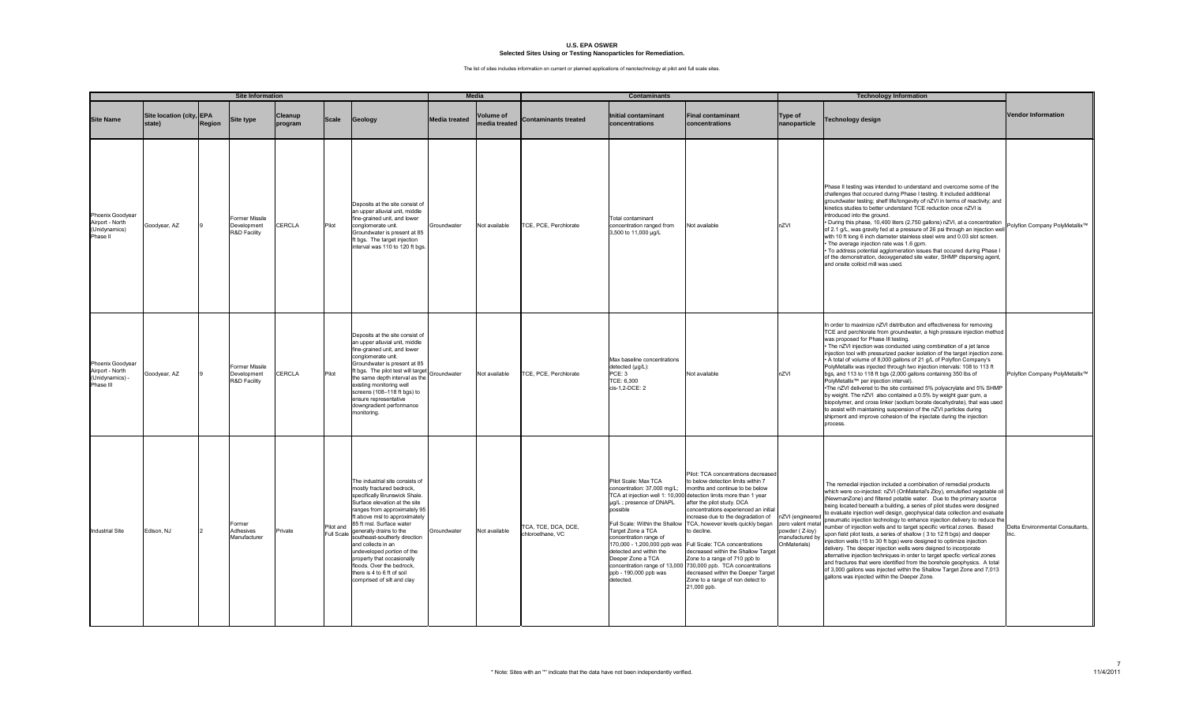|                                                                     |                                    |        | <b>Site Information</b>                              |                           |                         |                                                                                                                                                                                                                                                                                                                                                                                                                                                                    |                      | <b>Media</b>                     |                                         | <b>Contaminants</b>                                                                                                                                                                                                                                                                                |                                                                                                                                                                                                                                                                                                                                                                                                                                                                                                                                                                                                                     |                                                                                            | <b>Technology Information</b>                                                                                                                                                                                                                                                                                                                                                                                                                                                                                                                                                                                                                                                                                                                                                                                                                                                                                                                                                                                                                         |                                          |
|---------------------------------------------------------------------|------------------------------------|--------|------------------------------------------------------|---------------------------|-------------------------|--------------------------------------------------------------------------------------------------------------------------------------------------------------------------------------------------------------------------------------------------------------------------------------------------------------------------------------------------------------------------------------------------------------------------------------------------------------------|----------------------|----------------------------------|-----------------------------------------|----------------------------------------------------------------------------------------------------------------------------------------------------------------------------------------------------------------------------------------------------------------------------------------------------|---------------------------------------------------------------------------------------------------------------------------------------------------------------------------------------------------------------------------------------------------------------------------------------------------------------------------------------------------------------------------------------------------------------------------------------------------------------------------------------------------------------------------------------------------------------------------------------------------------------------|--------------------------------------------------------------------------------------------|-------------------------------------------------------------------------------------------------------------------------------------------------------------------------------------------------------------------------------------------------------------------------------------------------------------------------------------------------------------------------------------------------------------------------------------------------------------------------------------------------------------------------------------------------------------------------------------------------------------------------------------------------------------------------------------------------------------------------------------------------------------------------------------------------------------------------------------------------------------------------------------------------------------------------------------------------------------------------------------------------------------------------------------------------------|------------------------------------------|
| <b>Site Name</b>                                                    | Site location (city, EPA<br>state) | Region | <b>Site type</b>                                     | <b>Cleanup</b><br>program | <b>Scale</b>            | Geology                                                                                                                                                                                                                                                                                                                                                                                                                                                            | <b>Media treated</b> | <b>Volume of</b><br>edia treated | <b>Contaminants treated</b>             | <b>Initial contaminant</b><br>concentrations                                                                                                                                                                                                                                                       | <b>Final contaminant</b><br>concentrations                                                                                                                                                                                                                                                                                                                                                                                                                                                                                                                                                                          | Type of<br>nanoparticle                                                                    | <b>Technology design</b>                                                                                                                                                                                                                                                                                                                                                                                                                                                                                                                                                                                                                                                                                                                                                                                                                                                                                                                                                                                                                              | <b>Vendor Information</b>                |
| Phoenix Goodyear<br>Airport - North<br>(Unidynamics)<br>Phase II    | Goodyear, AZ                       |        | Former Missile<br>Development<br>R&D Facility        | <b>CERCLA</b>             | Pilot                   | Deposits at the site consist of<br>an upper alluvial unit, middle<br>fine-grained unit, and lower<br>conglomerate unit.<br>Groundwater is present at 85<br>ft bgs. The target injection<br>interval was 110 to 120 ft bgs                                                                                                                                                                                                                                          | Groundwater          | Not available                    | TCE, PCE, Perchlorate                   | Total contaminant<br>concentration ranged from<br>3,500 to 11,000 µg/L                                                                                                                                                                                                                             | Not available                                                                                                                                                                                                                                                                                                                                                                                                                                                                                                                                                                                                       | nZVI                                                                                       | Phase II testing was intended to understand and overcome some of the<br>challenges that occured during Phase I testing. It included additional<br>groundwater testing; shelf life/longevity of nZVI in terms of reactivity; and<br>kinetics studies to better understand TCE reduction once nZVI is<br>introduced into the ground.<br>· During this phase, 10,400 liters (2,750 gallons) nZVI, at a concentration<br>of 2.1 g/L, was gravity fed at a pressure of 26 psi through an injection well<br>with 10 ft long 6 inch diameter stainless steel wire and 0.03 slot screen.<br>. The average injection rate was 1.6 gpm.<br>· To address potential agglomeration issues that occured during Phase I<br>of the demonstration, deoxygenated site water, SHMP dispersing agent,<br>and onsite colloid mill was used.                                                                                                                                                                                                                                | Polyflon Company PolyMetallix™           |
| Phoenix Goodyear<br>Airport - North<br>(Unidynamics) -<br>Phase III | Goodyear, AZ                       |        | <b>Former Missile</b><br>Development<br>R&D Facility | CERCLA                    | Pilot                   | Deposits at the site consist of<br>an upper alluvial unit, middle<br>fine-grained unit, and lower<br>conglomerate unit.<br>Groundwater is present at 85<br>ft bgs. The pilot test will target<br>the same depth interval as the<br>existing monitoring well<br>screens (108-118 ft bgs) to<br>ensure representative<br>downgradient performance<br>monitoring.                                                                                                     | Groundwater          | Not available                    | TCE, PCE, Perchlorate                   | Max baseline concentrations<br>detected (µg/L):<br>PCE: 3<br>TCE: 6,300<br>cis-1,2-DCE: 2                                                                                                                                                                                                          | Not available                                                                                                                                                                                                                                                                                                                                                                                                                                                                                                                                                                                                       | nZVI                                                                                       | In order to maximize nZVI distribution and effectiveness for removing<br>TCE and perchlorate from groundwater, a high pressure injection method<br>was proposed for Phase III testing.<br>. The nZVI injection was conducted using combination of a jet lance<br>injection tool with pressurized packer isolation of the target injection zone<br>A total of volume of 8,000 gallons of 21 g/L of Polyflon Company's<br>PolyMetallix was injected through two injection intervals: 108 to 113 ft<br>bgs, and 113 to 118 ft bgs (2,000 gallons containing 350 lbs of<br>PolyMetallix <sup>™</sup> per injection interval).<br>. The nZVI delivered to the site contained 5% polyacrylate and 5% SHMF<br>by weight. The nZVI also contained a 0.5% by weight guar gum, a<br>biopolymer, and cross linker (sodium borate decahydrate), that was used<br>to assist with maintaining suspension of the nZVI particles during<br>shipment and improve cohesion of the injectate during the injection<br>process.                                            | Polyflon Company PolyMetallix™           |
| <b>Industrial Site</b>                                              | Edison, NJ                         |        | Former<br>Adhesives<br>Manufacturer                  | Private                   | Pilot and<br>Full Scale | The industrial site consists of<br>mostly fractured bedrock,<br>specifically Brunswick Shale.<br>Surface elevation at the site<br>ranges from approximately 95<br>ft above msl to approximately<br>85 ft msl. Surface water<br>generally drains to the<br>southeast-southerly direction<br>and collects in an<br>undeveloped portion of the<br>property that occasionally<br>floods. Over the bedrock,<br>there is 4 to 6 ft of soil<br>comprised of silt and clay | Groundwater          | Not available                    | TCA, TCE, DCA, DCE,<br>chloroethane, VC | Pilot Scale: Max TCA<br>concentration: 37,000 mg/L;<br>µg/L; presence of DNAPL<br>possible<br>Full Scale: Within the Shallow<br>Target Zone a TCA<br>concentration range of<br>detected and within the<br>Deeper Zone a TCA<br>concentration range of 13,000<br>ppb - 190,000 ppb was<br>detected. | Pilot: TCA concentrations decreased<br>to below detection limits within 7<br>months and continue to be below<br>TCA at injection well 1: 10,000 detection limits more than 1 year<br>after the pilot study. DCA<br>concentrations experienced an initial<br>increase due to the degradation of<br>TCA, however levels quickly began<br>to decline.<br>170,000 - 1,200,000 ppb was Full Scale: TCA concentrations<br>decreased within the Shallow Target<br>Zone to a range of 710 ppb to<br>730,000 ppb. TCA concentrations<br>decreased within the Deeper Targe<br>Zone to a range of non detect to<br>21,000 ppb. | nZVI (engineered<br>zero valent metal<br>powder (Z-loy)<br>manufactured by<br>OnMaterials) | The remedial injection included a combination of remedial products<br>which were co-injected: nZVI (OnMaterial's Zloy), emulsified vegetable oil<br>(NewmanZone) and filtered potable water. Due to the primary source<br>being located beneath a building, a series of pilot studes were designed<br>to evaluate injection well design, geophysical data collection and evaluate<br>pneumatic injection technology to enhance injection delivery to reduce the<br>number of injection wells and to target specific vertical zones. Based<br>upon field pilot tests, a series of shallow (3 to 12 ft bgs) and deeper<br>injection wells (15 to 30 ft bgs) were designed to optimize injection<br>delivery. The deeper injection wells were deigned to incorporate<br>alternative injection techniques in order to target specfic vertical zones<br>and fractures that were identified from the borehole geophysics. A total<br>of 3,000 gallons was injected within the Shallow Target Zone and 7,013<br>gallons was injected within the Deeper Zone. | Delta Environmental Consultants,<br>Inc. |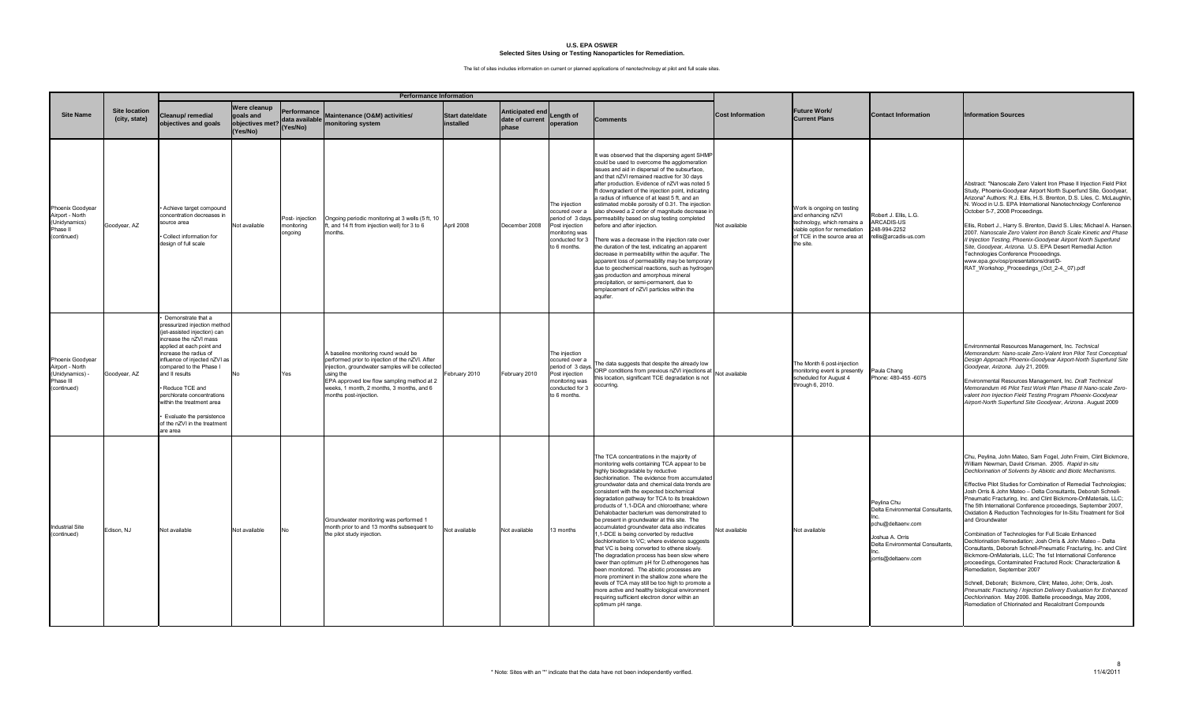|                                                                                    |                                       |                                                                                                                                                                                                                                                                                                                                                                                                      |                                                          |                                              | <b>Performance Information</b>                                                                                                                                                                                                                                                |                              |                                             |                                                                                                                             |                                                                                                                                                                                                                                                                                                                                                                                                                                                                                                                                                                                                                                                                                                                                                                                                                                                                                                                                                                                                                                            |                         |                                                                                                                                                               |                                                                                                                                                   |                                                                                                                                                                                                                                                                                                                                                                                                                                                                                                                                                                                                                                                                                                                                                                                                                                                                                                                                                                                                                                                                                                                                                                              |
|------------------------------------------------------------------------------------|---------------------------------------|------------------------------------------------------------------------------------------------------------------------------------------------------------------------------------------------------------------------------------------------------------------------------------------------------------------------------------------------------------------------------------------------------|----------------------------------------------------------|----------------------------------------------|-------------------------------------------------------------------------------------------------------------------------------------------------------------------------------------------------------------------------------------------------------------------------------|------------------------------|---------------------------------------------|-----------------------------------------------------------------------------------------------------------------------------|--------------------------------------------------------------------------------------------------------------------------------------------------------------------------------------------------------------------------------------------------------------------------------------------------------------------------------------------------------------------------------------------------------------------------------------------------------------------------------------------------------------------------------------------------------------------------------------------------------------------------------------------------------------------------------------------------------------------------------------------------------------------------------------------------------------------------------------------------------------------------------------------------------------------------------------------------------------------------------------------------------------------------------------------|-------------------------|---------------------------------------------------------------------------------------------------------------------------------------------------------------|---------------------------------------------------------------------------------------------------------------------------------------------------|------------------------------------------------------------------------------------------------------------------------------------------------------------------------------------------------------------------------------------------------------------------------------------------------------------------------------------------------------------------------------------------------------------------------------------------------------------------------------------------------------------------------------------------------------------------------------------------------------------------------------------------------------------------------------------------------------------------------------------------------------------------------------------------------------------------------------------------------------------------------------------------------------------------------------------------------------------------------------------------------------------------------------------------------------------------------------------------------------------------------------------------------------------------------------|
| <b>Site Name</b>                                                                   | <b>Site location</b><br>(city, state) | Cleanup/remedial<br>objectives and goals                                                                                                                                                                                                                                                                                                                                                             | Were cleanup<br>goals and<br>objectives met?<br>(Yes/No) | Performance<br>data available l'<br>(Yes/No) | Maintenance (O&M) activities/<br>monitoring system                                                                                                                                                                                                                            | Start date/date<br>installed | Anticipated end<br>date of current<br>phase | Length of<br>operation                                                                                                      | Comments                                                                                                                                                                                                                                                                                                                                                                                                                                                                                                                                                                                                                                                                                                                                                                                                                                                                                                                                                                                                                                   | <b>Cost Information</b> | Future Work/<br><b>Current Plans</b>                                                                                                                          | <b>Contact Information</b>                                                                                                                        | <b>Information Sources</b>                                                                                                                                                                                                                                                                                                                                                                                                                                                                                                                                                                                                                                                                                                                                                                                                                                                                                                                                                                                                                                                                                                                                                   |
| Phoenix Goodyear<br>Airport - North<br>(Unidynamics)<br>Phase II<br>(continued)    | Goodyear, AZ                          | Achieve target compound<br>concentration decreases in<br>ource area<br>Collect information for<br>design of full scale                                                                                                                                                                                                                                                                               | Not available                                            | Post-injection<br>monitoring<br>ongoing      | Ongoing periodic monitoring at 3 wells (5 ft, 10<br>ft, and 14 ft from injection well) for 3 to 6<br>nonths.                                                                                                                                                                  | April 2008                   | December 2008                               | The injection<br>occured over a<br>Post injection<br>monitoring was<br>conducted for 3<br>to 6 months.                      | t was observed that the dispersing agent SHMP<br>could be used to overcome the agglomeration<br>issues and aid in dispersal of the subsurface,<br>and that nZVI remained reactive for 30 days<br>after production. Evidence of nZVI was noted 5<br>ft downgradient of the injection point, indicating<br>a radius of influence of at least 5 ft, and an<br>estimated mobile porosity of 0.31. The injection<br>also showed a 2 order of magnitude decrease i<br>period of 3 days. permeability based on slug testing completed<br>before and after injection.<br>There was a decrease in the injection rate over<br>the duration of the test, indicating an apparent<br>decrease in permeability within the aquifer. The<br>apparent loss of permeability may be temporary<br>due to geochemical reactions, such as hydroger<br>gas production and amorphous mineral<br>precipitation, or semi-permanent, due to<br>emplacement of nZVI particles within the<br>aguifer.                                                                   | Not available           | Work is ongoing on testing<br>and enhancing nZVI<br>technology, which remains a<br>viable option for remediation<br>of TCE in the source area at<br>the site. | Robert J. Ellis, L.G.<br><b>ARCADIS-US</b><br>248-994-2252<br>ellis@arcadis-us.com                                                                | Abstract: "Nanoscale Zero Valent Iron Phase II Injection Field Pilot<br>Study, Phoenix-Goodyear Airport North Superfund Site, Goodyear,<br>Arizona" Authors: R.J. Ellis, H.S. Brenton, D.S. Liles, C. McLaughlin,<br>N. Wood in U.S. EPA International Nanotechnology Conference<br>October 5-7, 2008 Proceedings.<br>Ellis, Robert J., Harry S. Brenton, David S. Liles; Michael A. Hansen.<br>2007. Nanoscale Zero Valent Iron Bench Scale Kinetic and Phase<br>Il Injection Testing, Phoenix-Goodyear Airport North Superfund<br>Site, Goodyear, Arizona. U.S. EPA Desert Remedial Action<br>Technologies Conference Proceedings.<br>www.epa.gov/osp/presentations/drat/D-<br>RAT_Workshop_Proceedings_(Oct_2-4,_07).pdf                                                                                                                                                                                                                                                                                                                                                                                                                                                  |
| Phoenix Goodyear<br>Airport - North<br>(Unidynamics) -<br>Phase III<br>(continued) | Goodyear, AZ                          | Demonstrate that a<br>pressurized injection method<br>(jet-assisted injection) can<br>ncrease the nZVI mass<br>applied at each point and<br>ncrease the radius of<br>influence of injected nZVI as<br>compared to the Phase I<br>and II results<br>Reduce TCE and<br>perchlorate concentrations<br>vithin the treatment area<br>Evaluate the persistence<br>of the nZVI in the treatment<br>are area | No                                                       | Yes                                          | A baseline monitoring round would be<br>performed prior to injection of the nZVI. After<br>injection, groundwater samples will be collected<br>using the<br>EPA approved low flow sampling method at 2<br>weeks, 1 month, 2 months, 3 months, and 6<br>months post-injection. | ebruary 2010                 | February 2010                               | The injection<br>occured over a<br>period of 3 days.<br>Post injection<br>monitoring was<br>conducted for 3<br>to 6 months. | The data suggests that despite the already low<br>ORP conditions from previous nZVI injections at<br>his location, significant TCE degradation is not<br>occurring.                                                                                                                                                                                                                                                                                                                                                                                                                                                                                                                                                                                                                                                                                                                                                                                                                                                                        | Not available           | The Month 6 post-injection<br>monitoring event is presently<br>scheduled for August 4<br>through 6, 2010.                                                     | Paula Chang<br>Phone: 480-455 -6075                                                                                                               | Environmental Resources Management, Inc. Technical<br>Memorandum: Nano-scale Zero-Valent Iron Pilot Test Conceptual<br>Design Approach Phoenix-Goodyear Airport-North Superfund Site<br>Goodyear, Arizona. July 21, 2009.<br>Environmental Resources Management, Inc. Draft Technical<br>Memorandum #6 Pilot Test Work Plan Phase III Nano-scale Zero-<br>valent Iron Injection Field Testing Program Phoenix-Goodyear<br>Airport-North Superfund Site Goodyear, Arizona. August 2009                                                                                                                                                                                                                                                                                                                                                                                                                                                                                                                                                                                                                                                                                        |
| <b>Industrial Site</b><br>(continued)                                              | Edison, NJ                            | Not available                                                                                                                                                                                                                                                                                                                                                                                        | Not available                                            | No                                           | Groundwater monitoring was performed 1<br>month prior to and 13 months subsequent to<br>the pilot study injection.                                                                                                                                                            | Not available                | Not available                               | 13 months                                                                                                                   | The TCA concentrations in the majority of<br>monitoring wells containing TCA appear to be<br>highly biodegradable by reductive<br>dechlorination. The evidence from accumulated<br>groundwater data and chemical data trends are<br>consistent with the expected biochemical<br>degradation pathway for TCA to its breakdown<br>products of 1,1-DCA and chloroethane; where<br>Dehalobacter bacterium was demonstrated to<br>be present in groundwater at this site. The<br>accumulated groundwater data also indicates<br>1,1-DCE is being converted by reductive<br>dechlorination to VC; where evidence suggests<br>that VC is being converted to ethene slowly.<br>The degradation process has been slow where<br>lower than optimum pH for D.ethenogenes has<br>been monitored. The abiotic processes are<br>more prominent in the shallow zone where the<br>levels of TCA may still be too high to promote a<br>more active and healthy biological environment<br>requiring sufficient electron donor within an<br>optimum pH range. | Not available           | Not available                                                                                                                                                 | Peylina Chu<br>Delta Environmental Consultants,<br>pchu@deltaenv.com<br>Joshua A. Orris<br>Delta Environmental Consultants.<br>orris@deltaenv.com | Chu, Peylina, John Mateo, Sam Fogel, John Freim, Clint Bickmore,<br>William Newman, David Crisman. 2005. Rapid In-situ<br>Dechlorination of Solvents by Abiotic and Biotic Mechanisms.<br>Effective Pilot Studies for Combination of Remedial Technologies;<br>Josh Orris & John Mateo - Delta Consultants, Deborah Schnell-<br>Pneumatic Fracturing, Inc. and Clint Bickmore-OnMaterials, LLC;<br>The 5th International Conference proceedings, September 2007,<br>Oxidation & Reduction Technologies for In-Situ Treatment for Soil<br>and Groundwater<br>Combination of Technologies for Full Scale Enhanced<br>Dechlorination Remediation; Josh Orris & John Mateo - Delta<br>Consultants, Deborah Schnell-Pneumatic Fracturing, Inc. and Clint<br>Bickmore-OnMaterials, LLC; The 1st International Conference<br>proceedings, Contaminated Fractured Rock: Characterization &<br>Remediation, September 2007<br>Schnell, Deborah; Bickmore, Clint; Mateo, John; Orris, Josh.<br>Pneumatic Fracturing / Injection Delivery Evaluation for Enhanced<br>Dechlorination. May 2006. Battelle proceedings, May 2006,<br>Remediation of Chlorinated and Recalcitrant Compounds |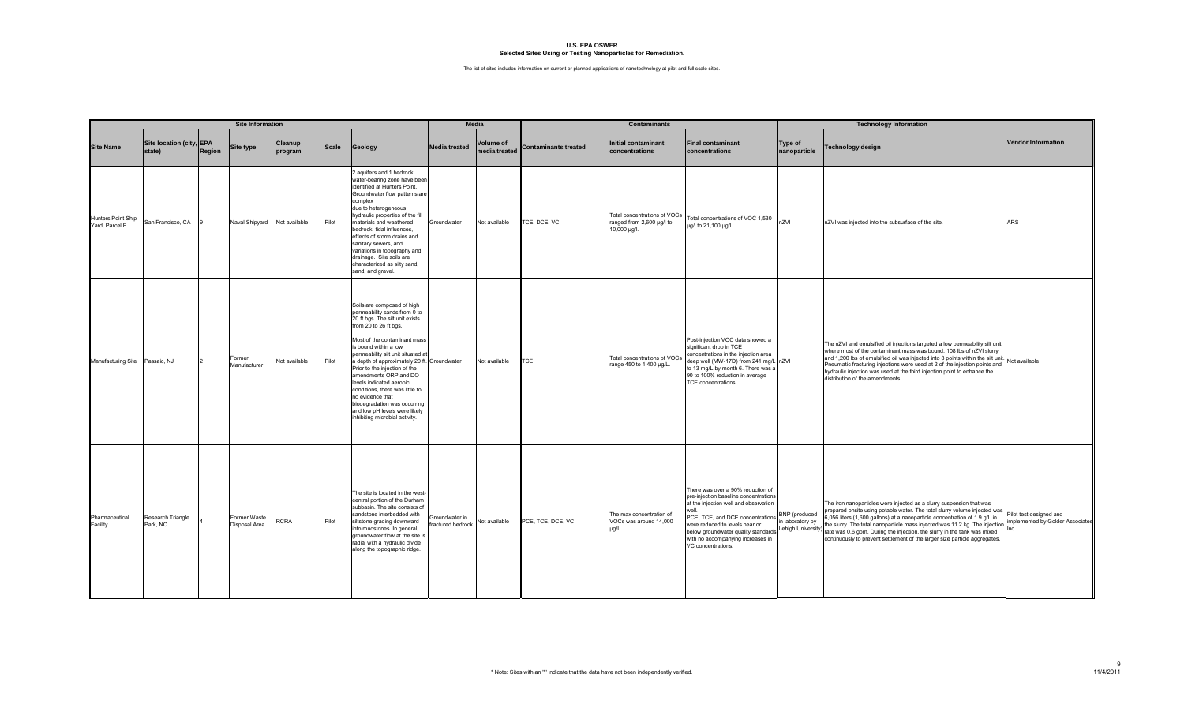|                                      |                                    |               | <b>Site Information</b>       |                    |              |                                                                                                                                                                                                                                                                                                                                                                                                                                                                                                                     |                                            | <b>Media</b>                      |                             | <b>Contaminants</b>                                                       |                                                                                                                                                                                                                                                                                                      |                                  | <b>Technology Information</b>                                                                                                                                                                                                                                                                                                                                                                                                                                                                   |                                                            |
|--------------------------------------|------------------------------------|---------------|-------------------------------|--------------------|--------------|---------------------------------------------------------------------------------------------------------------------------------------------------------------------------------------------------------------------------------------------------------------------------------------------------------------------------------------------------------------------------------------------------------------------------------------------------------------------------------------------------------------------|--------------------------------------------|-----------------------------------|-----------------------------|---------------------------------------------------------------------------|------------------------------------------------------------------------------------------------------------------------------------------------------------------------------------------------------------------------------------------------------------------------------------------------------|----------------------------------|-------------------------------------------------------------------------------------------------------------------------------------------------------------------------------------------------------------------------------------------------------------------------------------------------------------------------------------------------------------------------------------------------------------------------------------------------------------------------------------------------|------------------------------------------------------------|
| <b>Site Name</b>                     | Site location (city, EPA<br>state) | <b>Region</b> | Site type                     | Cleanup<br>program | <b>Scale</b> | Geology                                                                                                                                                                                                                                                                                                                                                                                                                                                                                                             | <b>Media treated</b>                       | <b>Volume of</b><br>media treated | <b>Contaminants treated</b> | <b>Initial contaminant</b><br>concentrations                              | <b>Final contaminant</b><br>concentrations                                                                                                                                                                                                                                                           | <b>Type of</b><br>nanoparticle   | Technology design                                                                                                                                                                                                                                                                                                                                                                                                                                                                               | <b>Vendor Information</b>                                  |
| Hunters Point Ship<br>Yard, Parcel E | San Francisco, CA                  |               | Naval Shipyard                | Not available      | Pilot        | 2 aquifers and 1 bedrock<br>water-bearing zone have been<br>identified at Hunters Point.<br>Groundwater flow patterns are<br>complex<br>due to heterogeneous<br>hydraulic properties of the fill<br>materials and weathered<br>bedrock, tidal influences,<br>effects of storm drains and<br>sanitary sewers, and<br>variations in topography and<br>drainage. Site soils are<br>characterized as silty sand,<br>sand, and gravel.                                                                                   | Groundwater                                | Not available                     | CE, DCE, VC                 | Total concentrations of VOCs<br>ranged from 2,600 µg/l to<br>10,000 µg/l. | Total concentrations of VOC 1,530<br>ug/l to 21,100 ug/l                                                                                                                                                                                                                                             | nZVI                             | nZVI was injected into the subsurface of the site.                                                                                                                                                                                                                                                                                                                                                                                                                                              | <b>ARS</b>                                                 |
| <b>Manufacturing Site</b>            | Passaic, NJ                        |               | Former<br>Manufacturer        | Not available      | Pilot        | Soils are composed of high<br>permeability sands from 0 to<br>20 ft bgs. The silt unit exists<br>from 20 to 26 ft bgs.<br>Most of the contaminant mass<br>is bound within a low<br>permeability silt unit situated a<br>a depth of approximately 20 ft. Groundwater<br>Prior to the injection of the<br>amendments ORP and DO<br>levels indicated aerobic<br>conditions, there was little to<br>no evidence that<br>biodegradation was occurring<br>and low pH levels were likely<br>inhibiting microbial activity. |                                            | Not available                     | <b>TCE</b>                  | Total concentrations of VOCs<br>range 450 to 1,400 µg/L.                  | Post-injection VOC data showed a<br>significant drop in TCE<br>concentrations in the injection area<br>deep well (MW-17D) from 241 mg/L nZVI<br>to 13 mg/L by month 6. There was a<br>90 to 100% reduction in average<br>TCE concentrations.                                                         |                                  | The nZVI and emulsified oil injections targeted a low permeability silt unit<br>where most of the contaminant mass was bound. 108 lbs of nZVI slurry<br>and 1,200 lbs of emulsified oil was injected into 3 points within the silt unit.<br>Pneumatic fracturing injections were used at 2 of the injection points and<br>hydraulic injection was used at the third injection point to enhance the<br>distribution of the amendments.                                                           | Not available                                              |
| Pharmaceutical<br>Facility           | Research Triangle<br>Park, NC      |               | Former Waste<br>Disposal Area | <b>CRA</b>         | Pilot        | The site is located in the west-<br>central portion of the Durham<br>subbasin. The site consists of<br>sandstone interbedded with<br>siltstone grading downward<br>into mudstones. In general,<br>groundwater flow at the site i<br>radial with a hydraulic divide<br>along the topographic ridge.                                                                                                                                                                                                                  | Groundwater in<br><b>fractured</b> bedrock | Not available                     | PCE, TCE, DCE, VC           | The max concentration of<br>VOCs was around 14,000<br>µg/L.               | There was over a 90% reduction of<br>pre-injection baseline concentrations<br>at the injection well and observation<br>well.<br>PCE, TCE, and DCE concentrations<br>were reduced to levels near or<br>below groundwater quality standards<br>with no accompanying increases in<br>VC concentrations. | BNP (produced<br>n laboratory by | The iron nanoparticles were injected as a slurry suspension that was<br>prepared onsite using potable water. The total slurry volume injected was<br>6,056 liters (1,600 gallons) at a nanoparticle concentration of 1.9 g/L in<br>the slurry. The total nanoparticle mass injected was 11.2 kg. The injection<br>Lehigh University) rate side, it is to the individual mass and the slurry in the tank was mixed<br>continuously to prevent settlement of the larger size particle aggregates. | Pilot test designed and<br>mplemented by Golder Associates |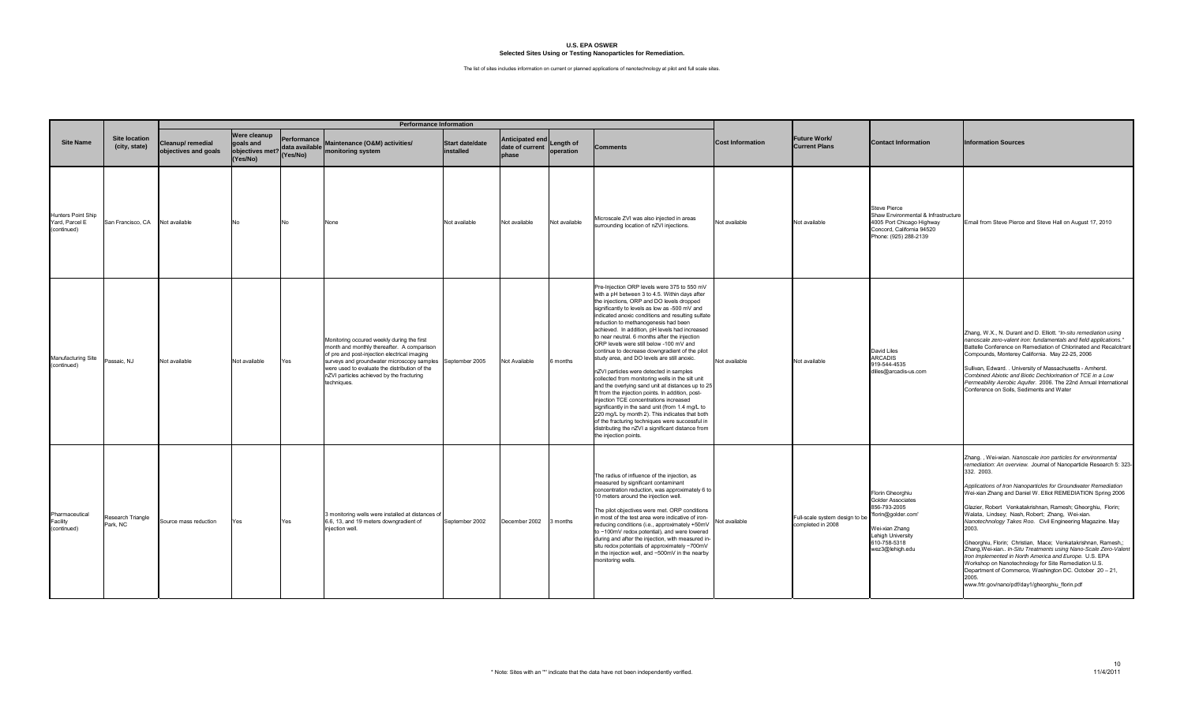|                                                     |                                       |                                           |                                                         |                                           | <b>Performance Information</b>                                                                                                                                                                                                                                                                      |                                     |                                             |                        |                                                                                                                                                                                                                                                                                                                                                                                                                                                                                                                                                                                                                                                                                                                                                                                                                                                                                                                                                                                                                                 |                         |                                                     |                                                                                                                                                               |                                                                                                                                                                                                                                                                                                                                                                                                                                                                                                                                                                                                                                                                                                                                                                                                                                                        |
|-----------------------------------------------------|---------------------------------------|-------------------------------------------|---------------------------------------------------------|-------------------------------------------|-----------------------------------------------------------------------------------------------------------------------------------------------------------------------------------------------------------------------------------------------------------------------------------------------------|-------------------------------------|---------------------------------------------|------------------------|---------------------------------------------------------------------------------------------------------------------------------------------------------------------------------------------------------------------------------------------------------------------------------------------------------------------------------------------------------------------------------------------------------------------------------------------------------------------------------------------------------------------------------------------------------------------------------------------------------------------------------------------------------------------------------------------------------------------------------------------------------------------------------------------------------------------------------------------------------------------------------------------------------------------------------------------------------------------------------------------------------------------------------|-------------------------|-----------------------------------------------------|---------------------------------------------------------------------------------------------------------------------------------------------------------------|--------------------------------------------------------------------------------------------------------------------------------------------------------------------------------------------------------------------------------------------------------------------------------------------------------------------------------------------------------------------------------------------------------------------------------------------------------------------------------------------------------------------------------------------------------------------------------------------------------------------------------------------------------------------------------------------------------------------------------------------------------------------------------------------------------------------------------------------------------|
| <b>Site Name</b>                                    | <b>Site location</b><br>(city, state) | Cleanup/ remedial<br>objectives and goals | Were cleanup<br>goals and<br>objectives met?<br>Yes/No) | Performance<br>data available<br>(Yes/No) | Maintenance (O&M) activities/<br>monitoring system                                                                                                                                                                                                                                                  | <b>Start date/date</b><br>installed | Anticipated end<br>date of current<br>phase | Length of<br>operation | Comments                                                                                                                                                                                                                                                                                                                                                                                                                                                                                                                                                                                                                                                                                                                                                                                                                                                                                                                                                                                                                        | <b>Cost Information</b> | Future Work/<br><b>Current Plans</b>                | <b>Contact Information</b>                                                                                                                                    | <b>Information Sources</b>                                                                                                                                                                                                                                                                                                                                                                                                                                                                                                                                                                                                                                                                                                                                                                                                                             |
| Hunters Point Ship<br>Yard, Parcel E<br>(continued) | San Francisco, CA                     | Not available                             | N٥                                                      | No                                        | None                                                                                                                                                                                                                                                                                                | Not available                       | Not available                               | Not available          | Microscale ZVI was also injected in areas<br>surrounding location of nZVI injections.                                                                                                                                                                                                                                                                                                                                                                                                                                                                                                                                                                                                                                                                                                                                                                                                                                                                                                                                           | Not available           | Not available                                       | Steve Pierce<br>Shaw Environmental & Infrastructure<br>4005 Port Chicago Highway<br>Concord, California 94520<br>Phone: (925) 288-2139                        | Email from Steve Pierce and Steve Hall on August 17, 2010                                                                                                                                                                                                                                                                                                                                                                                                                                                                                                                                                                                                                                                                                                                                                                                              |
| Manufacturing Site<br>(continued)                   | Passaic, NJ                           | Not available                             | Not available                                           | Yes                                       | Monitoring occured weekly during the first<br>month and monthly thereafter. A comparison<br>of pre and post-injection electrical imaging<br>surveys and groundwater microscopy samples<br>were used to evaluate the distribution of the<br>nZVI particles achieved by the fracturing<br>techniques. | September 2005                      | Not Available                               | 6 months               | Pre-Injection ORP levels were 375 to 550 mV<br>with a pH between 3 to 4.5. Within days after<br>the injections, ORP and DO levels dropped<br>significantly to levels as low as -500 mV and<br>indicated anoxic conditions and resulting sulfate<br>reduction to methanogenesis had been<br>achieved. In addition, pH levels had increased<br>to near neutral. 6 months after the injection<br>ORP levels were still below -100 mV and<br>continue to decrease downgradient of the pilot<br>study area, and DO levels are still anoxic.<br>nZVI particles were detected in samples<br>collected from monitoring wells in the silt unit<br>and the overlying sand unit at distances up to 25<br>ft from the injection points. In addition, post-<br>injection TCE concentrations increased<br>significantly in the sand unit (from 1.4 mg/L to<br>220 mg/L by month 2). This indicates that both<br>of the fracturing techniques were successful in<br>distributing the nZVI a significant distance from<br>the injection points. | Not available           | Not available                                       | David Liles<br><b>ARCADIS</b><br>919-544-4535<br>dliles@arcadis-us.com                                                                                        | Zhang, W.X., N. Durant and D. Elliott. "In-situ remediation using<br>nanoscale zero-valent iron: fundamentals and field applications."<br>Battelle Conference on Remediation of Chlorinated and Recalcitrant<br>Compounds, Monterey California. May 22-25, 2006<br>Sullivan, Edward. . University of Massachusetts - Amherst.<br>Combined Abiotic and Biotic Dechlorination of TCE in a Low<br>Permeability Aerobic Aquifer. 2006. The 22nd Annual International<br>Conference on Soils, Sediments and Water                                                                                                                                                                                                                                                                                                                                           |
| Pharmaceutical<br>Facility<br>(continued)           | Research Triangle<br>Park, NC         | Source mass reduction                     | Yes                                                     | Yes                                       | 3 monitoring wells were installed at distances o<br>6.6, 13, and 19 meters downgradient of<br>iniection well.                                                                                                                                                                                       | September 2002                      | December 2002                               | 3 months               | The radius of influence of the injection, as<br>measured by significant contaminant<br>concentration reduction, was approximately 6 to<br>10 meters around the injection well.<br>The pilot objectives were met. ORP conditions<br>in most of the test area were indicative of iron-<br>reducing conditions (i.e., approximately +50mV<br>to -100mV redox potential), and were lowered<br>during and after the injection, with measured in-<br>situ redox potentials of approximately -700mV<br>in the injection well, and -500mV in the nearby<br>monitoring wells.                                                                                                                                                                                                                                                                                                                                                                                                                                                            | <b>Not available</b>    | Full-scale system design to be<br>completed in 2008 | Florin Gheorghiu<br><b>Golder Associates</b><br>856-793-2005<br>'florin@golder.com'<br>Wei-xian Zhang<br>Lehigh University<br>610-758-5318<br>wez3@lehigh.edu | Zhang., Wei-wian. Nanoscale iron particles for environmental<br>remediation: An overview. Journal of Nanoparticle Research 5: 323-<br>332. 2003.<br>Applications of Iron Nanoparticles for Groundwater Remediation<br>Wei-xian Zhang and Daniel W. Elliot REMEDIATION Spring 2006<br>Glazier, Robert Venkatakrishnan, Ramesh; Gheorghiu, Florin;<br>Walata, Lindsey; Nash, Robert; Zhang, Wei-xian.<br>Nanotechnology Takes Roo. Civil Engineering Magazine. May<br>2003.<br>Gheorghiu, Florin; Christian, Mace; Venkatakrishnan, Ramesh,;<br>Zhang, Wei-xian In-Situ Treatments using Nano-Scale Zero-Valent<br>Iron Implemented in North America and Europe. U.S. EPA<br>Workshop on Nanotechnology for Site Remediation U.S.<br>Department of Commerce, Washington DC. October 20 - 21,<br>2005.<br>www.frtr.gov/nano/pdf/day1/gheorghiu_florin.pdf |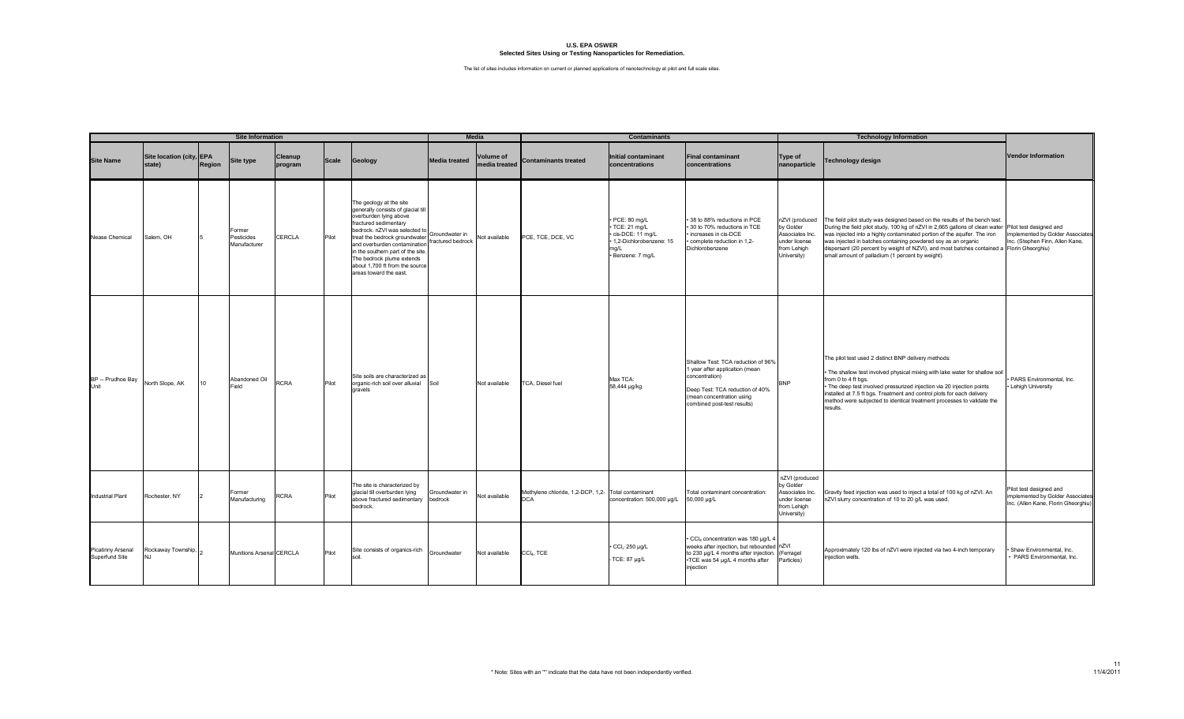|                                     |                                      |               | <b>Site Information</b>              |                    |              |                                                                                                                                                                                                                                                                                                                                                  |                                     | <b>Media</b>                      |                                                                   | <b>Contaminants</b>                                                                                    |                                                                                                                                                                                       |                                                                                               | <b>Technology Information</b>                                                                                                                                                                                                                                                                                                                                                                                                                                                                   |                                                                                                  |
|-------------------------------------|--------------------------------------|---------------|--------------------------------------|--------------------|--------------|--------------------------------------------------------------------------------------------------------------------------------------------------------------------------------------------------------------------------------------------------------------------------------------------------------------------------------------------------|-------------------------------------|-----------------------------------|-------------------------------------------------------------------|--------------------------------------------------------------------------------------------------------|---------------------------------------------------------------------------------------------------------------------------------------------------------------------------------------|-----------------------------------------------------------------------------------------------|-------------------------------------------------------------------------------------------------------------------------------------------------------------------------------------------------------------------------------------------------------------------------------------------------------------------------------------------------------------------------------------------------------------------------------------------------------------------------------------------------|--------------------------------------------------------------------------------------------------|
| <b>Site Name</b>                    | Site location (city, EPA<br>state)   | <b>Region</b> | <b>Site type</b>                     | Cleanup<br>program | <b>Scale</b> | Geology                                                                                                                                                                                                                                                                                                                                          | <b>Media treated</b>                | <b>Volume of</b><br>media treated | <b>Contaminants treated</b>                                       | Initial contaminant<br>concentrations                                                                  | <b>Final contaminant</b><br>concentrations                                                                                                                                            | Type of<br>nanoparticle                                                                       | Technology design                                                                                                                                                                                                                                                                                                                                                                                                                                                                               | <b>Vendor Information</b>                                                                        |
| Nease Chemical                      | Salem, OH                            |               | Former<br>Pesticides<br>Manufacturer | <b>CERCLA</b>      | Pilot        | The geology at the site<br>generally consists of glacial till<br>overburden lying above<br>fractured sedimentary<br>bedrock. nZVI was selected to<br>treat the bedrock groundwater<br>and overburden contamination<br>in the southern part of the site.<br>The bedrock plume extends<br>about 1,700 ft from the source<br>areas toward the east. | Groundwater in<br>fractured bedrock | Not available                     | PCE, TCE, DCE, VC                                                 | PCE: 80 mg/L<br>TCE: 21 mg/L<br>cis-DCE: 11 mg/L<br>1,2-Dichlorobenzene: 15<br>ma/L<br>Benzene: 7 mg/L | 38 to 88% reductions in PCE<br>30 to 70% reductions in TCE<br>increases in cis-DCE<br>complete reduction in 1,2-<br>Dichlorobenzene                                                   | by Golder<br>Associates Inc.<br>under license<br>from Lehigh<br>University)                   | nZVI (produced The field pilot study was designed based on the results of the bench test.<br>During the field pilot study, 100 kg of nZVI in 2,665 gallons of clean water Pilot test designed and<br>was injected into a highly contaminated portion of the aquifer. The iron<br>was injected in batches containing powdered soy as an organic<br>dispersant (20 percent by weight of NZVI), and most batches contained a Florin Gheorghiu)<br>small amount of palladium (1 percent by weight). | implemented by Golder Associates<br>nc. (Stephen Finn, Allen Kane,                               |
| BP -- Prudhoe Bay<br>Unit           | North Slope, AK                      | 10            | Abandoned Oil<br>Field               | <b>RCRA</b>        | Pilot        | Site soils are characterized as<br>organic-rich soil over alluvial<br>gravels                                                                                                                                                                                                                                                                    | Soil                                | Not available                     | <b>TCA.</b> Diesel fuel                                           | Max TCA:<br>58,444 µg/kg                                                                               | Shallow Test: TCA reduction of 96%<br>1 year after application (mean<br>concentration)<br>Deep Test: TCA reduction of 40%<br>(mean concentration using<br>combined post-test results) | <b>BNP</b>                                                                                    | The pilot test used 2 distinct BNP delivery methods:<br>The shallow test involved physical mixing with lake water for shallow soil<br>from 0 to 4 ft bgs.<br>The deep test involved pressurized injection via 20 injection points<br>installed at 7.5 ft bgs. Treatment and control plots for each delivery<br>method were subjected to identical treatment processes to validate the<br>results.                                                                                               | · PARS Environmental, Inc.<br>· Lehigh University                                                |
| <b>Industrial Plant</b>             | Rochester, NY                        |               | Former<br>Manufacturing              | <b>RCRA</b>        | Pilot        | The site is characterized by<br>glacial till overburden lying<br>above fractured sedimentary<br>bedrock.                                                                                                                                                                                                                                         | Groundwater in<br>bedrock           | Not available                     | Methylene chloride, 1,2-DCP, 1,2- Total contaminant<br><b>DCA</b> | concentration: 500,000 µg/L                                                                            | Total contaminant concentration:<br>50,000 µg/L                                                                                                                                       | nZVI (produced<br>by Golder<br>Associates Inc.<br>under license<br>from Lehigh<br>University) | Gravity feed injection was used to inject a total of 100 kg of nZVI. An<br>nZVI slurry concentration of 10 to 20 g/L was used.                                                                                                                                                                                                                                                                                                                                                                  | ilot test designed and<br>mplemented by Golder Associates<br>Inc. (Allen Kane, Florin Gheorghiu) |
| Picatinny Arsenal<br>Superfund Site | Rockaway Township,<br>N <sub>1</sub> |               | Munitions Arsenal CERCLA             |                    | Pilot        | Site consists of organics-rich                                                                                                                                                                                                                                                                                                                   | Groundwater                         | Not available                     | CCI4, TCE                                                         | $CCl_i$ : 250 µg/L<br>TCE: 87 µg/L                                                                     | CCI4 concentration was 180 µg/L<br>weeks after injection, but rebounded nZVI<br>to 230 µg/L 4 months after injection.<br>TCE was 54 µg/L 4 months after<br>injection                  | (Ferragel<br>Particles)                                                                       | Approximately 120 lbs of nZVI were injected via two 4-inch temporary<br>injection wells.                                                                                                                                                                                                                                                                                                                                                                                                        | Shaw Environmental, Inc.<br>PARS Environmental, Inc.                                             |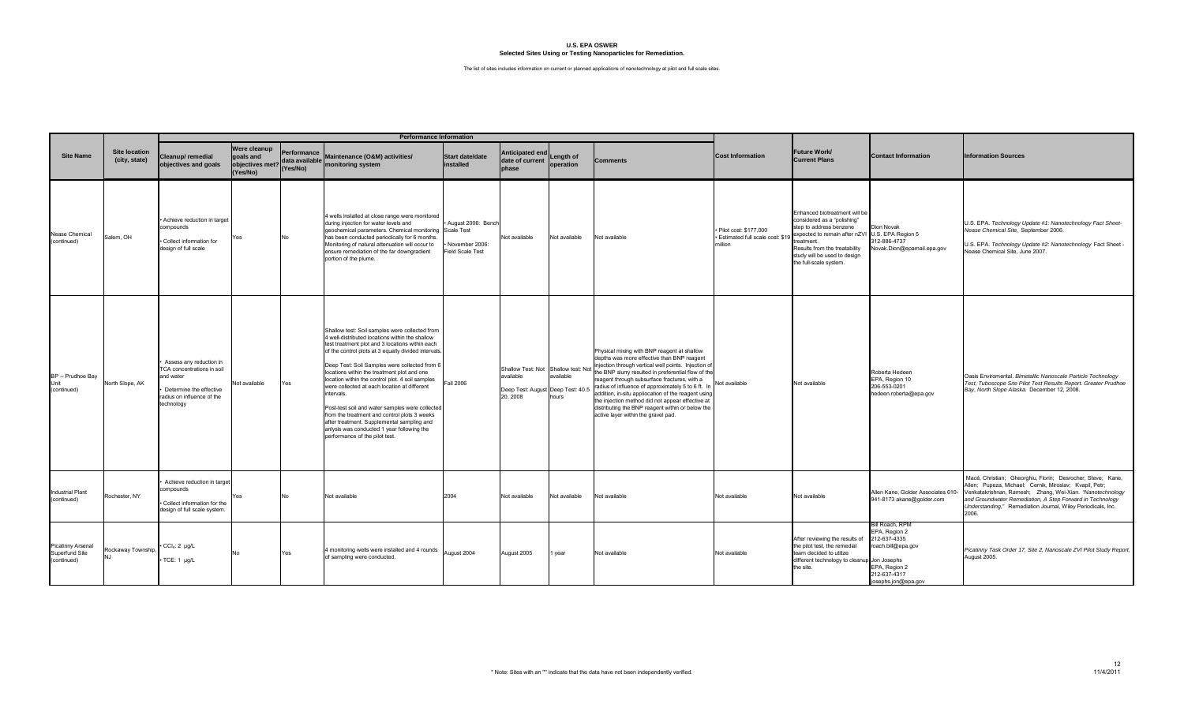|                                                    |                                       |                                                                                                                                           |                                                          |                                           | <b>Performance Information</b>                                                                                                                                                                                                                                                                                                                                                                                                                                                                                                                                                                                                                                |                                                          |                                                                                                   |                        |                                                                                                                                                                                                                                                                                                                                                                                                                                                                                                                      |                                                                         |                                                                                                                                                                                                                                  |                                                                                                                                |                                                                                                                                                                                                                                                                                                                           |
|----------------------------------------------------|---------------------------------------|-------------------------------------------------------------------------------------------------------------------------------------------|----------------------------------------------------------|-------------------------------------------|---------------------------------------------------------------------------------------------------------------------------------------------------------------------------------------------------------------------------------------------------------------------------------------------------------------------------------------------------------------------------------------------------------------------------------------------------------------------------------------------------------------------------------------------------------------------------------------------------------------------------------------------------------------|----------------------------------------------------------|---------------------------------------------------------------------------------------------------|------------------------|----------------------------------------------------------------------------------------------------------------------------------------------------------------------------------------------------------------------------------------------------------------------------------------------------------------------------------------------------------------------------------------------------------------------------------------------------------------------------------------------------------------------|-------------------------------------------------------------------------|----------------------------------------------------------------------------------------------------------------------------------------------------------------------------------------------------------------------------------|--------------------------------------------------------------------------------------------------------------------------------|---------------------------------------------------------------------------------------------------------------------------------------------------------------------------------------------------------------------------------------------------------------------------------------------------------------------------|
| <b>Site Name</b>                                   | <b>Site location</b><br>(city, state) | Cleanup/ remedial<br>objectives and goals                                                                                                 | Were cleanup<br>goals and<br>objectives met?<br>(Yes/No) | Performance<br>data available<br>(Yes/No) | Maintenance (O&M) activities/<br>monitoring system                                                                                                                                                                                                                                                                                                                                                                                                                                                                                                                                                                                                            | <b>Start date/date</b><br>installed                      | <b>Anticipated end</b><br>date of current<br>phase                                                | Length of<br>operation | Comments                                                                                                                                                                                                                                                                                                                                                                                                                                                                                                             | <b>Cost Information</b>                                                 | <b>Future Work/</b><br><b>Current Plans</b>                                                                                                                                                                                      | <b>Contact Information</b>                                                                                                     | <b>Information Sources</b>                                                                                                                                                                                                                                                                                                |
| Nease Chemical<br>(continued)                      | Salem, OH                             | Achieve reduction in target<br>compounds<br>Collect information for<br>design of full scale                                               | Yes                                                      | No                                        | 4 wells installed at close range were monitored<br>during injection for water levels and<br>geochemical parameters. Chemical monitoring Scale Test<br>has been conducted periodically for 6 months.<br>Monitoring of natural attenuation will occur to<br>ensure remediation of the far downgradient<br>portion of the plume.                                                                                                                                                                                                                                                                                                                                 | August 2006: Bencl<br>November 2006:<br>Field Scale Test | Not available                                                                                     | Not available          | Not available                                                                                                                                                                                                                                                                                                                                                                                                                                                                                                        | · Pilot cost: \$177.000<br>· Estimated full scale cost: \$19<br>million | Enhanced biotreatment will be<br>considered as a "polishing"<br>step to address benzene<br>expected to remain after nZV<br>treatment.<br>Results from the treatability<br>study will be used to design<br>the full-scale system. | Dion Novak<br>U.S. EPA Region 5<br>312-886-4737<br>Novak.Dion@epamail.epa.gov                                                  | U.S. EPA. Technology Update #1: Nanotechnology Fact Sheet-<br>Nease Chemical Site, September 2006.<br>U.S. EPA. Technology Update #2: Nanotechnology Fact Sheet -<br>Vease Chemical Site, June 2007.                                                                                                                      |
| BP -- Prudhoe Bay<br>Unit<br>(continued)           | North Slope, AK                       | Assess any reduction in<br>TCA concentrations in soil<br>and water<br>Determine the effective<br>radius on influence of the<br>technology | Not available                                            | Yes                                       | Shallow test: Soil samples were collected from<br>4 well-distributed locations within the shallow<br>test treatment plot and 3 locations within each<br>of the control plots at 3 equally divided intervals.<br>Deep Test: Soil Samples were collected from<br>locations within the treatment plot and one<br>location within the control plot. 4 soil samples<br>were collected at each location at different<br>intervals.<br>Post-test soil and water samples were collected<br>from the treatment and control plots 3 weeks<br>after treatment. Supplemental sampling and<br>anlysis was conducted 1 year following the<br>performance of the pilot test. | Fall 2006                                                | Shallow Test: Not Shallow test: Not<br>available<br>Deep Test: August Deep Test: 40.5<br>20, 2008 | available<br>hours     | Physical mixing with BNP reagent at shallow<br>depths was more effective than BNP reagent<br>injection through vertical well points. Injection of<br>the BNP slurry resulted in preferential flow of the<br>reagent through subsurface fractures, with a<br>radius of influence of approximately 5 to 6 ft. In<br>addition, in-situ appliocation of the reagent using<br>the injection method did not appear effective at<br>distributing the BNP reagent within or below the<br>active layer within the gravel pad. | Not available                                                           | Not available                                                                                                                                                                                                                    | Roberta Hedeen<br>EPA, Region 10<br>206-553-0201<br>hedeen.roberta@epa.gov                                                     | Oasis Enviromental. Bimetallic Nanoscale Particle Technology<br>Test, Tuboscope Site Pilot Test Results Report. Greater Prudhoe<br>Bay, North Slope Alaska. December 12, 2008.                                                                                                                                            |
| <b>Industrial Plant</b><br>(continued)             | Rochester, NY                         | Achieve reduction in target<br>compounds<br>Collect information for the<br>design of full scale system.                                   | Yes                                                      | No                                        | Not available                                                                                                                                                                                                                                                                                                                                                                                                                                                                                                                                                                                                                                                 | 2004                                                     | Not available                                                                                     | Not available          | Not available                                                                                                                                                                                                                                                                                                                                                                                                                                                                                                        | Not available                                                           | Not available                                                                                                                                                                                                                    | Allen Kane, Golder Associates 610-<br>941-8173 akane@golder.com                                                                | Macé, Christian; Gheorghiu, Florin; Desrocher, Steve; Kane,<br>Allen; Pupeza, Michael; Cernik, Miroslav; Kvapil, Petr;<br>Venkatakrishnan, Ramesh; Zhang, Wei-Xian. "Nanotechnology<br>and Groundwater Remediation, A Step Forward in Technology<br>Understanding," Remediation Journal, Wiley Periodicals, Inc.<br>2006. |
| Picatinny Arsenal<br>Superfund Site<br>(continued) | Rockaway Township,<br>N I             | $\cdot$ CCl <sub>4</sub> : 2 µg/L<br>TCE: 1 µg/L                                                                                          | No                                                       | Yes                                       | 4 monitoring wells were installed and 4 rounds<br>of sampling were conducted.                                                                                                                                                                                                                                                                                                                                                                                                                                                                                                                                                                                 | August 2004                                              | August 2005                                                                                       | 1 year                 | Not available                                                                                                                                                                                                                                                                                                                                                                                                                                                                                                        | Not available                                                           | After reviewing the results of<br>the pilot test, the remedial<br>team decided to utilize<br>different technology to cleanup Jon Josephs<br>the site.                                                                            | Bill Roach, RPM<br>EPA, Region 2<br>212-637-4335<br>roach.bill@epa.gov<br>EPA, Region 2<br>212-637-4317<br>josephs.jon@epa.gov | Picatinny Task Order 17, Site 2, Nanoscale ZVI Pilot Study Report,<br>August 2005.                                                                                                                                                                                                                                        |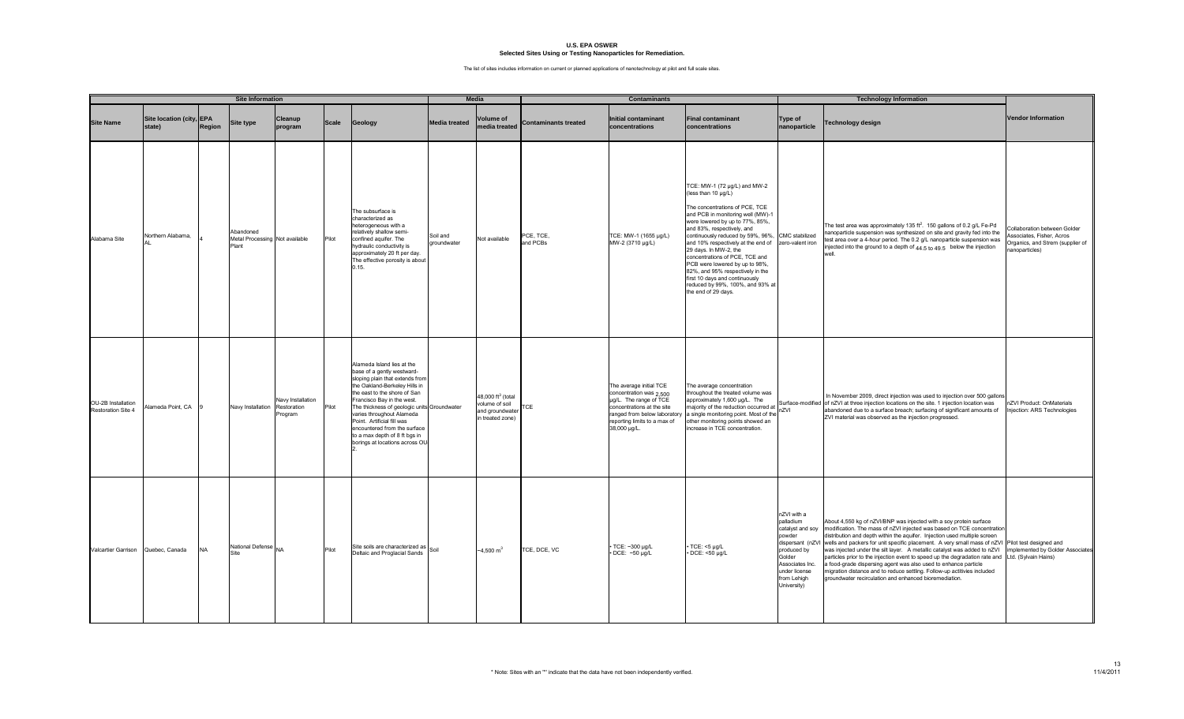|                                                 | <b>Site Information</b>            |           |                                                      |                                             |              |                                                                                                                                                                                                                                                                                                                                                                                                         | <b>Media</b>            |                                                                               | <b>Contaminants</b>         |                                                                                                                                                                                            |                                                                                                                                                                                                                                                                                                                                                                                                                                                                                                      |                                                                                                                                                   | <b>Technology Information</b>                                                                                                                                                                                                                                                                                                                                                                                                                                                                                                                                                                                                                                                                                                                                            |                                                                                                                |
|-------------------------------------------------|------------------------------------|-----------|------------------------------------------------------|---------------------------------------------|--------------|---------------------------------------------------------------------------------------------------------------------------------------------------------------------------------------------------------------------------------------------------------------------------------------------------------------------------------------------------------------------------------------------------------|-------------------------|-------------------------------------------------------------------------------|-----------------------------|--------------------------------------------------------------------------------------------------------------------------------------------------------------------------------------------|------------------------------------------------------------------------------------------------------------------------------------------------------------------------------------------------------------------------------------------------------------------------------------------------------------------------------------------------------------------------------------------------------------------------------------------------------------------------------------------------------|---------------------------------------------------------------------------------------------------------------------------------------------------|--------------------------------------------------------------------------------------------------------------------------------------------------------------------------------------------------------------------------------------------------------------------------------------------------------------------------------------------------------------------------------------------------------------------------------------------------------------------------------------------------------------------------------------------------------------------------------------------------------------------------------------------------------------------------------------------------------------------------------------------------------------------------|----------------------------------------------------------------------------------------------------------------|
| <b>Site Name</b>                                | Site location (city, EPA<br>state) | Region    | <b>Site type</b>                                     | Cleanup<br>program                          | <b>Scale</b> | Geology                                                                                                                                                                                                                                                                                                                                                                                                 | Media treated           | <b>Volume of</b><br>media treated                                             | <b>Contaminants treated</b> | nitial contaminant<br>concentrations                                                                                                                                                       | <b>Final contaminant</b><br>concentrations                                                                                                                                                                                                                                                                                                                                                                                                                                                           | <b>Type of</b><br>nanoparticle                                                                                                                    | Technology design                                                                                                                                                                                                                                                                                                                                                                                                                                                                                                                                                                                                                                                                                                                                                        | <b>Vendor Information</b>                                                                                      |
| Alabama Site                                    | Northern Alabama,                  |           | Abandoned<br>Metal Processing Not available<br>Plant |                                             | Pilot        | The subsurface is<br>characterized as<br>heterogeneous with a<br>relatively shallow semi-<br>confined aquifer. The<br>hydraulic conductivity is<br>approximately 20 ft per day.<br>The effective porosity is about<br>0.15.                                                                                                                                                                             | Soil and<br>groundwater | Not available                                                                 | PCE, TCE,<br>and PCBs       | TCE: MW-1 (1655 µg/L)<br>MW-2 (3710 µg/L)                                                                                                                                                  | TCE: MW-1 (72 µg/L) and MW-2<br>(less than 10 µg/L)<br>The concentrations of PCE, TCE<br>and PCB in monitoring well (MW)-1<br>were lowered by up to 77%, 85%,<br>and 83%, respectively, and<br>continuously reduced by 59%, 96%,<br>and 10% respectively at the end of<br>29 days. In MW-2, the<br>concentrations of PCE, TCE and<br>PCB were lowered by up to 98%,<br>82%, and 95% respectively in the<br>first 10 days and continuously<br>reduced by 99%, 100%, and 93% at<br>the end of 29 days. | CMC stabilized<br>zero-valent iron                                                                                                                | The test area was approximately 135 ft <sup>2</sup> . 150 gallons of 0.2 g/L Fe-Pd<br>nanoparticle suspension was synthesized on site and gravity fed into the<br>test area over a 4-hour period. The 0.2 g/L nanoparticle suspension was<br>injected into the ground to a depth of 44.5 to 49.5 below the injection                                                                                                                                                                                                                                                                                                                                                                                                                                                     | Collaboration between Golder<br>Associates, Fisher, Acros<br>Organics, and Strem (supplier of<br>anoparticles) |
| OU-2B Installation<br><b>Restoration Site 4</b> | Alameda Point, CA                  |           | Navy Installation                                    | Navy Installation<br>Restoration<br>Program | Pilot        | Alameda Island lies at the<br>base of a gently westward-<br>sloping plain that extends from<br>the Oakland-Berkeley Hills in<br>the east to the shore of San<br>Francisco Bay in the west.<br>The thickness of geologic units Groundwater<br>varies throughout Alameda<br>Point. Artificial fill was<br>encountered from the surface<br>to a max depth of 8 ft bgs in<br>borings at locations across OU |                         | 48,000 $ft^3$ (total<br>volume of soil<br>and groundwater<br>in treated zone) | <b>TCE</b>                  | The average initial TCE<br>concentration was 2,500<br>ug/L. The range of TCE<br>concentrations at the site<br>ranged from below laboratory<br>reporting limits to a max of<br>38,000 µg/L. | The average concentration<br>throughout the treated volume was<br>approximately 1,600 µg/L. The<br>majority of the reduction occurred at<br>a single monitoring point. Most of th<br>other monitoring points showed an<br>increase in TCE concentration.                                                                                                                                                                                                                                             | nZVI                                                                                                                                              | In November 2009, direct injection was used to injection over 500 gallons<br>Surface-modified of nZVI at three injection locations on the site. 1 injection location was<br>abandoned due to a surface breach; surfacing of significant amounts of<br>ZVI material was observed as the injection progressed.                                                                                                                                                                                                                                                                                                                                                                                                                                                             | nZVI Product: OnMaterials<br>njection: ARS Technologies                                                        |
| Valcartier Garrison Quebec, Canada              |                                    | <b>NA</b> | National Defense NA<br>Site                          |                                             | Pilot        | Site soils are characterized as Soil<br>Deltaic and Proglacial Sands                                                                                                                                                                                                                                                                                                                                    |                         | $-4,500 \text{ m}^3$                                                          | TCE, DCE, VC                | TCE: ~300 µg/L<br>DCE: ~50 µg/L                                                                                                                                                            | TCE: <5 µg/L<br>· DCE: <50 µg/L                                                                                                                                                                                                                                                                                                                                                                                                                                                                      | nZVI with a<br>palladium<br>catalyst and soy<br>powder<br>produced by<br>Golder<br>Associates Inc.<br>under license<br>from Lehigh<br>University) | About 4,550 kg of nZVI/BNP was injected with a soy protein surface<br>modification. The mass of nZVI injected was based on TCE concentration<br>distribution and depth within the aquifer. Injection used multiple screen<br>dispersant (nZVI wells and packers for unit specific placement. A very small mass of nZVI Pilot test designed and<br>was injected under the silt layer. A metallic catalyst was added to nZVI implemented by Golder Associates<br>particles prior to the injection event to speed up the degradation rate and Ltd. (Sylvain Hains)<br>a food-grade dispersing agent was also used to enhance particle<br>migration distance and to reduce settling. Follow-up actitivies included<br>groundwater recirculation and enhanced bioremediation. |                                                                                                                |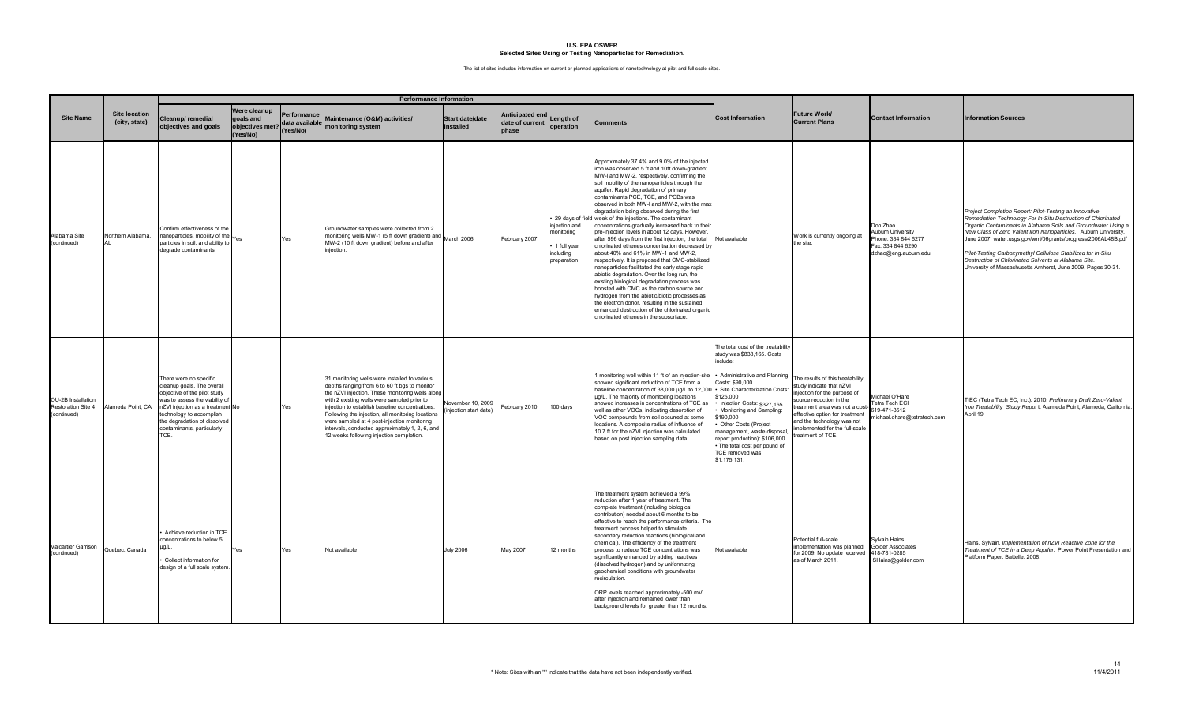|                                                                |                                       | <b>Performance Information</b>                                                                                                                                                                                                                             |                                                          |                                          |                                                                                                                                                                                                                                                                                                                                                                                                                                                         |                                             |                                             |                                                                      |                                                                                                                                                                                                                                                                                                                                                                                                                                                                                                                                                                                                                                                                                                                                                                                                                                                                                                                                                                                                                                                                                                                                                   |                                                                                                                                                                                                                                                                                                                                                                          |                                                                                                                                                                                                                                                                               |                                                                                                 |                                                                                                                                                                                                                                                                                                                                                                                                                                                                                                                       |
|----------------------------------------------------------------|---------------------------------------|------------------------------------------------------------------------------------------------------------------------------------------------------------------------------------------------------------------------------------------------------------|----------------------------------------------------------|------------------------------------------|---------------------------------------------------------------------------------------------------------------------------------------------------------------------------------------------------------------------------------------------------------------------------------------------------------------------------------------------------------------------------------------------------------------------------------------------------------|---------------------------------------------|---------------------------------------------|----------------------------------------------------------------------|---------------------------------------------------------------------------------------------------------------------------------------------------------------------------------------------------------------------------------------------------------------------------------------------------------------------------------------------------------------------------------------------------------------------------------------------------------------------------------------------------------------------------------------------------------------------------------------------------------------------------------------------------------------------------------------------------------------------------------------------------------------------------------------------------------------------------------------------------------------------------------------------------------------------------------------------------------------------------------------------------------------------------------------------------------------------------------------------------------------------------------------------------|--------------------------------------------------------------------------------------------------------------------------------------------------------------------------------------------------------------------------------------------------------------------------------------------------------------------------------------------------------------------------|-------------------------------------------------------------------------------------------------------------------------------------------------------------------------------------------------------------------------------------------------------------------------------|-------------------------------------------------------------------------------------------------|-----------------------------------------------------------------------------------------------------------------------------------------------------------------------------------------------------------------------------------------------------------------------------------------------------------------------------------------------------------------------------------------------------------------------------------------------------------------------------------------------------------------------|
| <b>Site Name</b>                                               | <b>Site location</b><br>(city, state) | Cleanup/remedial<br>bjectives and goals                                                                                                                                                                                                                    | Were cleanup<br>goals and<br>objectives met?<br>(Yes/No) | Performance<br>data available<br>Yes/No) | Maintenance (O&M) activities/<br>monitoring system                                                                                                                                                                                                                                                                                                                                                                                                      | <b>Start date/date</b><br>installed         | Anticipated end<br>date of current<br>phase | Lenath of<br>operation                                               | <b>Comments</b>                                                                                                                                                                                                                                                                                                                                                                                                                                                                                                                                                                                                                                                                                                                                                                                                                                                                                                                                                                                                                                                                                                                                   | <b>Cost Information</b>                                                                                                                                                                                                                                                                                                                                                  | Future Work/<br><b>Current Plans</b>                                                                                                                                                                                                                                          | <b>Contact Information</b>                                                                      | <b>Information Sources</b>                                                                                                                                                                                                                                                                                                                                                                                                                                                                                            |
| Alabama Site<br>(continued)                                    | Northern Alabama.                     | Confirm effectiveness of the<br>nanoparticles, mobility of the<br>particles in soil, and ability to<br>legrade contaminants                                                                                                                                | Yes                                                      | Yes                                      | Groundwater samples were collected from 2<br>monitoring wells MW-1 (5 ft down gradient) and March 2006<br>MW-2 (10 ft down gradient) before and after<br>injection.                                                                                                                                                                                                                                                                                     |                                             | ebruary 2007                                | niection and<br>nonitorina<br>1 full year<br>ncluding<br>preparation | Approximately 37.4% and 9.0% of the injected<br>iron was observed 5 ft and 10ft down-gradient<br>MW-I and MW-2, respectively, confirming the<br>soil mobility of the nanoparticles through the<br>aquifer. Rapid degradation of primary<br>contaminants PCE, TCE, and PCBs was<br>observed in both MW-I and MW-2, with the max<br>degradation being observed during the first<br>29 days of field week of the injections. The contaminant<br>concentrations gradually increased back to their<br>pre-injection levels in about 12 days. However,<br>after 596 days from the first injection, the total<br>chlorinated ethenes concentration decreased by<br>about 40% and 61% in MW-1 and MW-2,<br>respectively. It is proposed that CMC-stabilized<br>nanoparticles facilitated the early stage rapid<br>abiotic degradation. Over the long run, the<br>existing biological degradation process was<br>boosted with CMC as the carbon source and<br>hydrogen from the abiotic/biotic processes as<br>the electron donor, resulting in the sustained<br>enhanced destruction of the chlorinated organic<br>chlorinated ethenes in the subsurface. | Not available                                                                                                                                                                                                                                                                                                                                                            | Work is currently ongoing at<br>the site.                                                                                                                                                                                                                                     | Don Zhao<br>Auburn University<br>hone: 334 844 6277<br>ax: 334 844 6290<br>dzhao@eng.auburn.edu | Project Completion Report: Pilot-Testing an Innovative<br>Remediation Technology For In-Situ Destruction of Chlorinated<br>Organic Contaminants in Alabama Soils and Groundwater Using a<br>New Class of Zero Valent Iron Nanoparticles. Auburn University.<br>June 2007. water.usgs.gov/wrri/06grants/progress/2006AL48B.pdf<br>Pilot-Testing Carboxymethyl Cellulose Stabilized for In-Situ<br>Destruction of Chlorinated Solvents at Alabama Site.<br>University of Massachusetts Amherst, June 2009, Pages 30-31. |
| OU-2B Installation<br><b>Restoration Site 4</b><br>(continued) | Alameda Point, CA                     | There were no specific<br>cleanup goals. The overall<br>objective of the pilot study<br>was to assess the viability of<br>nZVI injection as a treatment No<br>echnology to accomplish<br>he degradation of dissolved<br>contaminants, particularly<br>TCE. |                                                          | Yes                                      | 31 monitoring wells were installed to various<br>depths ranging from 6 to 60 ft bgs to monitor<br>the nZVI injection. These monitoring wells along<br>with 2 existing wells were sampled prior to<br>injection to establish baseline concentrations.<br>Following the injection, all monitoring locations<br>were sampled at 4 post-injection monitoring<br>intervals, conducted approximately 1, 2, 6, and<br>12 weeks following injection completion. | November 10, 2009<br>(injection start date) | ebruary 2010                                | 100 days                                                             | monitoring well within 11 ft of an injection-site .<br>showed significant reduction of TCE from a<br>baseline concentration of 38,000 µg/L to 12,000 · Site Characterization Costs:<br>µg/L. The majority of monitoring locations<br>showed increases in concentrations of TCE as<br>well as other VOCs, indicating desorption of<br>VOC compounds from soil occurred at some<br>locations. A composite radius of influence of<br>10.7 ft for the nZVI injection was calculated<br>based on post injection sampling data.                                                                                                                                                                                                                                                                                                                                                                                                                                                                                                                                                                                                                         | The total cost of the treatability<br>study was \$838,165. Costs<br>include:<br>Administrative and Planning<br>Costs: \$90,000<br>125,000<br>Injection Costs: \$327,165<br>Monitoring and Sampling:<br>190,000<br>Other Costs (Project<br>nanagement, waste disposal,<br>report production): \$106,000<br>The total cost per pound of<br>TCE removed was<br>\$1,175,131. | he results of this treatability<br>study indicate that nZVI<br>jection for the purpose of<br>source reduction in the<br>treatment area was not a cost-<br>effective option for treatment<br>and the technology was not<br>implemented for the full-scale<br>treatment of TCE. | Michael O'Hare<br>Tetra Tech ECI<br>319-471-3512<br>nichael.ohare@tetratech.com                 | TtEC (Tetra Tech EC, Inc.). 2010. Preliminary Draft Zero-Valent<br>Iron Treatability Study Report. Alameda Point, Alameda, California.<br>April 19                                                                                                                                                                                                                                                                                                                                                                    |
| Valcartier Garrison<br>(continued)                             | Quebec, Canada                        | Achieve reduction in TCE<br>concentrations to below 5<br>Collect information for<br>lesign of a full scale system                                                                                                                                          | Yes                                                      | Yes                                      | Not available                                                                                                                                                                                                                                                                                                                                                                                                                                           | <b>July 2006</b>                            | May 2007                                    | 12 months                                                            | The treatment system achievied a 99%<br>reduction after 1 year of treatment. The<br>complete treatment (including biological<br>contribution) needed about 6 months to be<br>effective to reach the performance criteria. The<br>treatment process helped to stimulate<br>secondary reduction reactions (biological and<br>chemical). The efficiency of the treatment<br>process to reduce TCE concentrations was<br>significantly enhanced by adding reactives<br>(dissolved hydrogen) and by uniformizing<br>geochemical conditions with groundwater<br>recirculation.<br>ORP levels reached approximately -500 mV<br>after injection and remained lower than<br>background levels for greater than 12 months.                                                                                                                                                                                                                                                                                                                                                                                                                                  | Not available                                                                                                                                                                                                                                                                                                                                                            | Potential full-scale<br>implementation was planned<br>for 2009. No update received<br>as of March 2011.                                                                                                                                                                       | <b>Sylvain Hains</b><br>Golder Associates<br>418-781-0285<br>SHains@golder.com                  | Hains. Sylvain. Implementation of nZVI Reactive Zone for the<br>Treatment of TCE in a Deep Aquifer. Power Point Presentation and<br>Platform Paper. Battelle. 2008.                                                                                                                                                                                                                                                                                                                                                   |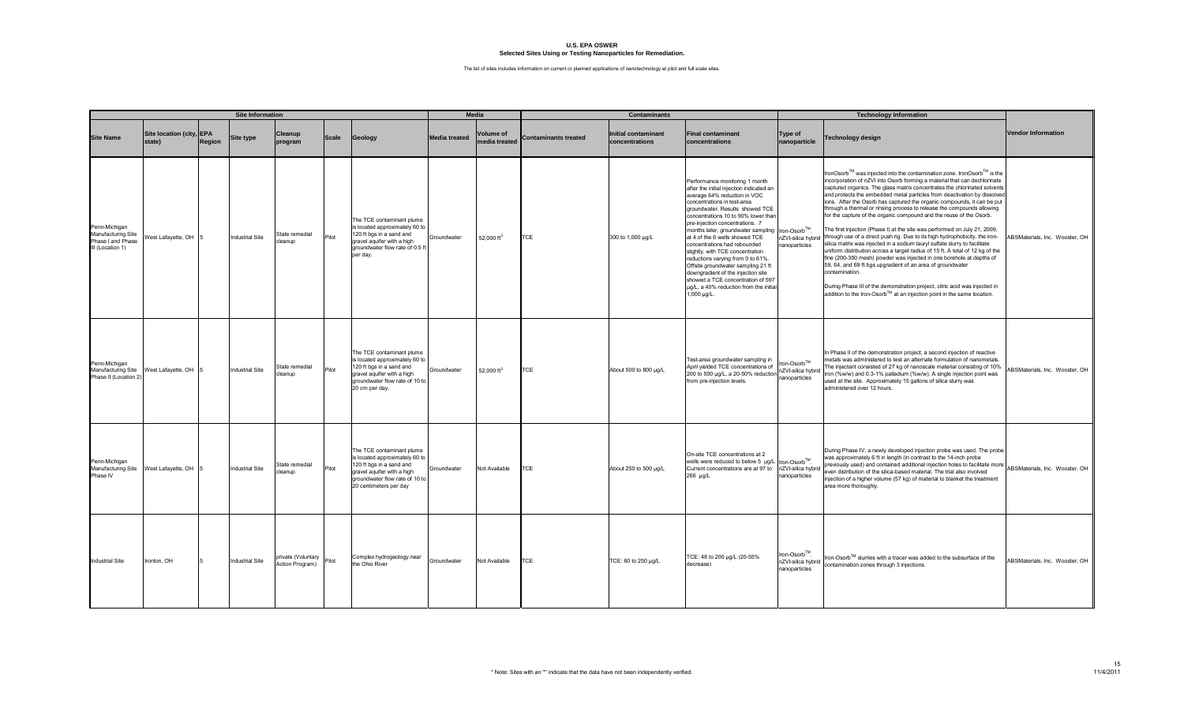|                                                                              | <b>Site Information</b>               |        |                        |                                       |              |                                                                                                                                                                                   |                      | <b>Media</b>                      | <b>Contaminants</b>  |                                              |                                                                                                                                                                                                                                                                                                                                                                                                                                                                                                                                                                                                                   |                                                    | <b>Technology Information</b>                                                                                                                                                                                                                                                                                                                                                                                                                                                                                                                                                                                                                                                                                                                                                                                                                                                                                                                                                                                                                                                                                                                                                        |                                |
|------------------------------------------------------------------------------|---------------------------------------|--------|------------------------|---------------------------------------|--------------|-----------------------------------------------------------------------------------------------------------------------------------------------------------------------------------|----------------------|-----------------------------------|----------------------|----------------------------------------------|-------------------------------------------------------------------------------------------------------------------------------------------------------------------------------------------------------------------------------------------------------------------------------------------------------------------------------------------------------------------------------------------------------------------------------------------------------------------------------------------------------------------------------------------------------------------------------------------------------------------|----------------------------------------------------|--------------------------------------------------------------------------------------------------------------------------------------------------------------------------------------------------------------------------------------------------------------------------------------------------------------------------------------------------------------------------------------------------------------------------------------------------------------------------------------------------------------------------------------------------------------------------------------------------------------------------------------------------------------------------------------------------------------------------------------------------------------------------------------------------------------------------------------------------------------------------------------------------------------------------------------------------------------------------------------------------------------------------------------------------------------------------------------------------------------------------------------------------------------------------------------|--------------------------------|
| <b>Site Name</b>                                                             | Site location (city, EPA<br>state)    | Region | <b>Site type</b>       | Cleanup<br>program                    | <b>Scale</b> | Geology                                                                                                                                                                           | <b>Media treated</b> | <b>Volume of</b><br>media treated | Contaminants treated | <b>Initial contaminant</b><br>concentrations | <b>Final contaminant</b><br>concentrations                                                                                                                                                                                                                                                                                                                                                                                                                                                                                                                                                                        | Type of<br>nanoparticle                            | <b>Technology design</b>                                                                                                                                                                                                                                                                                                                                                                                                                                                                                                                                                                                                                                                                                                                                                                                                                                                                                                                                                                                                                                                                                                                                                             | <b>Vendor Information</b>      |
| Penn-Michigan<br>Manufacturing Site<br>Phase I and Phase<br>III (Location 1) | West Lafayette, OH 5                  |        | <b>Industrial Site</b> | State remedial<br>cleanup             | Pilot        | The TCE contaminant plume<br>is located approximately 60 to<br>120 ft bgs in a sand and<br>gravel aquifer with a high<br>groundwater flow rate of 0.5 f<br>per day.               | Groundwater          | 52,000 ft <sup>3</sup>            | <b>CE</b>            | 300 to 1,000 µg/L                            | Performance monitoring 1 month<br>after the initial injection indicated an<br>average 64% reduction in VOC<br>concentrations in test-area<br>groundwater. Results showed TCE<br>concentrations 10 to 90% lower than<br>pre-injection concentrations. 7<br>months later, groundwater sampling<br>at 4 of the 6 wells showed TCE<br>concentrations had rebounded<br>slightly, with TCE concentration<br>reductions varying from 0 to 61%.<br>Offsite groundwater sampling 21 ft<br>downgradient of the injection site<br>showed a TCE concentration of 597<br>ug/L, a 40% reduction from the initial<br>1,000 µg/L. | Iron-Osorb™.<br>nZVI-silica hybri<br>nanoparticles | IronOsorb™ was injected into the contamination zone. IronOsorb™ is the<br>incorporation of nZVI into Osorb forming a material that can dechlorinate<br>captured organics. The glass matrix concentrates the chlorinated solvents<br>and protects the embedded metal particles from deactivation by dissolved<br>ions. After the Osorb has captured the organic compounds, it can be put<br>through a thermal or rinsing process to release the compounds allowing<br>for the capture of the organic compound and the reuse of the Osorb.<br>The first injection (Phase I) at the site was performed on July 21, 2009,<br>through use of a direct push rig. Due to its high hydrophobicity, the iron-<br>silica matrix was injected in a sodium lauryl sulfate slurry to facilitate<br>uniform distribution across a target radius of 15 ft. A total of 12 kg of the<br>fine (200-350 mesh) powder was injected in one borehole at depths of<br>59, 64, and 69 ft bgs upgradient of an area of groundwater<br>contamination.<br>During Phase III of the demonstration project, citric acid was injected in<br>addition to the Iron-Osorb™ at an injection point in the same location. | ABSMaterials, Inc. Wooster, OH |
| Penn-Michigan<br>Manufacturing Site<br>Phase II (Location 2)                 | West Lafayette, OH 5                  |        | <b>Industrial Site</b> | State remedial<br>cleanup             | Pilot        | The TCE contaminant plume<br>is located approximately 60 to<br>120 ft bgs in a sand and<br>gravel aquifer with a high<br>groundwater flow rate of 10 to<br>20 cm per day.         | Groundwater          | 52,000 ft <sup>3</sup>            | <b>TCE</b>           | About 500 to 800 µg/L                        | Test-area groundwater sampling in<br>April yielded TCE concentrations of<br>200 to 500 µg/L, a 20-50% reductio<br>from pre-injection levels.                                                                                                                                                                                                                                                                                                                                                                                                                                                                      | Iron-Osorb™<br>ZVI-silica hybrio<br>anoparticles   | In Phase II of the demonstration project, a second injection of reactive<br>metals was administered to test an alternate formulation of nanometals.<br>The injectant consisted of 27 kg of nanoscale material consisting of 10%<br>iron (%w/w) and 0.3-1% palladium (%w/w). A single injection point was<br>used at the site. Approximately 15 gallons of silica slurry was<br>administered over 12 hours.                                                                                                                                                                                                                                                                                                                                                                                                                                                                                                                                                                                                                                                                                                                                                                           | ABSMaterials, Inc. Wooster, OH |
| Penn-Michigan<br>Phase IV                                                    | Manufacturing Site West Lafayette, OH |        | <b>Industrial Site</b> | State remedial<br>leanup              | Pilot        | The TCE contaminant plume<br>is located approximately 60 to<br>120 ft bgs in a sand and<br>gravel aquifer with a high<br>groundwater flow rate of 10 to<br>20 centimeters per day | Groundwater          | Not Available                     | <b>TCE</b>           | About 250 to 500 µg/L                        | On-site TCE concentrations at 2<br>wells were reduced to below 5 µg/L  ron-Osorb™.<br>Current concentrations are at 97 to nZVI-silica hybrid<br>266 µg/L                                                                                                                                                                                                                                                                                                                                                                                                                                                          | nanoparticles                                      | During Phase IV, a newly developed injection probe was used. The probe<br>was approximately 6 ft in length (in contrast to the 14-inch probe<br>previously used) and contained additional injection holes to facilitate more<br>even distribution of the silica-based material. The trial also involved<br>injection of a higher volume (57 kg) of material to blanket the treatment<br>area more thoroughly.                                                                                                                                                                                                                                                                                                                                                                                                                                                                                                                                                                                                                                                                                                                                                                        | ABSMaterials, Inc. Wooster, OH |
| <b>Industrial Site</b>                                                       | Ironton, OH                           |        | Industrial Site        | private (Voluntary<br>Action Program) | Pilot        | Complex hydrogeology near<br>the Ohio River                                                                                                                                       | Groundwater          | Not Available                     | TCE                  | TCE: 60 to 250 µg/L                          | TCE: 48 to 200 µg/L (20-55%<br>decrease)                                                                                                                                                                                                                                                                                                                                                                                                                                                                                                                                                                          | ron-Osorb™.<br>nZVI-silica hybrid<br>nanoparticles | Iron-Osorb™ slurries with a tracer was added to the subsurface of the<br>contamination zones through 3 injections.                                                                                                                                                                                                                                                                                                                                                                                                                                                                                                                                                                                                                                                                                                                                                                                                                                                                                                                                                                                                                                                                   | ABSMaterials, Inc. Wooster, OH |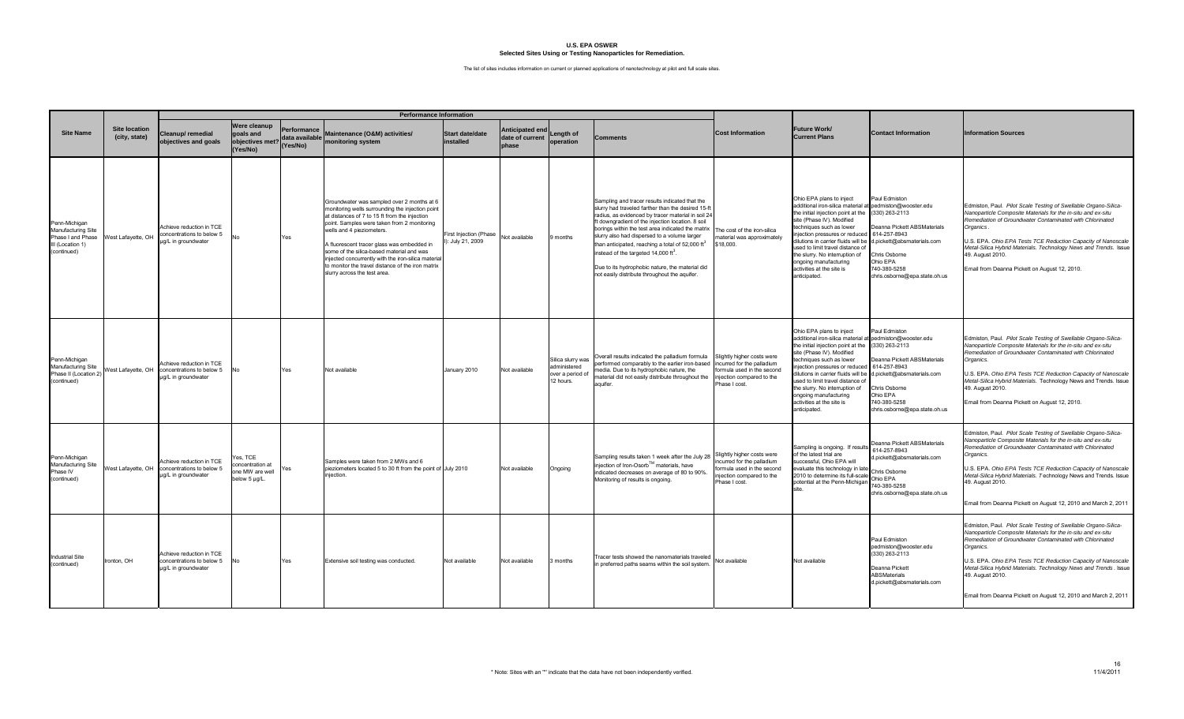|                                                                                             |                                       | <b>Performance Information</b>                                               |                                                                  |                                           |                                                                                                                                                                                                                                                                                                                                                                                                                                                                   |                                           |                                             |                                                                    |                                                                                                                                                                                                                                                                                                                                                                                                                                                                                                                                            |                                                                                                                                  |                                                                                                                                                                                                                                                                                                                                                                                                                     |                                                                                                                                                                          |                                                                                                                                                                                                                                                                                                                                                                                                                                    |
|---------------------------------------------------------------------------------------------|---------------------------------------|------------------------------------------------------------------------------|------------------------------------------------------------------|-------------------------------------------|-------------------------------------------------------------------------------------------------------------------------------------------------------------------------------------------------------------------------------------------------------------------------------------------------------------------------------------------------------------------------------------------------------------------------------------------------------------------|-------------------------------------------|---------------------------------------------|--------------------------------------------------------------------|--------------------------------------------------------------------------------------------------------------------------------------------------------------------------------------------------------------------------------------------------------------------------------------------------------------------------------------------------------------------------------------------------------------------------------------------------------------------------------------------------------------------------------------------|----------------------------------------------------------------------------------------------------------------------------------|---------------------------------------------------------------------------------------------------------------------------------------------------------------------------------------------------------------------------------------------------------------------------------------------------------------------------------------------------------------------------------------------------------------------|--------------------------------------------------------------------------------------------------------------------------------------------------------------------------|------------------------------------------------------------------------------------------------------------------------------------------------------------------------------------------------------------------------------------------------------------------------------------------------------------------------------------------------------------------------------------------------------------------------------------|
| <b>Site Name</b>                                                                            | <b>Site location</b><br>(city, state) | Cleanup/ remedial<br>objectives and goals                                    | Were cleanup<br>goals and<br>objectives met?<br>(Yes/No)         | Performance<br>data available<br>(Yes/No) | Maintenance (O&M) activities/<br>monitoring system                                                                                                                                                                                                                                                                                                                                                                                                                | <b>Start date/date</b><br>installed       | Anticipated end<br>date of current<br>phase | Lenath of<br>operation                                             | <b>Comments</b>                                                                                                                                                                                                                                                                                                                                                                                                                                                                                                                            | <b>Cost Information</b>                                                                                                          | <b>Future Work/</b><br><b>Current Plans</b>                                                                                                                                                                                                                                                                                                                                                                         | <b>Contact Information</b>                                                                                                                                               | <b>Information Sources</b>                                                                                                                                                                                                                                                                                                                                                                                                         |
| Penn-Michigan<br>Manufacturing Site<br>Phase I and Phase<br>III (Location 1)<br>(continued) | West Lafayette, OH                    | Achieve reduction in TCE<br>concentrations to below 5<br>µg/L in groundwater | <b>No</b>                                                        | Yes                                       | Groundwater was sampled over 2 months at 6<br>monitoring wells surrounding the injection point<br>at distances of 7 to 15 ft from the injection<br>point. Samples were taken from 2 monitoring<br>wells and 4 pieziometers.<br>A fluorescent tracer glass was embedded in<br>some of the silica-based material and was<br>injected concurrently with the iron-silica materia<br>to monitor the travel distance of the iron matrix<br>slurry across the test area. | First Injection (Phase<br>: July 21, 2009 | Not available                               | 9 months                                                           | Sampling and tracer results indicated that the<br>slurry had traveled farther than the desired 15-ft<br>radius, as evidenced by tracer material in soil 24<br>ft downgradient of the injection location. 8 soil<br>borings within the test area indicated the matrix<br>slurry also had dispersed to a volume larger<br>than anticipated, reaching a total of 52,000 $\text{ft}^3$<br>instead of the targeted 14,000 ft <sup>3</sup> .<br>Due to its hydrophobic nature, the material did<br>not easily distribute throughout the aquifer. | The cost of the iron-silica<br>material was approximately<br>\$18,000.                                                           | Ohio EPA plans to inject<br>additional iron-silica material at pedmiston@wooster.edu<br>the initial injection point at the (330) 263-2113<br>site (Phase IV). Modified<br>echniques such as lower<br>jection pressures or reduced<br>lilutions in carrier fluids will be<br>sed to limit travel distance of<br>he slurry. No interruption of<br>ongoing manufacturing<br>activities at the site is<br>anticipated.  | Paul Edmiston<br>Deanna Pickett ABSMaterials<br>614-257-8943<br>d.pickett@absmaterials.com<br>Chris Osborne<br>Ohio EPA<br>740-380-5258<br>chris.osborne@epa.state.oh.us | Edmiston, Paul. Pilot Scale Testing of Swellable Organo-Silica-<br>Vanoparticle Composite Materials for the in-situ and ex-situ<br>Remediation of Groundwater Contaminated with Chlorinated<br>Organics.<br>J.S. EPA. Ohio EPA Tests TCE Reduction Capacity of Nanoscale<br>Metal-Silica Hybrid Materials. Technology News and Trends. Issue<br>49. August 2010.<br>Email from Deanna Pickett on August 12, 2010.                  |
| Penn-Michigan<br>Manufacturing Site<br>Phase II (Location 2)<br>(continued)                 | West Lafayette, OH                    | Achieve reduction in TCE<br>concentrations to below 5<br>µg/L in groundwater | <b>No</b>                                                        | Yes                                       | Not available                                                                                                                                                                                                                                                                                                                                                                                                                                                     | January 2010                              | Not available                               | Silica slurry was<br>administered<br>over a period of<br>12 hours. | Overall results indicated the palladium formula<br>performed comparably to the earlier iron-based incurred for the palladium<br>media. Due to its hydrophobic nature, the<br>material did not easily distribute throughout the<br>aquifer.                                                                                                                                                                                                                                                                                                 | Slightly higher costs were<br>formula used in the second<br>injection compared to the<br>Phase I cost.                           | Ohio EPA plans to inject<br>additional iron-silica material at pedmiston@wooster.edu<br>the initial injection point at the (330) 263-2113<br>site (Phase IV), Modified<br>echniques such as lower<br>ijection pressures or reduce<br>ilutions in carrier fluids will be<br>used to limit travel distance of<br>the slurry. No interruption of<br>ongoing manufacturing<br>activities at the site is<br>anticipated. | Paul Edmiston<br>Deanna Pickett ABSMaterials<br>614-257-8943<br>d.pickett@absmaterials.com<br>Chris Osborne<br>Ohio EPA<br>740-380-5258<br>chris.osborne@epa.state.oh.us | Edmiston, Paul. Pilot Scale Testing of Swellable Organo-Silica-<br>Nanoparticle Composite Materials for the in-situ and ex-situ<br>Remediation of Groundwater Contaminated with Chlorinated<br>Organics.<br>J.S. EPA. Ohio EPA Tests TCE Reduction Capacity of Nanoscale<br>Metal-Silica Hybrid Materials. Technology News and Trends. Issue<br>49. August 2010.<br>Email from Deanna Pickett on August 12, 2010.                  |
| Penn-Michigan<br>Manufacturing Site<br>Phase IV<br>(continued)                              | West Lafayette, OH                    | Achieve reduction in TCE<br>concentrations to below 5<br>µg/L in groundwater | Yes, TCE<br>concentration at<br>one MW are well<br>below 5 µg/L. | Yes                                       | Samples were taken from 2 MWs and 6<br>pieziometers located 5 to 30 ft from the point of July 2010<br>iniection.                                                                                                                                                                                                                                                                                                                                                  |                                           | Not available                               | Ongoing                                                            | Sampling results taken 1 week after the July 28<br>injection of Iron-Osorb™ materials, have<br>indicated decreases on average of 80 to 90%<br>Monitoring of results is ongoing.                                                                                                                                                                                                                                                                                                                                                            | Slightly higher costs were<br>ncurred for the palladium<br>ormula used in the second<br>iection compared to the<br>Phase I cost. | Sampling is ongoing. If results<br>of the latest trial are<br>successful, Ohio EPA will<br>accession, C.n.c = 0<br>evaluate this technology in late<br>Chris Osborne<br>2010 to determine its full-scale<br>ootential at the Penn-Michigan                                                                                                                                                                          | Deanna Pickett ABSMaterials<br>314-257-8943<br>d.pickett@absmaterials.com<br>Ohio EPA<br>740-380-5258<br>chris.osborne@epa.state.oh.us                                   | Edmiston, Paul. Pilot Scale Testing of Swellable Organo-Silica-<br>lanoparticle Composite Materials for the in-situ and ex-situ<br>Remediation of Groundwater Contaminated with Chlorinated<br>Organics.<br>J.S. EPA. Ohio EPA Tests TCE Reduction Capacity of Nanoscale<br>Metal-Silica Hybrid Materials. Technology News and Trends. Issue<br>49. August 2010.<br>Email from Deanna Pickett on August 12, 2010 and March 2, 2011 |
| <b>Industrial Site</b><br>(continued)                                                       | Ironton, OH                           | Achieve reduction in TCE<br>concentrations to below 5<br>µg/L in groundwater | No.                                                              | Yes                                       | Extensive soil testing was conducted.                                                                                                                                                                                                                                                                                                                                                                                                                             | Not available                             | <b>Not available</b>                        | 3 months                                                           | Tracer tests showed the nanomaterials traveled<br>n preferred paths seams within the soil system.                                                                                                                                                                                                                                                                                                                                                                                                                                          | Not available                                                                                                                    | Not available                                                                                                                                                                                                                                                                                                                                                                                                       | Paul Edmiston<br>pedmiston@wooster.edu<br>(330) 263-2113<br>Deanna Pickett<br>ABSMaterials<br>d.pickett@absmaterials.com                                                 | Edmiston, Paul. Pilot Scale Testing of Swellable Organo-Silica-<br>lanoparticle Composite Materials for the in-situ and ex-situ<br>Remediation of Groundwater Contaminated with Chlorinated<br>Organics.<br>J.S. EPA. Ohio EPA Tests TCE Reduction Capacity of Nanoscale<br>Metal-Silica Hybrid Materials. Technology News and Trends. Issue<br>49. August 2010.<br>Email from Deanna Pickett on August 12, 2010 and March 2, 2011 |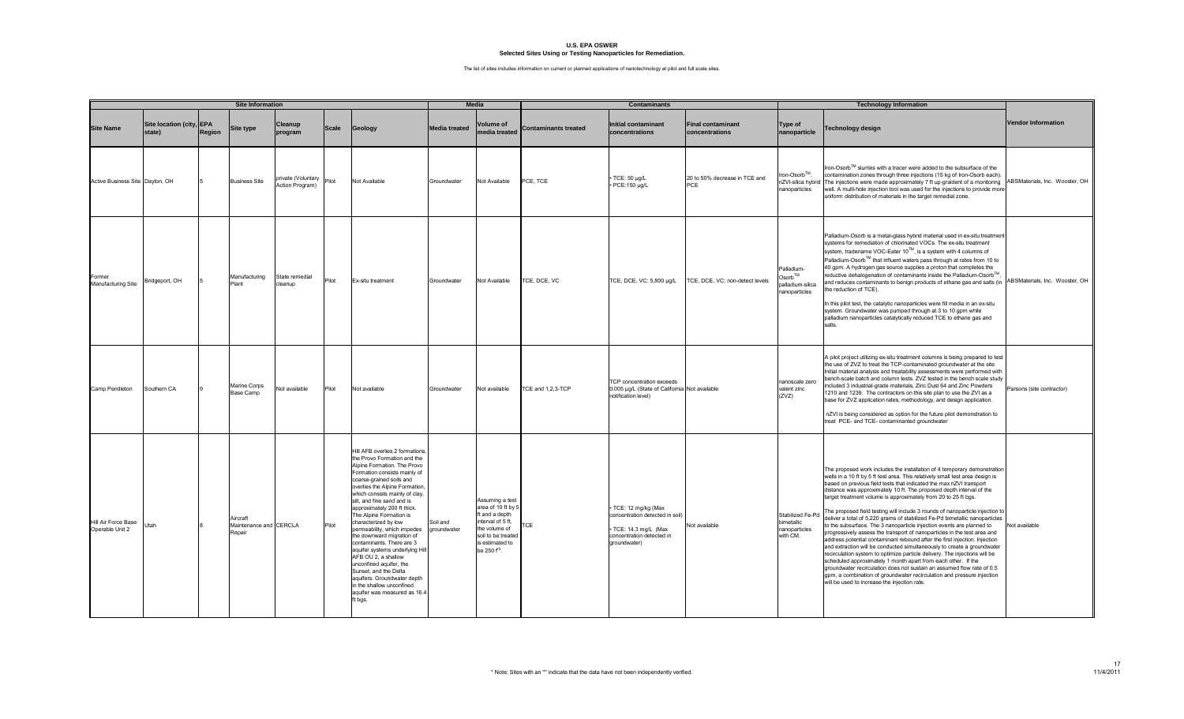|                                        | <b>Site Information</b>            |        |                                              | <b>Media</b>                          |              | <b>Contaminants</b>                                                                                                                                                                                                                                                                                                                                                                                                                                                                                                                                                                                                                                       |                         |                                                                                                                                                                   |                             | <b>Technology Information</b>                                                                                             |                                            |                                                                |                                                                                                                                                                                                                                                                                                                                                                                                                                                                                                                                                                                                                                                                                                                                                                                                                                                                                                                                                                                                                                                                                                                                                                                                             |                                |
|----------------------------------------|------------------------------------|--------|----------------------------------------------|---------------------------------------|--------------|-----------------------------------------------------------------------------------------------------------------------------------------------------------------------------------------------------------------------------------------------------------------------------------------------------------------------------------------------------------------------------------------------------------------------------------------------------------------------------------------------------------------------------------------------------------------------------------------------------------------------------------------------------------|-------------------------|-------------------------------------------------------------------------------------------------------------------------------------------------------------------|-----------------------------|---------------------------------------------------------------------------------------------------------------------------|--------------------------------------------|----------------------------------------------------------------|-------------------------------------------------------------------------------------------------------------------------------------------------------------------------------------------------------------------------------------------------------------------------------------------------------------------------------------------------------------------------------------------------------------------------------------------------------------------------------------------------------------------------------------------------------------------------------------------------------------------------------------------------------------------------------------------------------------------------------------------------------------------------------------------------------------------------------------------------------------------------------------------------------------------------------------------------------------------------------------------------------------------------------------------------------------------------------------------------------------------------------------------------------------------------------------------------------------|--------------------------------|
| <b>Site Name</b>                       | Site location (city, EPA<br>statel | Region | <b>Site type</b>                             | Cleanup<br>program                    | <b>Scale</b> | Geology                                                                                                                                                                                                                                                                                                                                                                                                                                                                                                                                                                                                                                                   | <b>Media treated</b>    | Volume of<br>edia treated                                                                                                                                         | <b>Contaminants treated</b> | <b>Initial contaminant</b><br>concentrations                                                                              | <b>Final contaminant</b><br>concentrations | Type of<br>nanoparticle                                        | <b>Technology design</b>                                                                                                                                                                                                                                                                                                                                                                                                                                                                                                                                                                                                                                                                                                                                                                                                                                                                                                                                                                                                                                                                                                                                                                                    | <b>Vendor Information</b>      |
| Active Business Site Dayton, OH        |                                    |        | <b>Business Site</b>                         | private (Voluntary<br>Action Program) | Pilot        | Not Available                                                                                                                                                                                                                                                                                                                                                                                                                                                                                                                                                                                                                                             | Groundwater             | Not Available                                                                                                                                                     | PCE, TCE                    | TCE: 50 ug/L<br>· PCE:150 µg/L                                                                                            | 20 to 50% decrease in TCE and<br>PCE       | iron-Osorb™.<br>nanoparticles                                  | Iron-Osorb™ slurries with a tracer were added to the subsurface of the<br>contamination zones through three injections (15 kg of Iron-Osorb each)<br>nZVI-silica hybrid The injections were made approximately 7 ft up-graident of a monitoring ABSMaterials, Inc. Wooster, OH<br>well. A multi-hole injection tool was used for the injections to provide mor<br>uniform distribution of materials in the target remedial zone.                                                                                                                                                                                                                                                                                                                                                                                                                                                                                                                                                                                                                                                                                                                                                                            |                                |
| Former<br>Manufacturing Site           | Bridgeport, OH                     |        | Manufacturing<br>Plant                       | State remedial<br>cleanup             | Pilot        | Ex-situ treatment                                                                                                                                                                                                                                                                                                                                                                                                                                                                                                                                                                                                                                         | Groundwater             | Not Available                                                                                                                                                     | TCE, DCE, VC                | TCE, DCE, VC: 5,800 µg/L                                                                                                  | CE, DCE, VC: non-detect levels             | Palladium-<br>$Osorb^{TM}$<br>alladium-silica<br>nanoparticles | Palladium-Osorb is a metal-glass hybrid material used in ex-situ treatmen<br>systems for remediation of chlorinated VOCs. The ex-situ treatment<br>system, tradename VOC-Eater 10™, is a system with 4 columns of<br>Palladium-Osorb™ that influent waters pass through at rates from 10 to<br>40 gpm. A hydrogen gas source supplies a proton that completes the<br>reductive dehalogenation of contaminants inside the Palladium-Osorb™,<br>and reduces contaminants to benign products of ethane gas and salts (in<br>the reduction of TCE).<br>In this pilot test, the catalytic nanoparticles were fill media in an ex-situ<br>system. Groundwater was pumped through at 3 to 10 gpm while<br>palladium nanoparticles catalytically reduced TCE to ethane gas and<br>salts.                                                                                                                                                                                                                                                                                                                                                                                                                            | ABSMaterials, Inc. Wooster, OH |
| Camp Pendleton                         | Southern CA                        |        | Marine Corps<br>Base Camp                    | Not available                         | Pilot        | Not available                                                                                                                                                                                                                                                                                                                                                                                                                                                                                                                                                                                                                                             | Groundwater             | Not available                                                                                                                                                     | TCE and 1,2,3-TCP           | TCP concentration exceeds<br>0.005 µg/L (State of California Not available<br>notification level)                         |                                            | nanoscale zero<br>valent zinc<br>(ZVZ)                         | A pilot project utilizing ex-situ treatment columns is being prepared to test<br>the use of ZVZ to treat the TCP-contaminated groundwater at the site<br>Initial material analysis and treatability assessments were performed with<br>bench-scale batch and column tests. ZVZ tested in the bench scale study<br>included 3 industrial-grade materials, Zinc Dust 64 and Zinc Powders<br>1210 and 1239. The contractors on this site plan to use the ZVI as a<br>base for ZVZ application rates, methodology, and design application.<br>nZVI is being considered as option for the future pilot demonstration to<br>treat PCE- and TCE- contaminanted groundwater                                                                                                                                                                                                                                                                                                                                                                                                                                                                                                                                         | Parsons (site contractor)      |
| Hill Air Force Base<br>Operable Unit 2 | Utah                               |        | Aircraft<br>Maintenance and CERCLA<br>Repair |                                       | Pilot        | Hill AFB overlies 2 formations<br>the Provo Formation and the<br>Alpine Formation. The Provo<br>Formation consists mainly of<br>coarse-grained soils and<br>overlies the Alpine Formation<br>which consists mainly of clay,<br>silt, and fine sand and is<br>approximately 200 ft thick.<br>The Alpine Formation is<br>characterized by low<br>permeability, which impedes<br>the downward migration of<br>contaminants. There are 3<br>aquifer systems underlying Hill<br>AFB OU 2, a shallow<br>unconfined aquifer, the<br>Sunset, and the Delta<br>aquifers. Groundwater depth<br>in the shallow unconfined<br>aquifer was measured as 16.4<br>ft bgs. | Soil and<br>aroundwater | Assuming a test<br>area of 10 ft by 5<br>ft and a depth<br>nterval of 5 ft.<br>the volume of<br>soil to be treated<br>is estimated to<br>be 250 f <sup>t3</sup> . | <b>TCE</b>                  | TCE: 12 mg/kg (Max<br>concentration detected in soil)<br>TCE: 14.3 mg/L (Max<br>concentration detected in<br>groundwater) | Not available                              | Stabilized Fe-Po<br>bimetallic<br>nanoparticles<br>with CM.    | The proposed work includes the installation of 4 temporary demonstration<br>wells in a 10 ft by 5 ft test area. This relatively small test area design is<br>based on previous field tests that indicated the max nZVI transport<br>distance was approximately 10 ft. The proposed depth interval of the<br>target treatment volume is approximately from 20 to 25 ft bgs.<br>The proposed field testing will include 3 rounds of nanoparticle injection to<br>deliver a total of 5,220 grams of stabilized Fe-Pd bimetallic nanoparticles<br>to the subsurface. The 3 nanoparticle injection events are planned to<br>progressively assess the transport of nanoparticles in the test area and<br>address potential contaminant rebound after the first injection. Injection<br>and extraction will be conducted simultaneously to create a groundwater<br>recirculation system to optimize particle delivery. The injections will be<br>scheduled approximately 1 month apart from each other. If the<br>groundwater recirculation does not sustain an assumed flow rate of 0.5<br>gpm, a combination of groundwater recirculation and pressure injection<br>will be used to increase the injection rate. | Not available                  |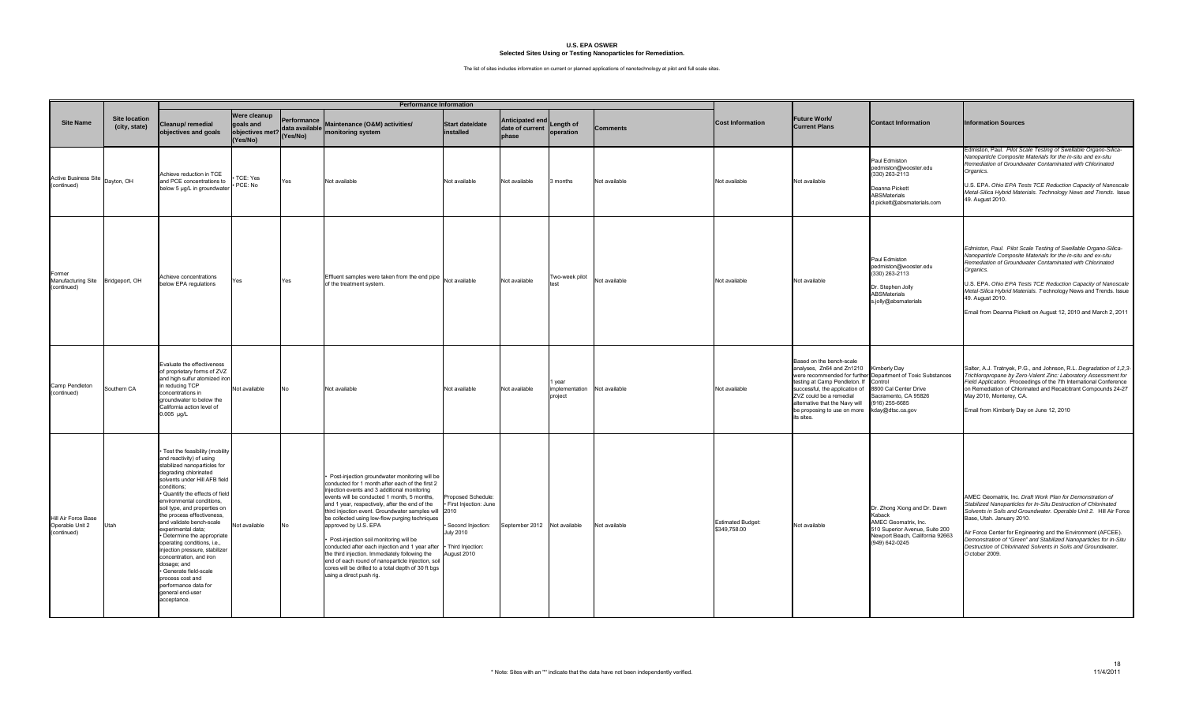|                                                            |                                       |                                                                                                                                                                                                                                                                                                                                                                                                                                                                                                                                                                                                    |                                                          |                                           | <b>Performance Information</b>                                                                                                                                                                                                                                                                                                                                                                                                                                                                                                                                                                                                                                             |                                                                                                                             |                                             |                                     |                 |                                          |                                                                                                                                                                                                                                    |                                                                                                                                                                                      |                                                                                                                                                                                                                                                                                                                                                                                                                                                         |
|------------------------------------------------------------|---------------------------------------|----------------------------------------------------------------------------------------------------------------------------------------------------------------------------------------------------------------------------------------------------------------------------------------------------------------------------------------------------------------------------------------------------------------------------------------------------------------------------------------------------------------------------------------------------------------------------------------------------|----------------------------------------------------------|-------------------------------------------|----------------------------------------------------------------------------------------------------------------------------------------------------------------------------------------------------------------------------------------------------------------------------------------------------------------------------------------------------------------------------------------------------------------------------------------------------------------------------------------------------------------------------------------------------------------------------------------------------------------------------------------------------------------------------|-----------------------------------------------------------------------------------------------------------------------------|---------------------------------------------|-------------------------------------|-----------------|------------------------------------------|------------------------------------------------------------------------------------------------------------------------------------------------------------------------------------------------------------------------------------|--------------------------------------------------------------------------------------------------------------------------------------------------------------------------------------|---------------------------------------------------------------------------------------------------------------------------------------------------------------------------------------------------------------------------------------------------------------------------------------------------------------------------------------------------------------------------------------------------------------------------------------------------------|
| <b>Site Name</b>                                           | <b>Site location</b><br>(city, state) | Cleanup/remedial<br>objectives and goals                                                                                                                                                                                                                                                                                                                                                                                                                                                                                                                                                           | Were cleanup<br>aoals and<br>objectives met?<br>(Yes/No) | Performance<br>data available<br>(Yes/No) | Maintenance (O&M) activities/<br>monitoring system                                                                                                                                                                                                                                                                                                                                                                                                                                                                                                                                                                                                                         | <b>Start date/date</b><br>installed                                                                                         | Anticipated end<br>date of current<br>phase | Length of<br>operation              | <b>Comments</b> | <b>Cost Information</b>                  | Future Work/<br><b>Current Plans</b>                                                                                                                                                                                               | <b>Contact Information</b>                                                                                                                                                           | <b>Information Sources</b>                                                                                                                                                                                                                                                                                                                                                                                                                              |
| Active Business Site Dayton, OH<br>(continued)             |                                       | Achieve reduction in TCE<br>and PCE concentrations to<br>below 5 µg/L in groundwater                                                                                                                                                                                                                                                                                                                                                                                                                                                                                                               | TCE: Yes<br>PCE: No                                      | Yes                                       | Not available                                                                                                                                                                                                                                                                                                                                                                                                                                                                                                                                                                                                                                                              | Not available                                                                                                               | Not available                               | 3 months                            | Not available   | Not available                            | Not available                                                                                                                                                                                                                      | Paul Edmiston<br>pedmiston@wooster.edu<br>(330) 263-2113<br>Deanna Pickett<br><b>ABSMaterials</b><br>d.pickett@absmaterials.com                                                      | Edmiston, Paul. Pilot Scale Testing of Swellable Organo-Silica-<br>Nanoparticle Composite Materials for the in-situ and ex-situ<br>Remediation of Groundwater Contaminated with Chlorinated<br>Organics.<br>U.S. EPA. Ohio EPA Tests TCE Reduction Capacity of Nanoscale<br>Metal-Silica Hybrid Materials. Technology News and Trends. Issue<br>49. August 2010.                                                                                        |
| Former<br>Manufacturing Site Bridgeport, OH<br>(continued) |                                       | Achieve concentrations<br>below EPA regulations                                                                                                                                                                                                                                                                                                                                                                                                                                                                                                                                                    | Yes                                                      | Yes                                       | Effluent samples were taken from the end pipe<br>of the treatment system.                                                                                                                                                                                                                                                                                                                                                                                                                                                                                                                                                                                                  | Not available                                                                                                               | Not available                               | Two-week pilot                      | Not available   | Not available                            | Not available                                                                                                                                                                                                                      | Paul Edmiston<br>pedmiston@wooster.edu<br>$(330)$ 263-2113<br>Dr. Stephen Jolly<br><b>ABSMaterials</b><br>s.jolly@absmaterials                                                       | Edmiston, Paul. Pilot Scale Testing of Swellable Organo-Silica-<br>Nanoparticle Composite Materials for the in-situ and ex-situ<br>Remediation of Groundwater Contaminated with Chlorinated<br>Organics.<br>U.S. EPA. Ohio EPA Tests TCE Reduction Capacity of Nanoscale<br>Metal-Silica Hybrid Materials. Technology News and Trends. Issue<br>49. August 2010.<br>Email from Deanna Pickett on August 12, 2010 and March 2, 2011                      |
| Camp Pendleton<br>(continued)                              | Southern CA                           | valuate the effectiveness<br>of proprietary forms of ZVZ<br>and high sulfur atomized iror<br>n reducing TCP<br>concentrations in<br>proundwater to below the<br>California action level of<br>$0.005 \mu g/L$                                                                                                                                                                                                                                                                                                                                                                                      | Not available                                            | No.                                       | Not available                                                                                                                                                                                                                                                                                                                                                                                                                                                                                                                                                                                                                                                              | Not available                                                                                                               | Not available                               | l year<br>implementation<br>project | Not available   | Not available                            | Based on the bench-scale<br>analyses, Zn64 and Zn1210<br>testing at Camp Pendleton. If<br>successful, the application of<br>ZVZ could be a remedial<br>ilternative that the Navy will<br>be proposing to use on more<br>its sites. | <b>Kimberly Day</b><br>were recommended for further Department of Toxic Substances<br>Control<br>8800 Cal Center Drive<br>Sacramento, CA 95826<br>(916) 255-6685<br>kday@dtsc.ca.gov | Salter, A.J. Tratnyek, P.G., and Johnson, R.L. Degradation of 1,2,3-<br>Trichloropropane by Zero-Valent Zinc: Laboratory Assessment for<br>Field Application. Proceedings of the 7th International Conference<br>on Remediation of Chlorinated and Recalcitrant Compounds 24-27<br>May 2010, Monterey, CA.<br>Email from Kimberly Day on June 12, 2010                                                                                                  |
| Hill Air Force Base<br>Operable Unit 2<br>(continued)      | Utah                                  | Test the feasibility (mobility<br>and reactivity) of using<br>stabilized nanoparticles for<br>degrading chlorinated<br>solvents under Hill AFB field<br>conditions:<br>Quantify the effects of field<br>environmental conditions,<br>soil type, and properties on<br>the process effectiveness,<br>and validate bench-scale<br>experimental data;<br>· Determine the appropriate<br>operating conditions, i.e.,<br>injection pressure, stabilizer<br>concentration, and iron<br>dosage; and<br>Generate field-scale<br>process cost and<br>performance data for<br>general end-user<br>acceptance. | Not available                                            | No                                        | Post-injection groundwater monitoring will be<br>conducted for 1 month after each of the first 2<br>injection events and 3 additional monitoring<br>events will be conducted 1 month, 5 months,<br>and 1 year, respectively, after the end of the<br>third injection event. Groundwater samples will 2010<br>be collected using low-flow purging techniques<br>approved by U.S. EPA<br>Post-injection soil monitoring will be<br>conducted after each injection and 1 year after<br>the third injection. Immediately following the<br>end of each round of nanoparticle injection, soil<br>cores will be drilled to a total depth of 30 ft bgs<br>using a direct push rig. | Proposed Schedule:<br>· First Injection: June<br>Second Injection:<br><b>July 2010</b><br>· Third Injection:<br>August 2010 | September 2012 Not available                |                                     | Not available   | <b>Estimated Budget:</b><br>\$349,758.00 | Not available                                                                                                                                                                                                                      | Dr. Zhong Xiong and Dr. Dawn<br>Kaback<br>AMEC Geomatrix, Inc.<br>510 Superior Avenue, Suite 200<br>Newport Beach, California 92663<br>(949) 642-0245                                | AMEC Geomatrix, Inc. Draft Work Plan for Demonstration of<br>Stabilized Nanoparticles for In-Situ Destruction of Chlorinated<br>Solvents in Soils and Groundwater. Operable Unit 2. Hill Air Force<br>Base, Utah. January 2010.<br>Air Force Center for Engineering and the Environment (AFCEE).<br>Demonstration of "Green" and Stabilized Nanoparticles for In-Situ<br>Destruction of Chlorinated Solvents in Soils and Groundwater.<br>October 2009. |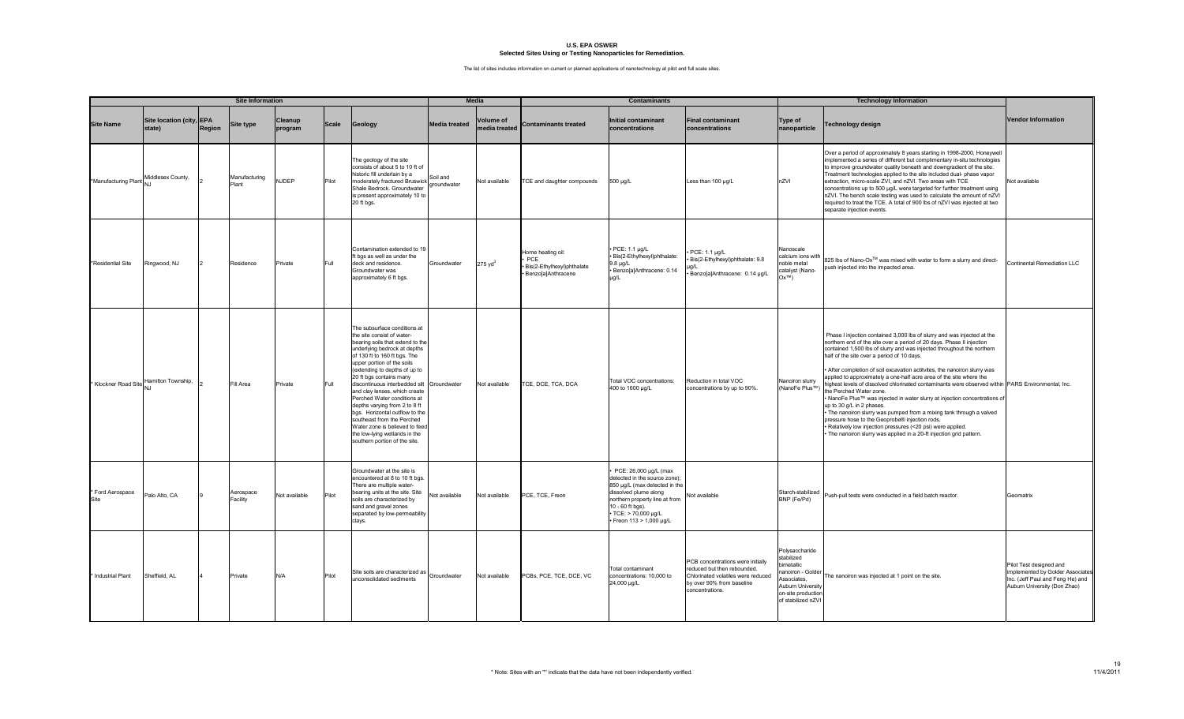|                          | <b>Site Information</b>            |        |                        | Media<br><b>Contaminants</b> |              |                                                                                                                                                                                                                                                                                                                                                                                                                                                                                                                                                                             |                         |                                   |                                                                              | <b>Technology Information</b>                                                                                                                                                                                          |                                                                                                                                                        |                                                                                                                                                            |                                                                                                                                                                                                                                                                                                                                                                                                                                                                                                                                                                                                                                                                                                                                                                                                                                                                                                                                          |                                                                                                                                 |
|--------------------------|------------------------------------|--------|------------------------|------------------------------|--------------|-----------------------------------------------------------------------------------------------------------------------------------------------------------------------------------------------------------------------------------------------------------------------------------------------------------------------------------------------------------------------------------------------------------------------------------------------------------------------------------------------------------------------------------------------------------------------------|-------------------------|-----------------------------------|------------------------------------------------------------------------------|------------------------------------------------------------------------------------------------------------------------------------------------------------------------------------------------------------------------|--------------------------------------------------------------------------------------------------------------------------------------------------------|------------------------------------------------------------------------------------------------------------------------------------------------------------|------------------------------------------------------------------------------------------------------------------------------------------------------------------------------------------------------------------------------------------------------------------------------------------------------------------------------------------------------------------------------------------------------------------------------------------------------------------------------------------------------------------------------------------------------------------------------------------------------------------------------------------------------------------------------------------------------------------------------------------------------------------------------------------------------------------------------------------------------------------------------------------------------------------------------------------|---------------------------------------------------------------------------------------------------------------------------------|
| <b>Site Name</b>         | Site location (city, EPA<br>state) | Region | <b>Site type</b>       | Cleanup<br>program           | <b>Scale</b> | Geology                                                                                                                                                                                                                                                                                                                                                                                                                                                                                                                                                                     | <b>Media treated</b>    | <b>Volume of</b><br>nedia treated | <b>Contaminants treated</b>                                                  | <b>Initial contaminant</b><br>concentrations                                                                                                                                                                           | <b>Final contaminant</b><br>concentrations                                                                                                             | Type of<br>nanoparticle                                                                                                                                    | <b>Technology design</b>                                                                                                                                                                                                                                                                                                                                                                                                                                                                                                                                                                                                                                                                                                                                                                                                                                                                                                                 | <b>Vendor Information</b>                                                                                                       |
| *Manufacturing Plant     | Middlesex County,                  |        | Manufacturing<br>Plant | NJDEP                        | Pilot        | The geology of the site<br>consists of about 5 to 10 ft of<br>historic fill underlain by a<br>moderately fractured Bruswick<br>Shale Bedrock. Groundwater<br>is present approximately 10 to<br>20 ft bgs.                                                                                                                                                                                                                                                                                                                                                                   | Soil and<br>groundwater | Not available                     | <b>CE</b> and daughter compounds                                             | 500 µg/L                                                                                                                                                                                                               | Less than 100 µg/L                                                                                                                                     | nZVI                                                                                                                                                       | Over a period of approximately 8 years starting in 1998-2000, Honeywell<br>implemented a series of different but complimentary in-situ technologies<br>to improve groundwater quality beneath and downgradient of the site.<br>Treatment technologies applied to the site included dual-phase vapor<br>extraction, micro-scale ZVI, and nZVI. Two areas with TCE<br>concentrations up to 500 µg/L were targeted for further treatment using<br>nZVI. The bench scale testing was used to calculate the amount of nZVI<br>required to treat the TCE. A total of 900 lbs of nZVI was injected at two<br>separate injection events.                                                                                                                                                                                                                                                                                                         | Not available                                                                                                                   |
| *Residential Site        | Ringwood, NJ                       |        | Residence              | Private                      | Full         | Contamination extended to 19<br>ft bgs as well as under the<br>deck and residence.<br>Groundwater was<br>approximately 6 ft bgs.                                                                                                                                                                                                                                                                                                                                                                                                                                            | Groundwater             | $275 \text{ yd}^3$                | lome heating oil:<br>PCE<br>Bis(2-Ethylhexyl)phthalate<br>Benzo[a]Anthracene | PCE: 1.1 µg/L<br>Bis(2-Ethylhexyl)phthalate:<br>$9.8 \mu q/L$<br>Benzo[a]Anthracene: 0.14<br>ug/L                                                                                                                      | PCE: 1.1 µg/L<br>Bis(2-Ethylhexyl)phthalate: 9.8<br>ıg/L<br>Benzo[a]Anthracene: 0.14 µg/L                                                              | Nanoscale<br>alcium ions with<br>noble metal<br>catalyst (Nano-<br>$(N^{\text{TM}})$                                                                       | 825 lbs of Nano-Ox™ was mixed with water to form a slurry and direct-<br>push injected into the impacted area.                                                                                                                                                                                                                                                                                                                                                                                                                                                                                                                                                                                                                                                                                                                                                                                                                           | Continental Remediation LLC                                                                                                     |
| * Klockner Road Site     | Hamilton Township,                 |        | Fill Area              | Private                      | Full         | The subsurface conditions at<br>the site consist of water-<br>bearing soils that extend to the<br>underlying bedrock at depths<br>of 130 ft to 160 ft bgs. The<br>upper portion of the soils<br>(extending to depths of up to<br>20 ft bgs contains many<br>discontinuous interbedded silt Groundwater<br>and clay lenses, which create<br>Perched Water conditions at<br>depths varying from 2 to 8 ft<br>bgs. Horizontal outflow to the<br>southeast from the Perched<br>Water zone is believed to feed<br>the low-lying wetlands in the<br>southern portion of the site. |                         | Not available                     | TCE, DCE, TCA, DCA                                                           | Total VOC concentrations:<br>400 to 1600 µg/L                                                                                                                                                                          | Reduction in total VOC<br>concentrations by up to 90%.                                                                                                 | Nanoiron slurry<br>(NanoFe Plus™)                                                                                                                          | Phase I injection contained 3,000 lbs of slurry and was injected at the<br>northern end of the site over a period of 20 days. Phase II injection<br>contained 1,500 lbs of slurry and was injected throughout the northern<br>half of the site over a period of 10 days.<br>· After completion of soil excavation actitvites, the nanoiron slurry was<br>applied to approximately a one-half acre area of the site where the<br>highest levels of dissolved chlorinated contaminants were observed within PARS Environmental, Inc.<br>the Perched Water zone.<br>. NanoFe Plus™ was injected in water slurry at injection concentrations of<br>up to 30 g/L in 2 phases.<br>. The nanoiron slurry was pumped from a mixing tank through a valved<br>pressure hose to the Geoprobe® injection rods.<br>· Relatively low injection pressures (<20 psi) were applied.<br>The nanoiron slurry was applied in a 20-ft injection grid pattern. |                                                                                                                                 |
| * Ford Aerospace<br>Site | Palo Alto, CA                      |        | Aerospace<br>Facility  | Not available                | Pilot        | Groundwater at the site is<br>encountered at 8 to 10 ft bgs.<br>There are multiple water-<br>bearing units at the site. Site<br>soils are characterized by<br>sand and gravel zones<br>separated by low-permeability<br>clays.                                                                                                                                                                                                                                                                                                                                              | Not available           | Not available                     | PCE, TCE, Freon                                                              | PCE: 26,000 µg/L (max<br>detected in the source zone);<br>850 µg/L (max detected in the<br>dissolved plume along<br>northern property line at from<br>10 - 60 ft bgs).<br>TCE: > 70,000 µg/L<br>Freon 113 > 1,000 µg/L | Not available                                                                                                                                          | Starch-stabilized<br>BNP (Fe/Pd)                                                                                                                           | Push-pull tests were conducted in a field batch reactor.                                                                                                                                                                                                                                                                                                                                                                                                                                                                                                                                                                                                                                                                                                                                                                                                                                                                                 | Geomatrix                                                                                                                       |
| * Industrial Plant       | Sheffield, AL                      |        | Private                | N/A                          | Pilot        | Site soils are characterized as<br>unconsolidated sediments                                                                                                                                                                                                                                                                                                                                                                                                                                                                                                                 | Groundwater             | Not available                     | PCBs, PCE, TCE, DCE, VC                                                      | <b>Total contaminant</b><br>concentrations: 10,000 to<br>24,000 µg/L                                                                                                                                                   | PCB concentrations were initially<br>reduced but then rebounded.<br>Chlorinated volatiles were reduced<br>by over 90% from baseline<br>concentrations. | Polysaccharide<br>stabilized<br><i><b>imetallic</b></i><br>ianoiron - Goldei<br>Associates.<br>Aubum University<br>on-site production<br>of stabilized nZV | The nanoiron was injected at 1 point on the site.                                                                                                                                                                                                                                                                                                                                                                                                                                                                                                                                                                                                                                                                                                                                                                                                                                                                                        | Pilot Test designed and<br>implemented by Golder Associates<br>Inc. (Jeff Paul and Feng He) and<br>Auburn University (Don Zhao) |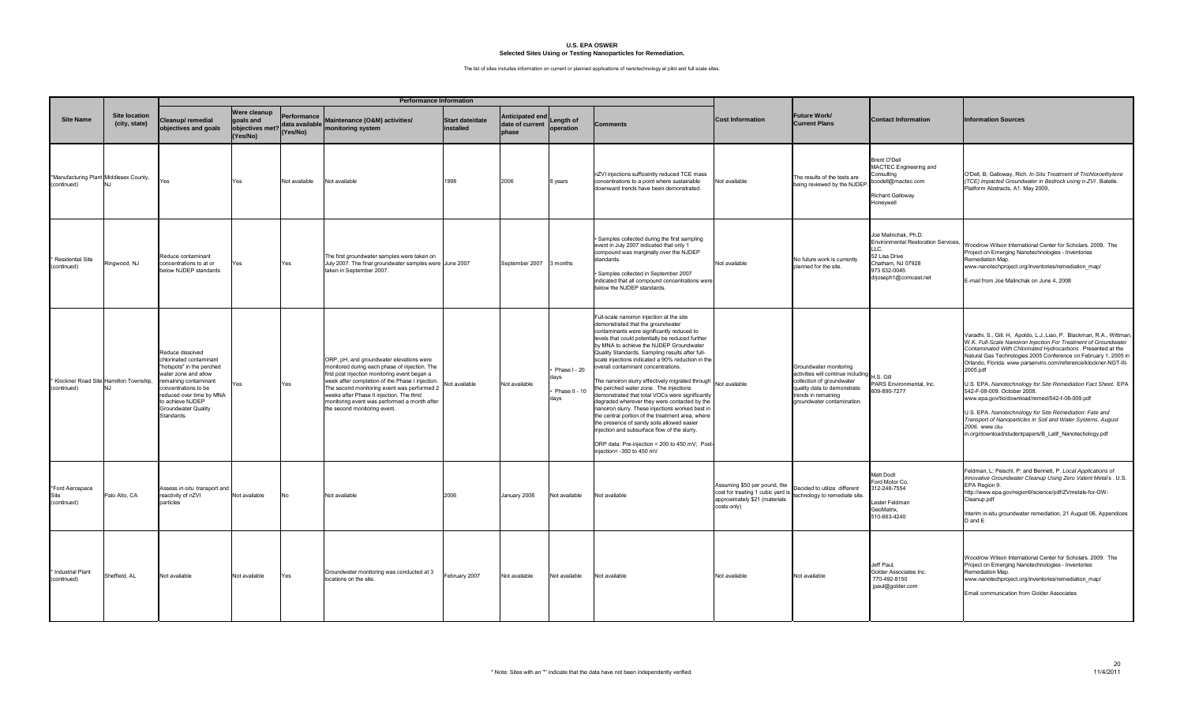|                                                       |                                       |                                                                                                                                                                                                                                        |                                                                 |                                           | <b>Performance Information</b>                                                                                                                                                                                                                                                                                                                                            |                                     |                                             |                                               |                                                                                                                                                                                                                                                                                                                                                                                                                                                                                                                                                                                                                                                                                                                                                                                                                                                                               |                                                                                                                   |                                                                                                                                                                               |                                                                                                                                            |                                                                                                                                                                                                                                                                                                                                                                                                                                                                                                                                                                                                                                                                                                                       |
|-------------------------------------------------------|---------------------------------------|----------------------------------------------------------------------------------------------------------------------------------------------------------------------------------------------------------------------------------------|-----------------------------------------------------------------|-------------------------------------------|---------------------------------------------------------------------------------------------------------------------------------------------------------------------------------------------------------------------------------------------------------------------------------------------------------------------------------------------------------------------------|-------------------------------------|---------------------------------------------|-----------------------------------------------|-------------------------------------------------------------------------------------------------------------------------------------------------------------------------------------------------------------------------------------------------------------------------------------------------------------------------------------------------------------------------------------------------------------------------------------------------------------------------------------------------------------------------------------------------------------------------------------------------------------------------------------------------------------------------------------------------------------------------------------------------------------------------------------------------------------------------------------------------------------------------------|-------------------------------------------------------------------------------------------------------------------|-------------------------------------------------------------------------------------------------------------------------------------------------------------------------------|--------------------------------------------------------------------------------------------------------------------------------------------|-----------------------------------------------------------------------------------------------------------------------------------------------------------------------------------------------------------------------------------------------------------------------------------------------------------------------------------------------------------------------------------------------------------------------------------------------------------------------------------------------------------------------------------------------------------------------------------------------------------------------------------------------------------------------------------------------------------------------|
| <b>Site Name</b>                                      | <b>Site location</b><br>(city, state) | Cleanup/remedial<br>objectives and goals                                                                                                                                                                                               | <b>Were cleanup</b><br>goals and<br>objectives met?<br>(Yes/No) | Performance<br>data available<br>(Yes/No) | Maintenance (O&M) activities/<br>monitoring system                                                                                                                                                                                                                                                                                                                        | <b>Start date/date</b><br>installed | Anticipated end<br>date of current<br>phase | Length of<br>operation                        | <b>Comments</b>                                                                                                                                                                                                                                                                                                                                                                                                                                                                                                                                                                                                                                                                                                                                                                                                                                                               | <b>Cost Information</b>                                                                                           | Future Work/<br><b>Current Plans</b>                                                                                                                                          | <b>Contact Information</b>                                                                                                                 | <b>Information Sources</b>                                                                                                                                                                                                                                                                                                                                                                                                                                                                                                                                                                                                                                                                                            |
| *Manufacturing Plant Middlesex County,<br>(continued) |                                       | res /                                                                                                                                                                                                                                  | Yes                                                             | Not available                             | Not available                                                                                                                                                                                                                                                                                                                                                             | 1998                                | 2006                                        | 8 years                                       | nZVI injections sufficeintly reduced TCE mass<br>concentrations to a point where sustainable<br>downward trends have been demonstrated.                                                                                                                                                                                                                                                                                                                                                                                                                                                                                                                                                                                                                                                                                                                                       | Not available                                                                                                     | The results of the tests are<br>being reviewed by the NJDEP                                                                                                                   | Brent O'Dell<br>MACTEC Engineering and<br>Consulting<br>bcodell@mactec.com<br>Richard Galloway<br>Honeywell                                | O'Dell, B; Galloway, Rich. In-Situ Treatment of Trichloroethylene<br>(TCE) Impacted Groundwater in Bedrock using n-ZVI. Batelle.<br>Platform Abstracts, A1. May 2009,                                                                                                                                                                                                                                                                                                                                                                                                                                                                                                                                                 |
| * Residential Site<br>(continued)                     | Ringwood, NJ                          | Reduce contaminant<br>concentrations to at or<br>below NJDEP standards                                                                                                                                                                 | Yes                                                             | Yes                                       | The first groundwater samples were taken on<br>July 2007. The final groundwater samples were June 2007<br>taken in September 2007.                                                                                                                                                                                                                                        |                                     | September 2007                              | 3 months                                      | Samples collected during the first sampling<br>event in July 2007 indicated that only 1<br>compound was marginally over the NJDEP<br>standards.<br>Samples collected in September 2007<br>indicated that all compound concentrations were<br>below the NJDEP standards.                                                                                                                                                                                                                                                                                                                                                                                                                                                                                                                                                                                                       | Not available                                                                                                     | No future work is currently<br>planned for the site.                                                                                                                          | Joe Malinchak, Ph.D.<br>Environmental Restoration Services,<br>52 Lisa Drive<br>Chatham, NJ 07928<br>973 632-0045<br>drjoseph1@comcast.net | Voodrow Wilson International Center for Scholars. 2009. The<br>Project on Emerging Nanotechnologies - Inventories<br>Remediation Map.<br>www.nanotechproject.org/inventories/remediation_map/<br>E-mail from Joe Malinchak on June 4, 2008                                                                                                                                                                                                                                                                                                                                                                                                                                                                            |
| (continued)                                           | Klockner Road Site Hamilton Township, | Reduce dissolved<br>chlorinated contaminant<br>"hotspots" in the perched<br>water zone and allow<br>remaining contaminant<br>concentrations to be<br>reduced over time by MNA<br>to achieve NJDEP<br>Groundwater Quality<br>Standards. | Yes                                                             | Yes                                       | ORP, pH, and groundwater elevations were<br>monitored during each phase of injection. The<br>first post injection monitoring event began a<br>week after completion of the Phase I injection.<br>The second monitoring event was performed 2<br>weeks after Phase II injection. The thrid<br>monitoring event was performed a month after<br>the second monitoring event. | Not available                       | Not available                               | Phase I - 20<br>days<br>Phase II - 10<br>days | Full-scale nanoiron injection at the site<br>demonstrated that the groundwater<br>contaminants were significantly reduced to<br>levels that could potentially be reduced further<br>by MNA to achieve the NJDEP Groundwater<br>Quality Standards. Sampling results after full-<br>scale injections indicated a 90% reduction in the<br>overall contaminant concentrations.<br>The nanoiron slurry effectively migrated through Not available<br>the perched water zone. The injections<br>demonstrated that total VOCs were significantly<br>degraded wherever they were contacted by the<br>nanoiron slurry. These injections worked best in<br>the central portion of the treatment area, where<br>the presence of sandy soils allowed easier<br>injection and subsurface flow of the slurry.<br>ORP data: Pre-injection = 200 to 450 mV; Post-<br>njection= -350 to 450 mV |                                                                                                                   | Groundwater monitoring<br>activities will continue including<br>collection of groundwater<br>quality data to demonstrate<br>trends in remaining<br>groundwater contamination. | $H.S.$ Gill<br>PARS Environmental, Inc.<br>609-890-7277                                                                                    | Varadhi, S., Gill. H, Apoldo, L.J.,Liao, P. Blackman, R.A., Wittman,<br>W.K. Full-Scale Nanoiron Injection For Treatment of Groundwater<br>Contaminated With Chlorinated Hydrocarbons. Presented at the<br>Natural Gas Technologies 2005 Conference on February 1, 2005 in<br>Orlando, Florida. www.parsenviro.com/reference/klockner-NGT-III-<br>2005.pdf<br>U.S. EPA. Nanotechnology for Site Remediation Fact Sheet. EPA<br>542-F-08-009. October 2008.<br>www.epa.gov/tio/download/remed/542-f-08-009.pdf<br>U.S. EPA. Nanotechnology for Site Remediation: Fate and<br>Transport of Nanoparticles in Soil and Water Systems. August<br>2006. www.clu-<br>in.org/download/studentpapers/B Latif Nanotechology.pdf |
| *Ford Aerospace<br>Site<br>(continued)                | Palo Alto, CA                         | Assess in-situ transport and<br>reactivity of nZVI<br>particles                                                                                                                                                                        | Not available                                                   |                                           | Not available                                                                                                                                                                                                                                                                                                                                                             | 2006                                | January 2008                                | Not available                                 | Not available                                                                                                                                                                                                                                                                                                                                                                                                                                                                                                                                                                                                                                                                                                                                                                                                                                                                 | Assuming \$50 per pound, the<br>cost for treating 1 cubic yard is<br>approximately \$21 (materials<br>costs only) | Decided to utilize different<br>echnology to remediate site.                                                                                                                  | Matt Dodt<br>Ford Motor Co.<br>312-248-7554<br>Lester Feldman<br>GeoMatrix,<br>510-663-4240                                                | Feldman, L; Peischl, P; and Bennett, P. Local Applications of<br>Innovative Groundwater Cleanup Using Zero Valent Metals . U.S.<br>EPA Region 9.<br>http://www.epa.gov/region9/science/pdf/ZVmetals-for-GW-<br>Cleanup.pdf<br>Interim in-situ groundwater remediation, 21 August 06, Appendices<br>D and E                                                                                                                                                                                                                                                                                                                                                                                                            |
| * Industrial Plant<br>(continued)                     | Sheffield, AL                         | Not available                                                                                                                                                                                                                          | Not available                                                   | Yes                                       | Groundwater monitoring was conducted at 3<br>locations on the site.                                                                                                                                                                                                                                                                                                       | February 2007                       | Not available                               | Not available                                 | Not available                                                                                                                                                                                                                                                                                                                                                                                                                                                                                                                                                                                                                                                                                                                                                                                                                                                                 | Not available                                                                                                     | Not available                                                                                                                                                                 | Jeff Paul.<br>Golder Associates Inc.<br>770-492-8150<br>jpaul@golder.com                                                                   | Woodrow Wilson International Center for Scholars, 2009. The<br>Project on Emerging Nanotechnologies - Inventories<br>Remediation Map.<br>www.nanotechproject.org/inventories/remediation_map/<br>Email communication from Golder Associates                                                                                                                                                                                                                                                                                                                                                                                                                                                                           |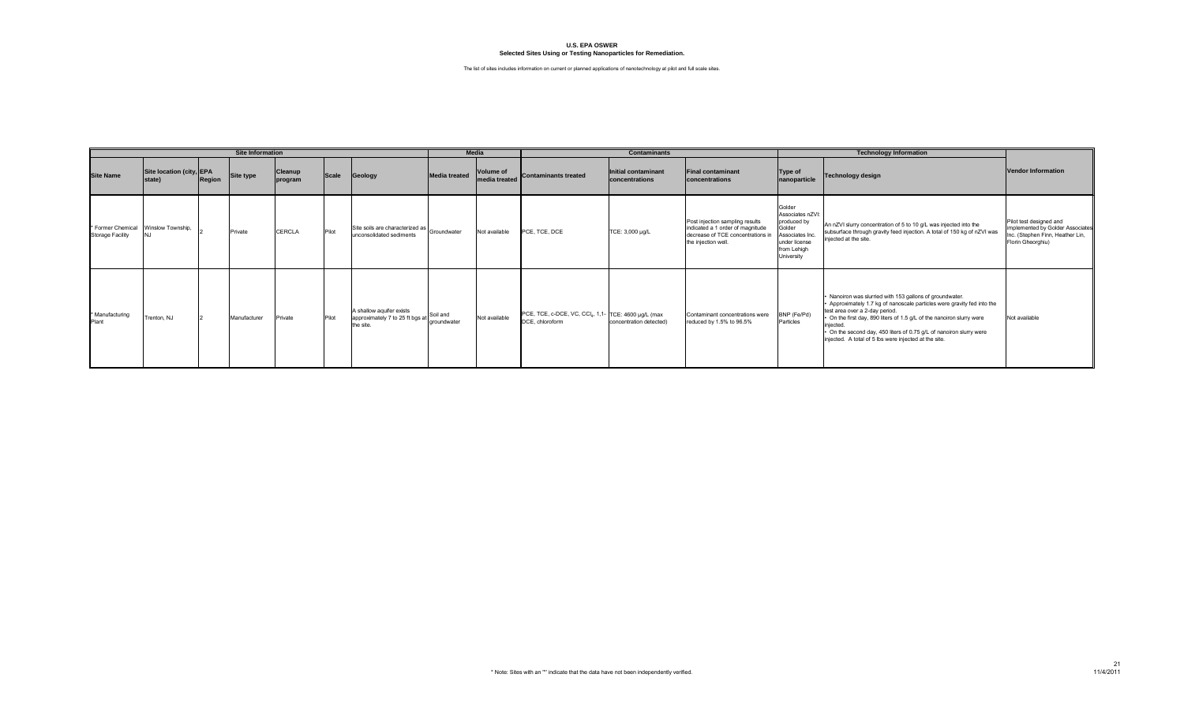|                                                                |                                    |        | <b>Site Information</b> |                    |       |                                                                          | <b>Media</b>            |                            |                                                                        | <b>Contaminants</b>                   |                                                                                                                                 |                                                                                                                     | <b>Technology Information</b>                                                                                                                                                                                                                                                                                                                                                           |                                                                                                                      |
|----------------------------------------------------------------|------------------------------------|--------|-------------------------|--------------------|-------|--------------------------------------------------------------------------|-------------------------|----------------------------|------------------------------------------------------------------------|---------------------------------------|---------------------------------------------------------------------------------------------------------------------------------|---------------------------------------------------------------------------------------------------------------------|-----------------------------------------------------------------------------------------------------------------------------------------------------------------------------------------------------------------------------------------------------------------------------------------------------------------------------------------------------------------------------------------|----------------------------------------------------------------------------------------------------------------------|
| <b>Site Name</b>                                               | Site location (city, EPA<br>state) | Region | Site type               | Cleanup<br>program | Scale | Geology                                                                  | <b>Media treated</b>    | Volume of<br>media treated | Contaminants treated                                                   | Initial contaminant<br>concentrations | <b>Final contaminant</b><br>concentrations                                                                                      | Type of<br>nanoparticle                                                                                             | <b>Technology design</b>                                                                                                                                                                                                                                                                                                                                                                | Vendor Information                                                                                                   |
| * Former Chemical Winslow Township,<br><b>Storage Facility</b> |                                    |        | Private                 | <b>CERCLA</b>      | Pilot | Site soils are characterized as Groundwater<br>unconsolidated sediments  |                         | Not available              | PCE, TCE, DCE                                                          | TCE: 3,000 µg/L                       | Post injection sampling results<br>indicated a 1 order of magnitude<br>decrease of TCE concentrations in<br>the injection well. | Golder<br>Associates nZVI:<br>produced by<br>Golder<br>ssociates Inc.<br>under license<br>from Lehigh<br>University | An nZVI slurry concentration of 5 to 10 g/L was injected into the<br>subsurface through gravity feed injection. A total of 150 kg of nZVI was<br>injected at the site.                                                                                                                                                                                                                  | Pilot test designed and<br>implemented by Golder Associates<br>Inc. (Stephen Finn, Heather Lin,<br>Florin Gheorghiu) |
| * Manufacturing<br>Plant                                       | Trenton, NJ                        |        | Manufacturer            | Private            | Pilot | A shallow aquifer exists<br>approximately 7 to 25 ft bgs at<br>the site. | Soil and<br>aroundwater | Not available              | PCE, TCE, c-DCE, VC, CCI4, 1,1- TCE: 4600 µg/L (max<br>DCE, chloroform | concentration detected)               | Contaminant concentrations were<br>reduced by 1.5% to 96.5%                                                                     | BNP (Fe/Pd)<br>Particles                                                                                            | Nanoiron was slurried with 153 gallons of groundwater.<br>Approximately 1.7 kg of nanoscale particles were gravity fed into the<br>test area over a 2-day period.<br>• On the first day, 890 liters of 1.5 g/L of the nanoiron slurry were<br>iniected.<br>• On the second day, 450 liters of 0.75 g/L of nanoiron slurry were<br>injected. A total of 5 lbs were injected at the site. | Not available                                                                                                        |